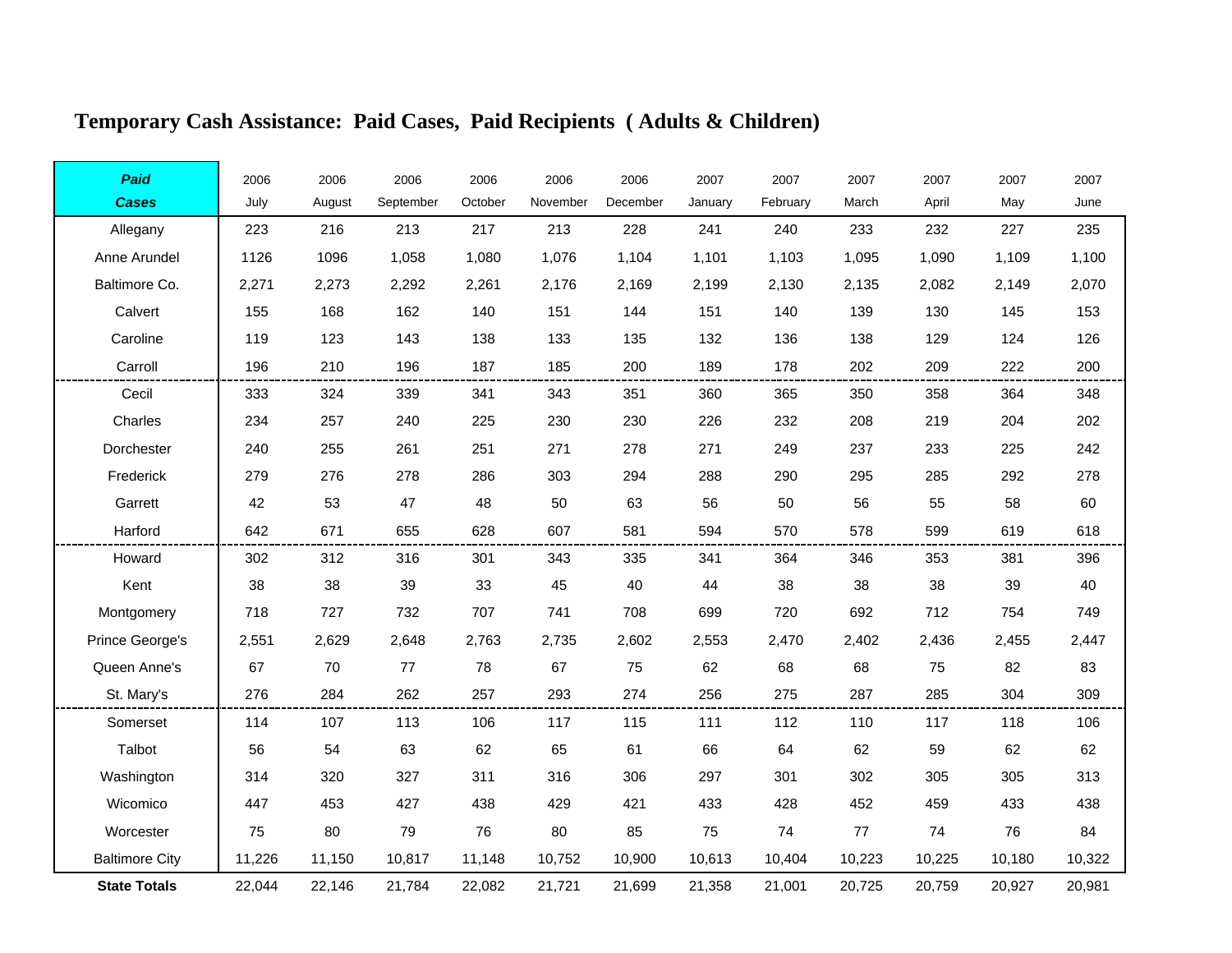# **Temporary Cash Assistance: Paid Cases, Paid Recipients ( Adults & Children)**

| Paid                  | 2006   | 2006   | 2006      | 2006    | 2006     | 2006     | 2007    | 2007     | 2007   | 2007   | 2007   | 2007   |
|-----------------------|--------|--------|-----------|---------|----------|----------|---------|----------|--------|--------|--------|--------|
| <b>Cases</b>          | July   | August | September | October | November | December | January | February | March  | April  | May    | June   |
| Allegany              | 223    | 216    | 213       | 217     | 213      | 228      | 241     | 240      | 233    | 232    | 227    | 235    |
| Anne Arundel          | 1126   | 1096   | 1,058     | 1,080   | 1,076    | 1,104    | 1,101   | 1,103    | 1,095  | 1,090  | 1,109  | 1,100  |
| Baltimore Co.         | 2,271  | 2,273  | 2,292     | 2,261   | 2,176    | 2,169    | 2,199   | 2,130    | 2,135  | 2,082  | 2,149  | 2,070  |
| Calvert               | 155    | 168    | 162       | 140     | 151      | 144      | 151     | 140      | 139    | 130    | 145    | 153    |
| Caroline              | 119    | 123    | 143       | 138     | 133      | 135      | 132     | 136      | 138    | 129    | 124    | 126    |
| Carroll               | 196    | 210    | 196       | 187     | 185      | 200      | 189     | 178      | 202    | 209    | 222    | 200    |
| Cecil                 | 333    | 324    | 339       | 341     | 343      | 351      | 360     | 365      | 350    | 358    | 364    | 348    |
| Charles               | 234    | 257    | 240       | 225     | 230      | 230      | 226     | 232      | 208    | 219    | 204    | 202    |
| Dorchester            | 240    | 255    | 261       | 251     | 271      | 278      | 271     | 249      | 237    | 233    | 225    | 242    |
| Frederick             | 279    | 276    | 278       | 286     | 303      | 294      | 288     | 290      | 295    | 285    | 292    | 278    |
| Garrett               | 42     | 53     | 47        | 48      | 50       | 63       | 56      | 50       | 56     | 55     | 58     | 60     |
| Harford               | 642    | 671    | 655       | 628     | 607      | 581      | 594     | 570      | 578    | 599    | 619    | 618    |
| Howard                | 302    | 312    | 316       | 301     | 343      | 335      | 341     | 364      | 346    | 353    | 381    | 396    |
| Kent                  | 38     | 38     | 39        | 33      | 45       | 40       | 44      | 38       | 38     | 38     | 39     | 40     |
| Montgomery            | 718    | 727    | 732       | 707     | 741      | 708      | 699     | 720      | 692    | 712    | 754    | 749    |
| Prince George's       | 2,551  | 2,629  | 2,648     | 2,763   | 2,735    | 2,602    | 2,553   | 2,470    | 2,402  | 2,436  | 2,455  | 2,447  |
| Queen Anne's          | 67     | 70     | 77        | 78      | 67       | 75       | 62      | 68       | 68     | 75     | 82     | 83     |
| St. Mary's            | 276    | 284    | 262       | 257     | 293      | 274      | 256     | 275      | 287    | 285    | 304    | 309    |
| Somerset              | 114    | 107    | 113       | 106     | 117      | 115      | 111     | 112      | 110    | 117    | 118    | 106    |
| Talbot                | 56     | 54     | 63        | 62      | 65       | 61       | 66      | 64       | 62     | 59     | 62     | 62     |
| Washington            | 314    | 320    | 327       | 311     | 316      | 306      | 297     | 301      | 302    | 305    | 305    | 313    |
| Wicomico              | 447    | 453    | 427       | 438     | 429      | 421      | 433     | 428      | 452    | 459    | 433    | 438    |
| Worcester             | 75     | 80     | 79        | 76      | 80       | 85       | 75      | 74       | 77     | 74     | 76     | 84     |
| <b>Baltimore City</b> | 11,226 | 11,150 | 10,817    | 11,148  | 10,752   | 10,900   | 10,613  | 10,404   | 10,223 | 10,225 | 10,180 | 10,322 |
| <b>State Totals</b>   | 22,044 | 22,146 | 21,784    | 22,082  | 21,721   | 21,699   | 21,358  | 21,001   | 20,725 | 20,759 | 20,927 | 20,981 |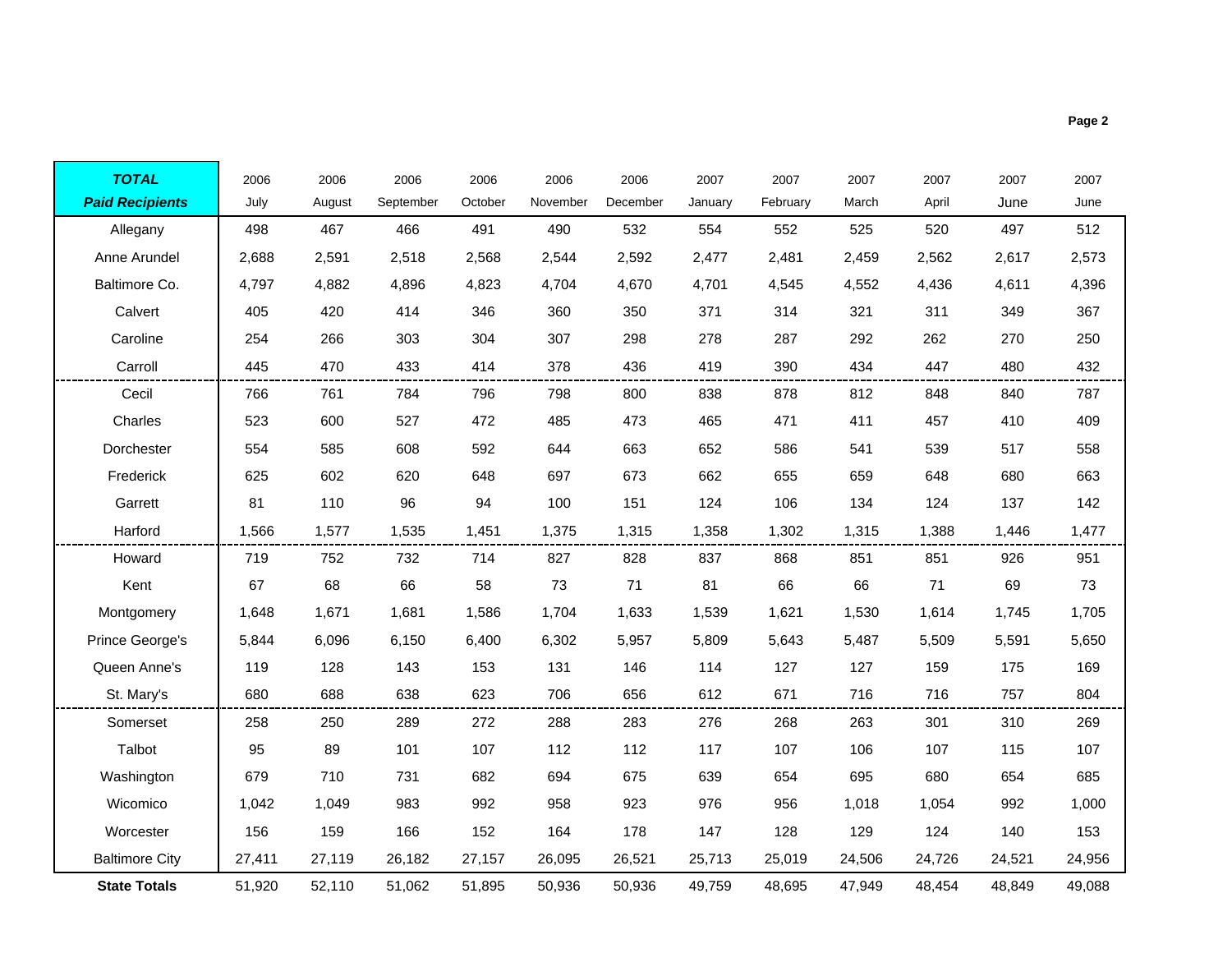| <b>TOTAL</b>           | 2006   | 2006   | 2006      | 2006    | 2006     | 2006     | 2007    | 2007     | 2007   | 2007   | 2007   | 2007   |
|------------------------|--------|--------|-----------|---------|----------|----------|---------|----------|--------|--------|--------|--------|
| <b>Paid Recipients</b> | July   | August | September | October | November | December | January | February | March  | April  | June   | June   |
| Allegany               | 498    | 467    | 466       | 491     | 490      | 532      | 554     | 552      | 525    | 520    | 497    | 512    |
| Anne Arundel           | 2,688  | 2,591  | 2,518     | 2,568   | 2,544    | 2,592    | 2,477   | 2,481    | 2,459  | 2,562  | 2,617  | 2,573  |
| Baltimore Co.          | 4,797  | 4,882  | 4,896     | 4,823   | 4,704    | 4,670    | 4,701   | 4,545    | 4,552  | 4,436  | 4,611  | 4,396  |
| Calvert                | 405    | 420    | 414       | 346     | 360      | 350      | 371     | 314      | 321    | 311    | 349    | 367    |
| Caroline               | 254    | 266    | 303       | 304     | 307      | 298      | 278     | 287      | 292    | 262    | 270    | 250    |
| Carroll                | 445    | 470    | 433       | 414     | 378      | 436      | 419     | 390      | 434    | 447    | 480    | 432    |
| Cecil                  | 766    | 761    | 784       | 796     | 798      | 800      | 838     | 878      | 812    | 848    | 840    | 787    |
| Charles                | 523    | 600    | 527       | 472     | 485      | 473      | 465     | 471      | 411    | 457    | 410    | 409    |
| Dorchester             | 554    | 585    | 608       | 592     | 644      | 663      | 652     | 586      | 541    | 539    | 517    | 558    |
| Frederick              | 625    | 602    | 620       | 648     | 697      | 673      | 662     | 655      | 659    | 648    | 680    | 663    |
| Garrett                | 81     | 110    | 96        | 94      | 100      | 151      | 124     | 106      | 134    | 124    | 137    | 142    |
| Harford                | 1,566  | 1,577  | 1,535     | 1,451   | 1,375    | 1,315    | 1,358   | 1,302    | 1,315  | 1,388  | 1,446  | 1,477  |
| Howard                 | 719    | 752    | 732       | 714     | 827      | 828      | 837     | 868      | 851    | 851    | 926    | 951    |
| Kent                   | 67     | 68     | 66        | 58      | 73       | 71       | 81      | 66       | 66     | 71     | 69     | 73     |
| Montgomery             | 1,648  | 1,671  | 1,681     | 1,586   | 1,704    | 1,633    | 1,539   | 1,621    | 1,530  | 1,614  | 1,745  | 1,705  |
| Prince George's        | 5,844  | 6,096  | 6,150     | 6,400   | 6,302    | 5,957    | 5,809   | 5,643    | 5,487  | 5,509  | 5,591  | 5,650  |
| Queen Anne's           | 119    | 128    | 143       | 153     | 131      | 146      | 114     | 127      | 127    | 159    | 175    | 169    |
| St. Mary's             | 680    | 688    | 638       | 623     | 706      | 656      | 612     | 671      | 716    | 716    | 757    | 804    |
| Somerset               | 258    | 250    | 289       | 272     | 288      | 283      | 276     | 268      | 263    | 301    | 310    | 269    |
| Talbot                 | 95     | 89     | 101       | 107     | 112      | 112      | 117     | 107      | 106    | 107    | 115    | 107    |
| Washington             | 679    | 710    | 731       | 682     | 694      | 675      | 639     | 654      | 695    | 680    | 654    | 685    |
| Wicomico               | 1,042  | 1,049  | 983       | 992     | 958      | 923      | 976     | 956      | 1,018  | 1,054  | 992    | 1,000  |
| Worcester              | 156    | 159    | 166       | 152     | 164      | 178      | 147     | 128      | 129    | 124    | 140    | 153    |
| <b>Baltimore City</b>  | 27,411 | 27,119 | 26,182    | 27,157  | 26,095   | 26,521   | 25,713  | 25,019   | 24,506 | 24,726 | 24,521 | 24,956 |

51,920 52,110 51,062 51,895 50,936 50,936 49,759 48,695 47,949 48,454 48,849 49,088

**State Totals**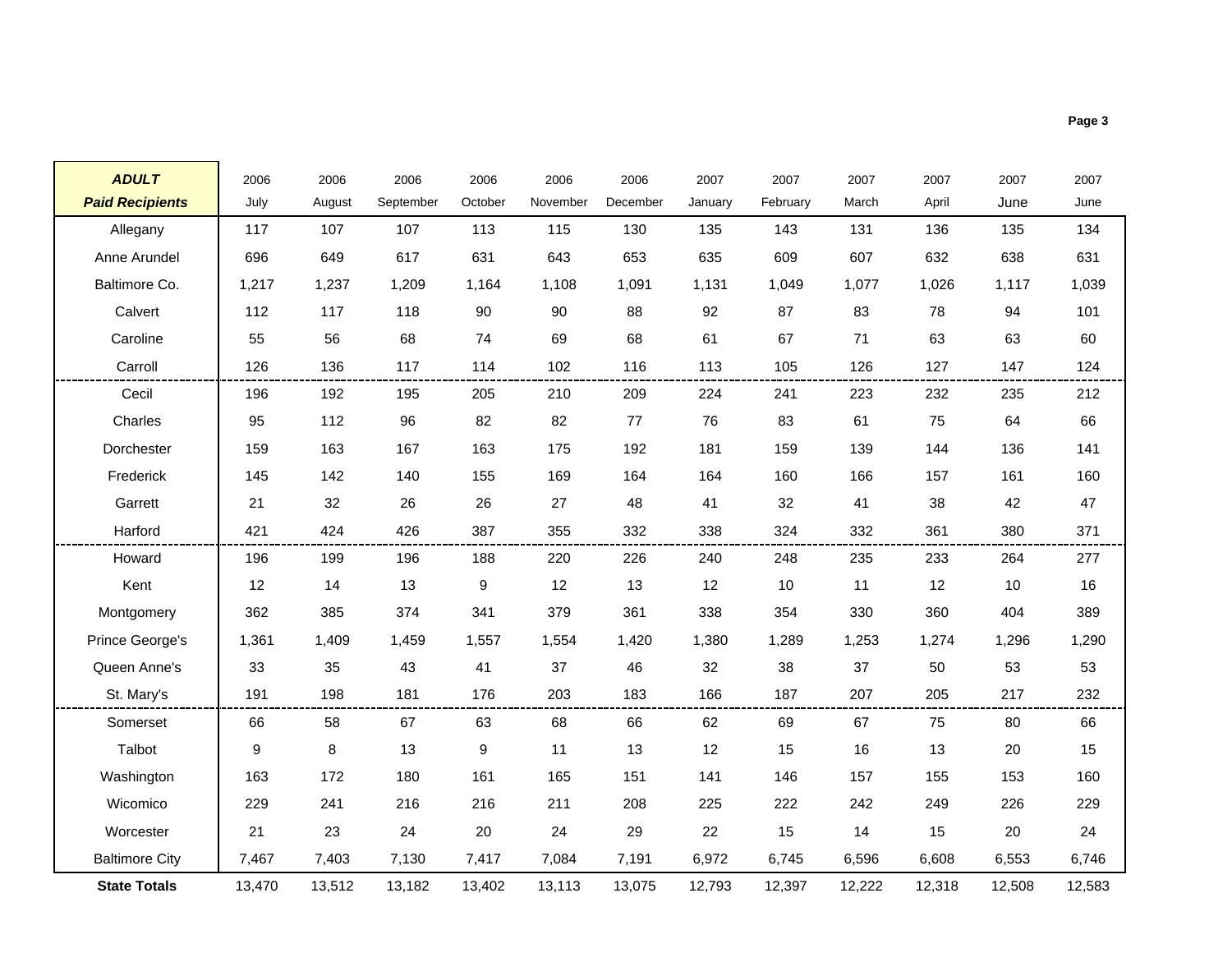| <b>ADULT</b>           | 2006   | 2006   | 2006      | 2006    | 2006     | 2006     | 2007    | 2007     | 2007   | 2007   | 2007   | 2007   |
|------------------------|--------|--------|-----------|---------|----------|----------|---------|----------|--------|--------|--------|--------|
| <b>Paid Recipients</b> | July   | August | September | October | November | December | January | February | March  | April  | June   | June   |
| Allegany               | 117    | 107    | 107       | 113     | 115      | 130      | 135     | 143      | 131    | 136    | 135    | 134    |
| Anne Arundel           | 696    | 649    | 617       | 631     | 643      | 653      | 635     | 609      | 607    | 632    | 638    | 631    |
| Baltimore Co.          | 1,217  | 1,237  | 1,209     | 1,164   | 1,108    | 1,091    | 1,131   | 1,049    | 1,077  | 1,026  | 1,117  | 1,039  |
| Calvert                | 112    | 117    | 118       | 90      | 90       | 88       | 92      | 87       | 83     | 78     | 94     | 101    |
| Caroline               | 55     | 56     | 68        | 74      | 69       | 68       | 61      | 67       | 71     | 63     | 63     | 60     |
| Carroll                | 126    | 136    | 117       | 114     | 102      | 116      | 113     | 105      | 126    | 127    | 147    | 124    |
| Cecil                  | 196    | 192    | 195       | 205     | 210      | 209      | 224     | 241      | 223    | 232    | 235    | 212    |
| Charles                | 95     | 112    | 96        | 82      | 82       | 77       | 76      | 83       | 61     | 75     | 64     | 66     |
| Dorchester             | 159    | 163    | 167       | 163     | 175      | 192      | 181     | 159      | 139    | 144    | 136    | 141    |
| Frederick              | 145    | 142    | 140       | 155     | 169      | 164      | 164     | 160      | 166    | 157    | 161    | 160    |
| Garrett                | 21     | 32     | 26        | 26      | 27       | 48       | 41      | 32       | 41     | 38     | 42     | 47     |
| Harford                | 421    | 424    | 426       | 387     | 355      | 332      | 338     | 324      | 332    | 361    | 380    | 371    |
| Howard                 | 196    | 199    | 196       | 188     | 220      | 226      | 240     | 248      | 235    | 233    | 264    | 277    |
| Kent                   | 12     | 14     | 13        | 9       | 12       | 13       | 12      | 10       | 11     | 12     | 10     | 16     |
| Montgomery             | 362    | 385    | 374       | 341     | 379      | 361      | 338     | 354      | 330    | 360    | 404    | 389    |
| Prince George's        | 1,361  | 1,409  | 1,459     | 1,557   | 1,554    | 1,420    | 1,380   | 1,289    | 1,253  | 1,274  | 1,296  | 1,290  |
| Queen Anne's           | 33     | 35     | 43        | 41      | 37       | 46       | 32      | 38       | 37     | 50     | 53     | 53     |
| St. Mary's             | 191    | 198    | 181       | 176     | 203      | 183      | 166     | 187      | 207    | 205    | 217    | 232    |
| Somerset               | 66     | 58     | 67        | 63      | 68       | 66       | 62      | 69       | 67     | 75     | 80     | 66     |
| Talbot                 | 9      | 8      | 13        | 9       | 11       | 13       | 12      | 15       | 16     | 13     | 20     | 15     |
| Washington             | 163    | 172    | 180       | 161     | 165      | 151      | 141     | 146      | 157    | 155    | 153    | 160    |
| Wicomico               | 229    | 241    | 216       | 216     | 211      | 208      | 225     | 222      | 242    | 249    | 226    | 229    |
| Worcester              | 21     | 23     | 24        | 20      | 24       | 29       | 22      | 15       | 14     | 15     | 20     | 24     |
| <b>Baltimore City</b>  | 7,467  | 7,403  | 7,130     | 7,417   | 7,084    | 7,191    | 6,972   | 6,745    | 6,596  | 6,608  | 6,553  | 6,746  |
| <b>State Totals</b>    | 13,470 | 13,512 | 13,182    | 13,402  | 13,113   | 13,075   | 12,793  | 12,397   | 12,222 | 12,318 | 12,508 | 12,583 |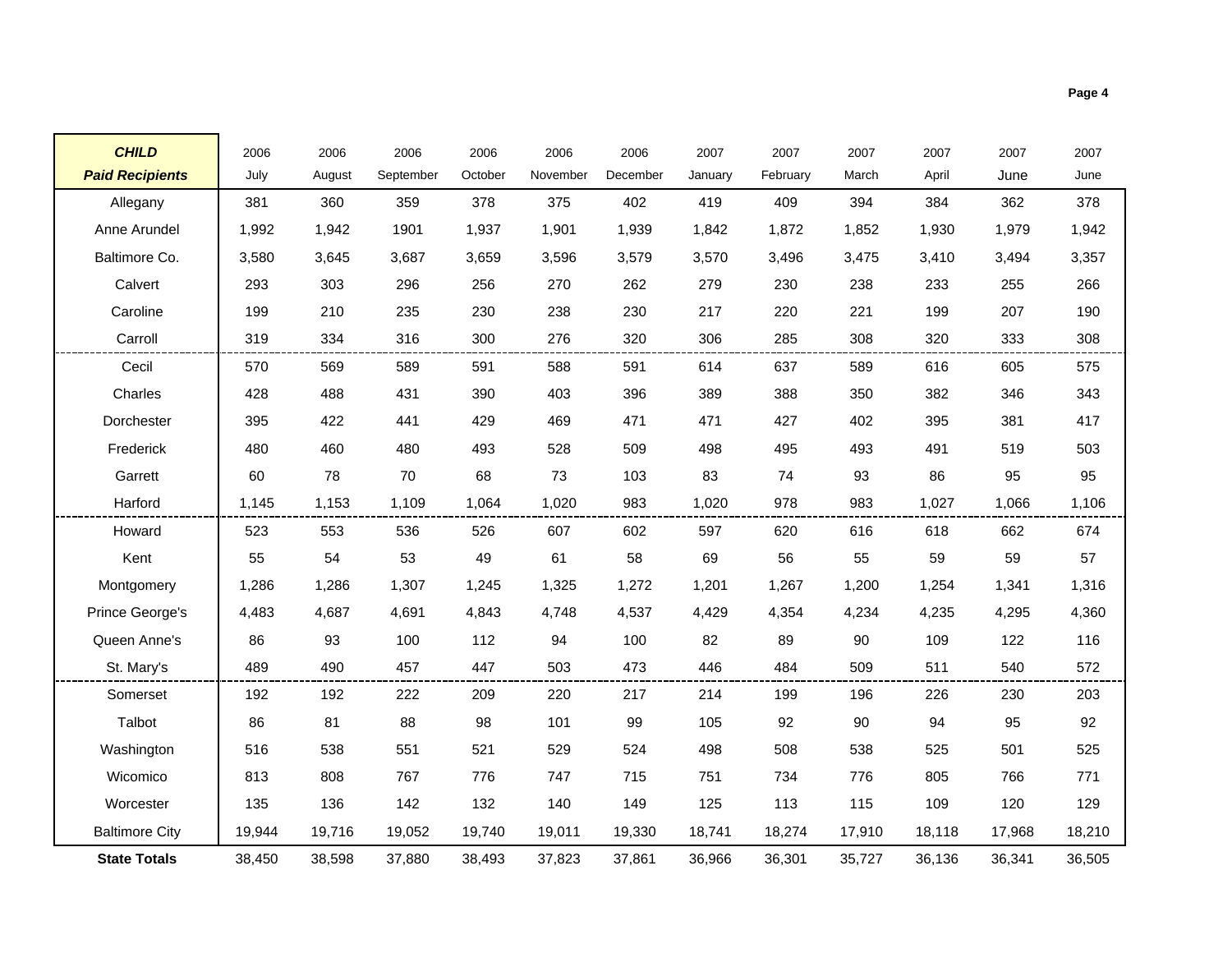| <b>CHILD</b>           | 2006   | 2006   | 2006      | 2006    | 2006     | 2006     | 2007    | 2007     | 2007   | 2007   | 2007   | 2007   |
|------------------------|--------|--------|-----------|---------|----------|----------|---------|----------|--------|--------|--------|--------|
| <b>Paid Recipients</b> | July   | August | September | October | November | December | January | February | March  | April  | June   | June   |
| Allegany               | 381    | 360    | 359       | 378     | 375      | 402      | 419     | 409      | 394    | 384    | 362    | 378    |
| Anne Arundel           | 1,992  | 1,942  | 1901      | 1,937   | 1,901    | 1,939    | 1,842   | 1,872    | 1,852  | 1,930  | 1,979  | 1,942  |
| Baltimore Co.          | 3,580  | 3,645  | 3,687     | 3,659   | 3,596    | 3,579    | 3,570   | 3,496    | 3,475  | 3,410  | 3,494  | 3,357  |
| Calvert                | 293    | 303    | 296       | 256     | 270      | 262      | 279     | 230      | 238    | 233    | 255    | 266    |
| Caroline               | 199    | 210    | 235       | 230     | 238      | 230      | 217     | 220      | 221    | 199    | 207    | 190    |
| Carroll                | 319    | 334    | 316       | 300     | 276      | 320      | 306     | 285      | 308    | 320    | 333    | 308    |
| Cecil                  | 570    | 569    | 589       | 591     | 588      | 591      | 614     | 637      | 589    | 616    | 605    | 575    |
| Charles                | 428    | 488    | 431       | 390     | 403      | 396      | 389     | 388      | 350    | 382    | 346    | 343    |
| Dorchester             | 395    | 422    | 441       | 429     | 469      | 471      | 471     | 427      | 402    | 395    | 381    | 417    |
| Frederick              | 480    | 460    | 480       | 493     | 528      | 509      | 498     | 495      | 493    | 491    | 519    | 503    |
| Garrett                | 60     | 78     | 70        | 68      | 73       | 103      | 83      | 74       | 93     | 86     | 95     | 95     |
| Harford                | 1,145  | 1,153  | 1,109     | 1,064   | 1,020    | 983      | 1,020   | 978      | 983    | 1,027  | 1,066  | 1,106  |
| Howard                 | 523    | 553    | 536       | 526     | 607      | 602      | 597     | 620      | 616    | 618    | 662    | 674    |
| Kent                   | 55     | 54     | 53        | 49      | 61       | 58       | 69      | 56       | 55     | 59     | 59     | 57     |
| Montgomery             | 1,286  | 1,286  | 1,307     | 1,245   | 1,325    | 1,272    | 1,201   | 1,267    | 1,200  | 1,254  | 1,341  | 1,316  |
| Prince George's        | 4,483  | 4,687  | 4,691     | 4,843   | 4,748    | 4,537    | 4,429   | 4,354    | 4,234  | 4,235  | 4,295  | 4,360  |
| Queen Anne's           | 86     | 93     | 100       | 112     | 94       | 100      | 82      | 89       | 90     | 109    | 122    | 116    |
| St. Mary's             | 489    | 490    | 457       | 447     | 503      | 473      | 446     | 484      | 509    | 511    | 540    | 572    |
| Somerset               | 192    | 192    | 222       | 209     | 220      | 217      | 214     | 199      | 196    | 226    | 230    | 203    |
| Talbot                 | 86     | 81     | 88        | 98      | 101      | 99       | 105     | 92       | 90     | 94     | 95     | 92     |
| Washington             | 516    | 538    | 551       | 521     | 529      | 524      | 498     | 508      | 538    | 525    | 501    | 525    |
| Wicomico               | 813    | 808    | 767       | 776     | 747      | 715      | 751     | 734      | 776    | 805    | 766    | 771    |
| Worcester              | 135    | 136    | 142       | 132     | 140      | 149      | 125     | 113      | 115    | 109    | 120    | 129    |
| <b>Baltimore City</b>  | 19,944 | 19,716 | 19,052    | 19,740  | 19,011   | 19,330   | 18,741  | 18,274   | 17,910 | 18,118 | 17,968 | 18,210 |
| <b>State Totals</b>    | 38,450 | 38,598 | 37,880    | 38,493  | 37,823   | 37,861   | 36,966  | 36,301   | 35,727 | 36,136 | 36,341 | 36,505 |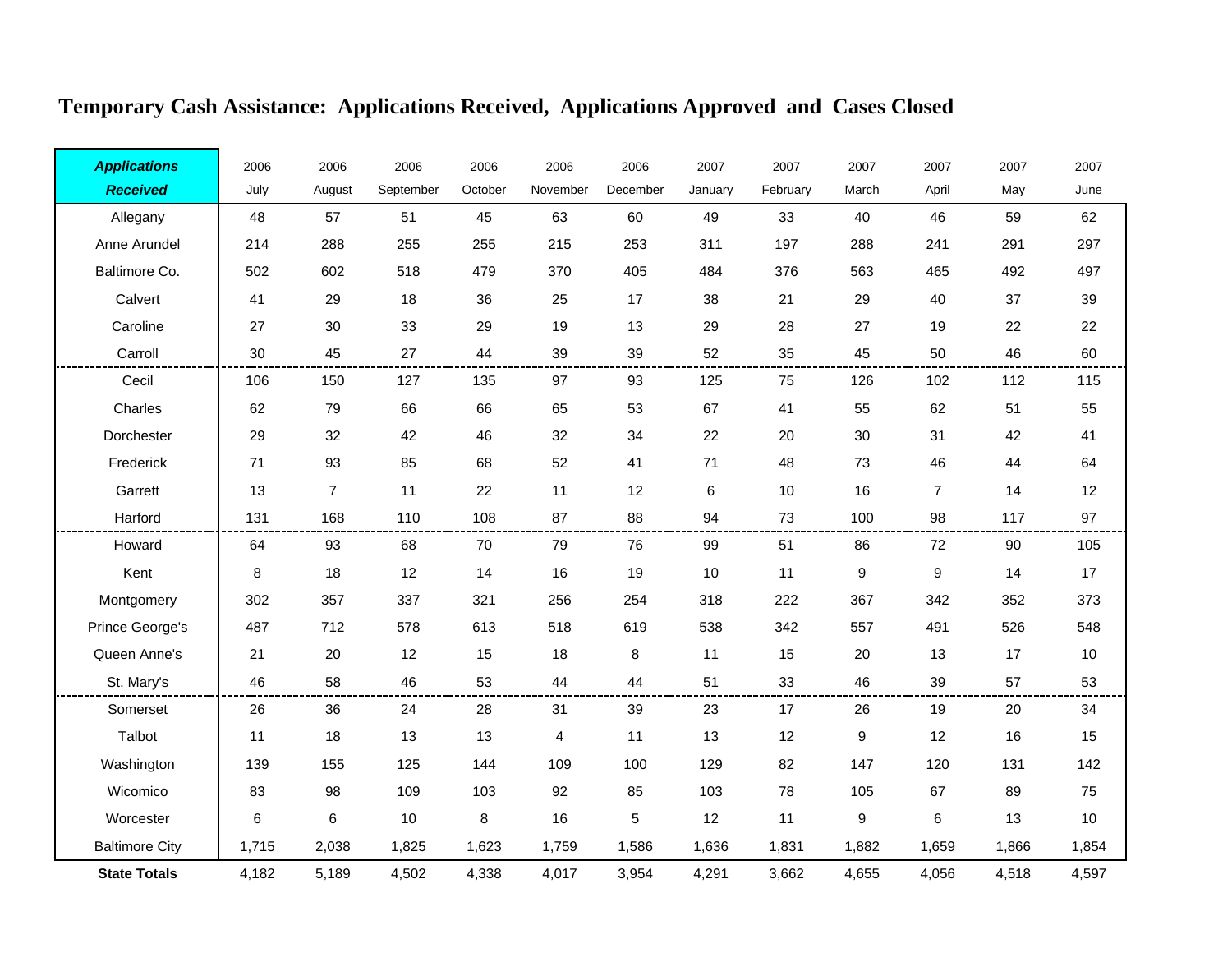| <b>Applications</b>   | 2006  | 2006           | 2006      | 2006    | 2006     | 2006     | 2007    | 2007     | 2007             | 2007             | 2007  | 2007  |
|-----------------------|-------|----------------|-----------|---------|----------|----------|---------|----------|------------------|------------------|-------|-------|
| <b>Received</b>       | July  | August         | September | October | November | December | January | February | March            | April            | May   | June  |
| Allegany              | 48    | 57             | 51        | 45      | 63       | 60       | 49      | 33       | 40               | 46               | 59    | 62    |
| Anne Arundel          | 214   | 288            | 255       | 255     | 215      | 253      | 311     | 197      | 288              | 241              | 291   | 297   |
| Baltimore Co.         | 502   | 602            | 518       | 479     | 370      | 405      | 484     | 376      | 563              | 465              | 492   | 497   |
| Calvert               | 41    | 29             | 18        | 36      | 25       | 17       | 38      | 21       | 29               | 40               | 37    | 39    |
| Caroline              | 27    | 30             | 33        | 29      | 19       | 13       | 29      | 28       | 27               | 19               | 22    | 22    |
| Carroll               | 30    | 45             | 27        | 44      | 39       | 39       | 52      | 35       | 45               | 50               | 46    | 60    |
| Cecil                 | 106   | 150            | 127       | 135     | 97       | 93       | 125     | 75       | 126              | 102              | 112   | 115   |
| Charles               | 62    | 79             | 66        | 66      | 65       | 53       | 67      | 41       | 55               | 62               | 51    | 55    |
| Dorchester            | 29    | 32             | 42        | 46      | 32       | 34       | 22      | 20       | 30               | 31               | 42    | 41    |
| Frederick             | 71    | 93             | 85        | 68      | 52       | 41       | $71$    | 48       | 73               | 46               | 44    | 64    |
| Garrett               | 13    | $\overline{7}$ | 11        | 22      | 11       | 12       | 6       | 10       | 16               | $\overline{7}$   | 14    | 12    |
| Harford               | 131   | 168            | 110       | 108     | 87       | 88       | 94      | 73       | 100              | 98               | 117   | 97    |
| Howard                | 64    | 93             | 68        | 70      | 79       | 76       | 99      | 51       | 86               | 72               | 90    | 105   |
| Kent                  | 8     | 18             | 12        | 14      | 16       | 19       | 10      | 11       | $\boldsymbol{9}$ | $\boldsymbol{9}$ | 14    | 17    |
| Montgomery            | 302   | 357            | 337       | 321     | 256      | 254      | 318     | 222      | 367              | 342              | 352   | 373   |
| Prince George's       | 487   | 712            | 578       | 613     | 518      | 619      | 538     | 342      | 557              | 491              | 526   | 548   |
| Queen Anne's          | 21    | 20             | 12        | 15      | 18       | 8        | 11      | 15       | 20               | 13               | 17    | 10    |
| St. Mary's            | 46    | 58             | 46        | 53      | 44       | 44       | 51      | 33       | 46               | 39               | 57    | 53    |
| Somerset              | 26    | 36             | 24        | 28      | 31       | 39       | 23      | 17       | 26               | 19               | 20    | 34    |
| Talbot                | 11    | 18             | 13        | 13      | 4        | 11       | 13      | 12       | $\boldsymbol{9}$ | 12               | 16    | 15    |
| Washington            | 139   | 155            | 125       | 144     | 109      | 100      | 129     | 82       | 147              | 120              | 131   | 142   |
| Wicomico              | 83    | 98             | 109       | 103     | 92       | 85       | 103     | 78       | 105              | 67               | 89    | 75    |
| Worcester             | 6     | 6              | 10        | 8       | 16       | 5        | 12      | 11       | 9                | 6                | 13    | $10$  |
| <b>Baltimore City</b> | 1,715 | 2,038          | 1,825     | 1,623   | 1,759    | 1,586    | 1,636   | 1,831    | 1,882            | 1,659            | 1,866 | 1,854 |
| <b>State Totals</b>   | 4.182 | 5,189          | 4,502     | 4.338   | 4,017    | 3,954    | 4,291   | 3,662    | 4.655            | 4,056            | 4,518 | 4,597 |

# **Temporary Cash Assistance: Applications Received, Applications Approved and Cases Closed**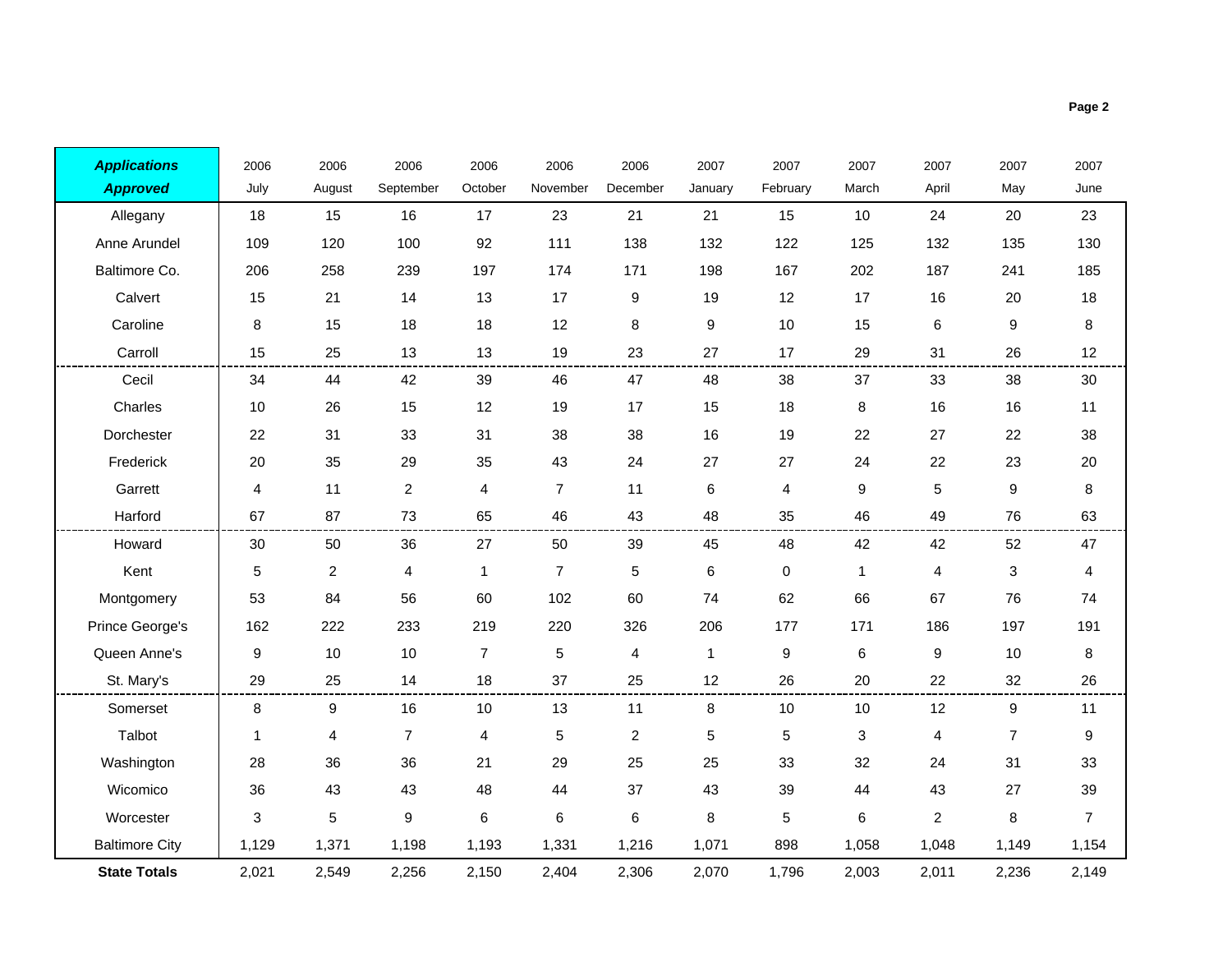| <b>Applications</b>   | 2006  | 2006                    | 2006           | 2006           | 2006           | 2006           | 2007         | 2007     | 2007         | 2007           | 2007             | 2007             |
|-----------------------|-------|-------------------------|----------------|----------------|----------------|----------------|--------------|----------|--------------|----------------|------------------|------------------|
| <b>Approved</b>       | July  | August                  | September      | October        | November       | December       | January      | February | March        | April          | May              | June             |
| Allegany              | 18    | 15                      | 16             | 17             | 23             | 21             | 21           | 15       | 10           | 24             | 20               | 23               |
| Anne Arundel          | 109   | 120                     | 100            | 92             | 111            | 138            | 132          | 122      | 125          | 132            | 135              | 130              |
| Baltimore Co.         | 206   | 258                     | 239            | 197            | 174            | 171            | 198          | 167      | 202          | 187            | 241              | 185              |
| Calvert               | 15    | 21                      | 14             | 13             | 17             | 9              | 19           | 12       | 17           | 16             | 20               | 18               |
| Caroline              | 8     | 15                      | 18             | 18             | 12             | 8              | 9            | 10       | 15           | $\,6$          | 9                | 8                |
| Carroll               | 15    | 25                      | 13             | 13             | 19             | 23             | 27           | 17       | 29           | 31             | 26               | 12               |
| Cecil                 | 34    | 44                      | 42             | 39             | 46             | 47             | 48           | 38       | 37           | 33             | 38               | 30               |
| Charles               | 10    | 26                      | 15             | 12             | 19             | 17             | 15           | 18       | 8            | 16             | 16               | 11               |
| Dorchester            | 22    | 31                      | 33             | 31             | 38             | 38             | 16           | 19       | 22           | 27             | 22               | 38               |
| Frederick             | 20    | 35                      | 29             | 35             | 43             | 24             | 27           | 27       | 24           | 22             | 23               | 20               |
| Garrett               | 4     | 11                      | $\overline{c}$ | 4              | $\overline{7}$ | 11             | 6            | 4        | 9            | 5              | $\boldsymbol{9}$ | 8                |
| Harford               | 67    | 87                      | 73             | 65             | 46             | 43             | 48           | 35       | 46           | 49             | 76               | 63               |
| Howard                | 30    | 50                      | 36             | 27             | 50             | 39             | 45           | 48       | 42           | 42             | 52               | 47               |
| Kent                  | 5     | $\overline{\mathbf{c}}$ | 4              | 1              | $\overline{7}$ | $\,$ 5 $\,$    | 6            | 0        | $\mathbf{1}$ | 4              | 3                | 4                |
| Montgomery            | 53    | 84                      | 56             | 60             | 102            | 60             | 74           | 62       | 66           | 67             | 76               | 74               |
| Prince George's       | 162   | 222                     | 233            | 219            | 220            | 326            | 206          | 177      | 171          | 186            | 197              | 191              |
| Queen Anne's          | 9     | 10                      | 10             | $\overline{7}$ | 5              | $\overline{4}$ | $\mathbf{1}$ | 9        | $\,6$        | 9              | 10               | 8                |
| St. Mary's            | 29    | 25                      | 14             | 18             | 37             | 25             | 12           | 26       | 20           | 22             | 32               | 26               |
| Somerset              | 8     | 9                       | 16             | 10             | 13             | 11             | 8            | 10       | 10           | 12             | 9                | 11               |
| Talbot                | 1     | 4                       | $\overline{7}$ | 4              | 5              | $\sqrt{2}$     | 5            | 5        | 3            | 4              | $\overline{7}$   | $\boldsymbol{9}$ |
| Washington            | 28    | 36                      | 36             | 21             | 29             | 25             | 25           | 33       | 32           | 24             | 31               | 33               |
| Wicomico              | 36    | 43                      | 43             | 48             | 44             | 37             | 43           | 39       | 44           | 43             | 27               | 39               |
| Worcester             | 3     | 5                       | 9              | 6              | 6              | $\,6$          | 8            | 5        | 6            | $\overline{a}$ | 8                | $\overline{7}$   |
| <b>Baltimore City</b> | 1,129 | 1,371                   | 1,198          | 1,193          | 1,331          | 1,216          | 1,071        | 898      | 1,058        | 1,048          | 1,149            | 1,154            |

2,021 2,549 2,256 2,150 2,404 2,306 2,070 1,796 2,003 2,011 2,236 2,149

**State Totals**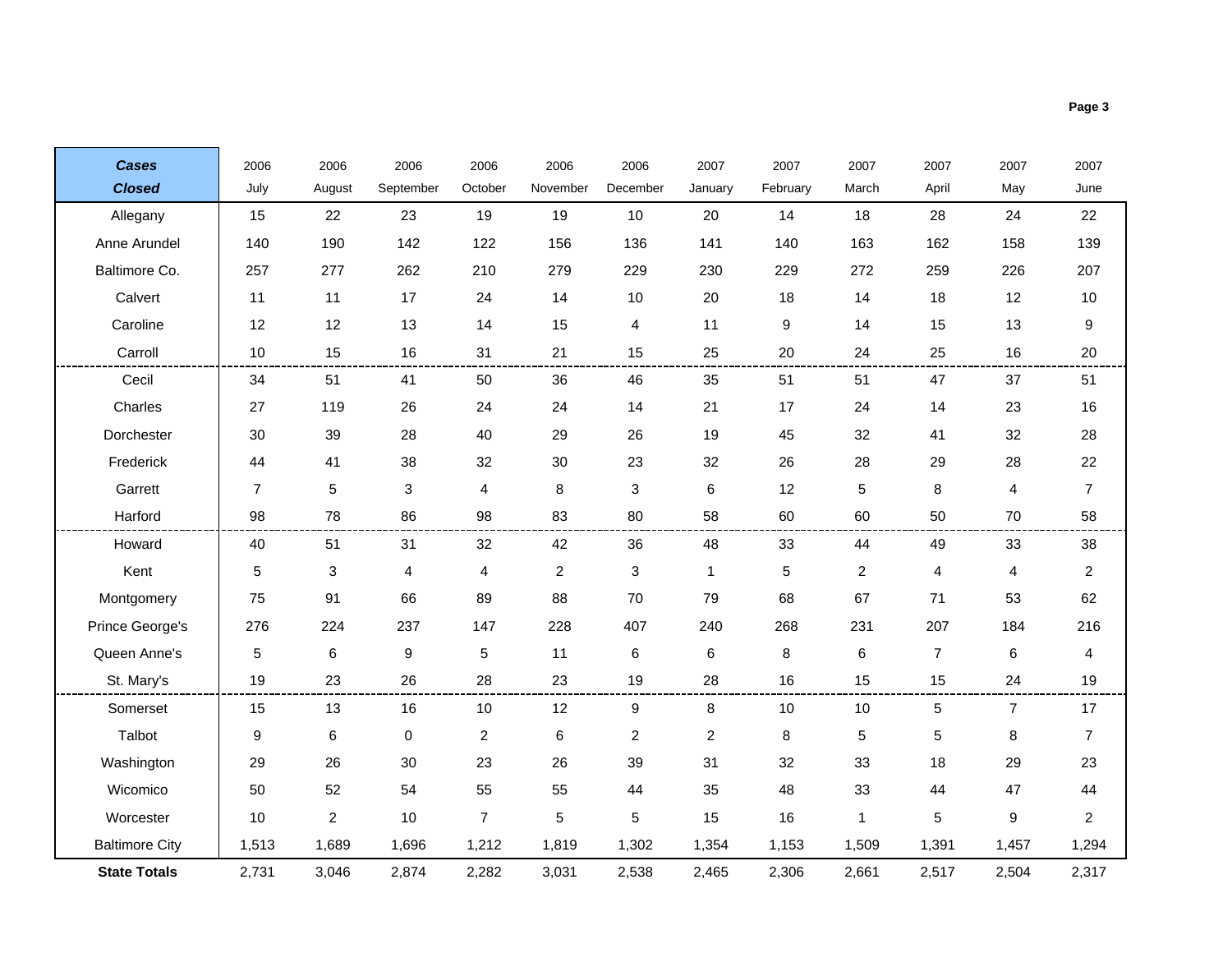| <b>Cases</b>          | 2006           | 2006           | 2006      | 2006           | 2006           | 2006                      | 2007           | 2007     | 2007           | 2007           | 2007                    | 2007             |
|-----------------------|----------------|----------------|-----------|----------------|----------------|---------------------------|----------------|----------|----------------|----------------|-------------------------|------------------|
| <b>Closed</b>         | July           | August         | September | October        | November       | December                  | January        | February | March          | April          | May                     | June             |
| Allegany              | 15             | 22             | 23        | 19             | 19             | 10                        | 20             | 14       | 18             | 28             | 24                      | 22               |
| Anne Arundel          | 140            | 190            | 142       | 122            | 156            | 136                       | 141            | 140      | 163            | 162            | 158                     | 139              |
| Baltimore Co.         | 257            | 277            | 262       | 210            | 279            | 229                       | 230            | 229      | 272            | 259            | 226                     | 207              |
| Calvert               | 11             | 11             | 17        | 24             | 14             | 10                        | 20             | 18       | 14             | 18             | 12                      | 10               |
| Caroline              | 12             | 12             | 13        | 14             | 15             | 4                         | 11             | 9        | 14             | 15             | 13                      | 9                |
| Carroll               | 10             | 15             | 16        | 31             | 21             | 15                        | 25             | 20       | 24             | 25             | 16                      | 20               |
| Cecil                 | 34             | 51             | 41        | 50             | 36             | 46                        | 35             | 51       | 51             | 47             | 37                      | 51               |
| Charles               | 27             | 119            | 26        | 24             | 24             | 14                        | 21             | 17       | 24             | 14             | 23                      | 16               |
| Dorchester            | 30             | 39             | 28        | 40             | 29             | 26                        | 19             | 45       | 32             | 41             | 32                      | 28               |
| Frederick             | 44             | 41             | 38        | 32             | 30             | 23                        | 32             | 26       | 28             | 29             | 28                      | 22               |
| Garrett               | $\overline{7}$ | $\sqrt{5}$     | 3         | 4              | 8              | $\mathbf{3}$              | 6              | 12       | 5              | 8              | $\overline{\mathbf{4}}$ | $\overline{7}$   |
| Harford               | 98             | 78             | 86        | 98             | 83             | 80                        | 58             | 60       | 60             | 50             | 70                      | 58               |
| Howard                | 40             | 51             | 31        | 32             | 42             | 36                        | 48             | 33       | 44             | 49             | 33                      | 38               |
| Kent                  | $\mathbf 5$    | $\sqrt{3}$     | 4         | 4              | $\overline{a}$ | $\ensuremath{\mathsf{3}}$ | 1              | 5        | $\overline{c}$ | 4              | $\overline{4}$          | $\boldsymbol{2}$ |
| Montgomery            | 75             | 91             | 66        | 89             | 88             | 70                        | 79             | 68       | 67             | 71             | 53                      | 62               |
| Prince George's       | 276            | 224            | 237       | 147            | 228            | 407                       | 240            | 268      | 231            | 207            | 184                     | 216              |
| Queen Anne's          | $\mathbf 5$    | 6              | 9         | 5              | 11             | $\,6$                     | 6              | 8        | 6              | $\overline{7}$ | 6                       | 4                |
| St. Mary's            | 19             | 23             | 26        | 28             | 23             | 19                        | 28             | 16       | 15             | 15             | 24                      | 19               |
| Somerset              | 15             | 13             | 16        | $10$           | 12             | 9                         | 8              | 10       | 10             | 5              | 7                       | 17               |
| Talbot                | 9              | $\,6\,$        | 0         | $\overline{c}$ | 6              | $\overline{c}$            | $\overline{c}$ | $\bf 8$  | $\mathbf 5$    | 5              | 8                       | $\overline{7}$   |
| Washington            | 29             | 26             | 30        | 23             | 26             | 39                        | 31             | 32       | 33             | 18             | 29                      | 23               |
| Wicomico              | 50             | 52             | 54        | 55             | 55             | 44                        | 35             | 48       | 33             | 44             | 47                      | 44               |
| Worcester             | 10             | $\overline{2}$ | 10        | $\overline{7}$ | 5              | 5                         | 15             | 16       | 1              | 5              | 9                       | 2                |
| <b>Baltimore City</b> | 1,513          | 1,689          | 1,696     | 1,212          | 1,819          | 1,302                     | 1,354          | 1,153    | 1,509          | 1,391          | 1,457                   | 1,294            |
| <b>State Totals</b>   | 2,731          | 3,046          | 2,874     | 2,282          | 3,031          | 2,538                     | 2,465          | 2,306    | 2,661          | 2,517          | 2,504                   | 2,317            |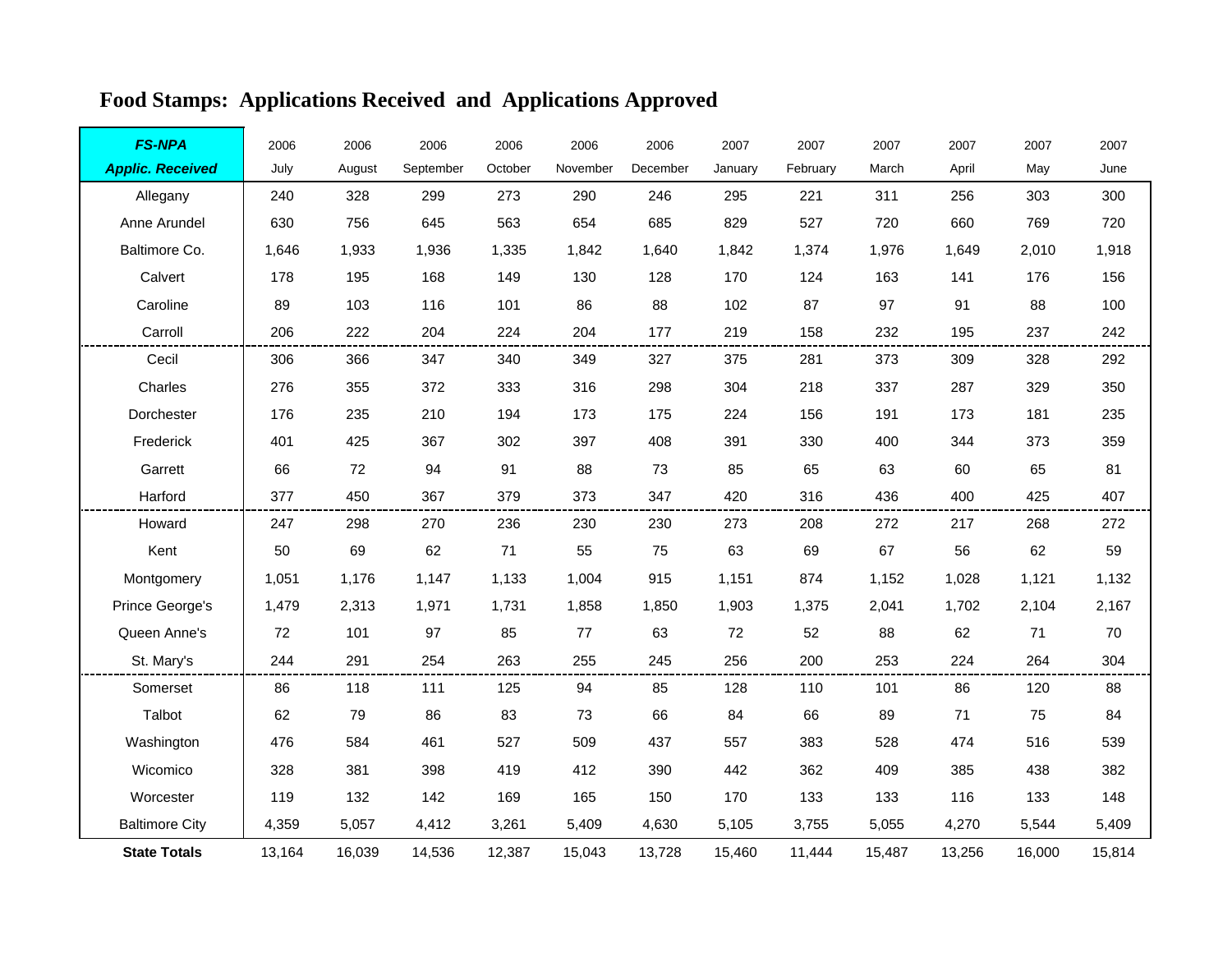| <b>FS-NPA</b>           | 2006   | 2006   | 2006      | 2006    | 2006     | 2006     | 2007    | 2007     | 2007   | 2007   | 2007   | 2007   |
|-------------------------|--------|--------|-----------|---------|----------|----------|---------|----------|--------|--------|--------|--------|
| <b>Applic. Received</b> | July   | August | September | October | November | December | January | February | March  | April  | May    | June   |
| Allegany                | 240    | 328    | 299       | 273     | 290      | 246      | 295     | 221      | 311    | 256    | 303    | 300    |
| Anne Arundel            | 630    | 756    | 645       | 563     | 654      | 685      | 829     | 527      | 720    | 660    | 769    | 720    |
| Baltimore Co.           | 1,646  | 1,933  | 1,936     | 1,335   | 1,842    | 1,640    | 1,842   | 1,374    | 1,976  | 1,649  | 2,010  | 1,918  |
| Calvert                 | 178    | 195    | 168       | 149     | 130      | 128      | 170     | 124      | 163    | 141    | 176    | 156    |
| Caroline                | 89     | 103    | 116       | 101     | 86       | 88       | 102     | 87       | 97     | 91     | 88     | 100    |
| Carroll                 | 206    | 222    | 204       | 224     | 204      | 177      | 219     | 158      | 232    | 195    | 237    | 242    |
| Cecil                   | 306    | 366    | 347       | 340     | 349      | 327      | 375     | 281      | 373    | 309    | 328    | 292    |
| Charles                 | 276    | 355    | 372       | 333     | 316      | 298      | 304     | 218      | 337    | 287    | 329    | 350    |
| Dorchester              | 176    | 235    | 210       | 194     | 173      | 175      | 224     | 156      | 191    | 173    | 181    | 235    |
| Frederick               | 401    | 425    | 367       | 302     | 397      | 408      | 391     | 330      | 400    | 344    | 373    | 359    |
| Garrett                 | 66     | 72     | 94        | 91      | 88       | 73       | 85      | 65       | 63     | 60     | 65     | 81     |
| Harford                 | 377    | 450    | 367       | 379     | 373      | 347      | 420     | 316      | 436    | 400    | 425    | 407    |
| Howard                  | 247    | 298    | 270       | 236     | 230      | 230      | 273     | 208      | 272    | 217    | 268    | 272    |
| Kent                    | 50     | 69     | 62        | 71      | 55       | 75       | 63      | 69       | 67     | 56     | 62     | 59     |
| Montgomery              | 1,051  | 1,176  | 1,147     | 1,133   | 1,004    | 915      | 1,151   | 874      | 1,152  | 1,028  | 1,121  | 1,132  |
| Prince George's         | 1,479  | 2,313  | 1,971     | 1,731   | 1,858    | 1,850    | 1,903   | 1,375    | 2,041  | 1,702  | 2,104  | 2,167  |
| Queen Anne's            | 72     | 101    | 97        | 85      | 77       | 63       | 72      | 52       | 88     | 62     | 71     | 70     |
| St. Mary's              | 244    | 291    | 254       | 263     | 255      | 245      | 256     | 200      | 253    | 224    | 264    | 304    |
| Somerset                | 86     | 118    | 111       | 125     | 94       | 85       | 128     | 110      | 101    | 86     | 120    | 88     |
| Talbot                  | 62     | 79     | 86        | 83      | 73       | 66       | 84      | 66       | 89     | 71     | 75     | 84     |
| Washington              | 476    | 584    | 461       | 527     | 509      | 437      | 557     | 383      | 528    | 474    | 516    | 539    |
| Wicomico                | 328    | 381    | 398       | 419     | 412      | 390      | 442     | 362      | 409    | 385    | 438    | 382    |
| Worcester               | 119    | 132    | 142       | 169     | 165      | 150      | 170     | 133      | 133    | 116    | 133    | 148    |
| <b>Baltimore City</b>   | 4,359  | 5,057  | 4,412     | 3,261   | 5,409    | 4,630    | 5,105   | 3,755    | 5,055  | 4,270  | 5,544  | 5,409  |
| <b>State Totals</b>     | 13,164 | 16,039 | 14,536    | 12,387  | 15,043   | 13,728   | 15,460  | 11.444   | 15,487 | 13,256 | 16,000 | 15,814 |

# **Food Stamps: Applications Received and Applications Approved**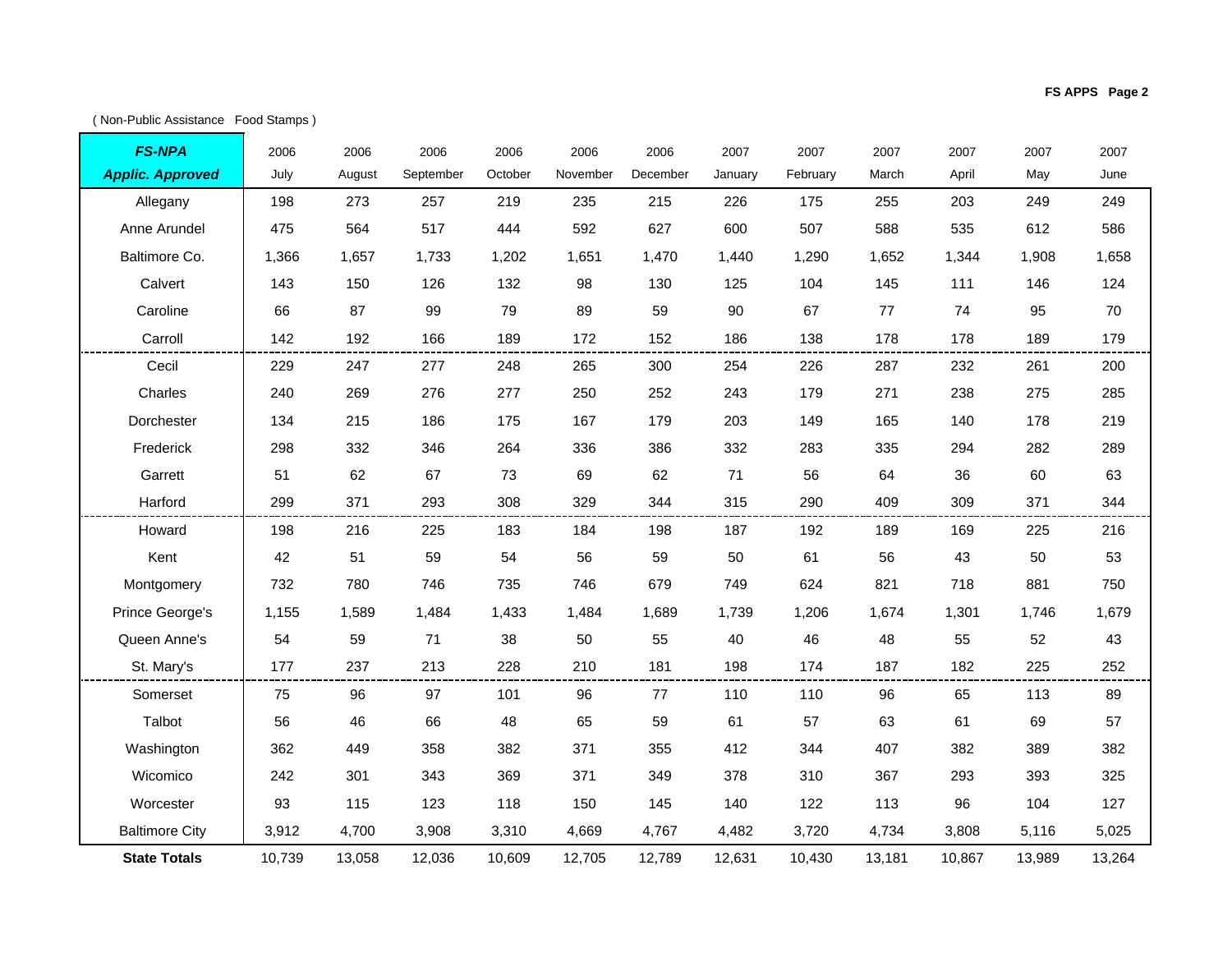( Non-Public Assistance Food Stamps )

٦

r

| <b>FS-NPA</b>           | 2006   | 2006   | 2006      | 2006    | 2006     | 2006     | 2007    | 2007     | 2007   | 2007   | 2007   | 2007   |
|-------------------------|--------|--------|-----------|---------|----------|----------|---------|----------|--------|--------|--------|--------|
| <b>Applic. Approved</b> | July   | August | September | October | November | December | January | February | March  | April  | May    | June   |
| Allegany                | 198    | 273    | 257       | 219     | 235      | 215      | 226     | 175      | 255    | 203    | 249    | 249    |
| Anne Arundel            | 475    | 564    | 517       | 444     | 592      | 627      | 600     | 507      | 588    | 535    | 612    | 586    |
| Baltimore Co.           | 1,366  | 1,657  | 1,733     | 1,202   | 1,651    | 1,470    | 1.440   | 1,290    | 1,652  | 1,344  | 1,908  | 1,658  |
| Calvert                 | 143    | 150    | 126       | 132     | 98       | 130      | 125     | 104      | 145    | 111    | 146    | 124    |
| Caroline                | 66     | 87     | 99        | 79      | 89       | 59       | 90      | 67       | 77     | 74     | 95     | 70     |
| Carroll                 | 142    | 192    | 166       | 189     | 172      | 152      | 186     | 138      | 178    | 178    | 189    | 179    |
| Cecil                   | 229    | 247    | 277       | 248     | 265      | 300      | 254     | 226      | 287    | 232    | 261    | 200    |
| Charles                 | 240    | 269    | 276       | 277     | 250      | 252      | 243     | 179      | 271    | 238    | 275    | 285    |
| Dorchester              | 134    | 215    | 186       | 175     | 167      | 179      | 203     | 149      | 165    | 140    | 178    | 219    |
| Frederick               | 298    | 332    | 346       | 264     | 336      | 386      | 332     | 283      | 335    | 294    | 282    | 289    |
| Garrett                 | 51     | 62     | 67        | 73      | 69       | 62       | 71      | 56       | 64     | 36     | 60     | 63     |
| Harford                 | 299    | 371    | 293       | 308     | 329      | 344      | 315     | 290      | 409    | 309    | 371    | 344    |
| Howard                  | 198    | 216    | 225       | 183     | 184      | 198      | 187     | 192      | 189    | 169    | 225    | 216    |
| Kent                    | 42     | 51     | 59        | 54      | 56       | 59       | 50      | 61       | 56     | 43     | 50     | 53     |
| Montgomery              | 732    | 780    | 746       | 735     | 746      | 679      | 749     | 624      | 821    | 718    | 881    | 750    |
| Prince George's         | 1,155  | 1,589  | 1,484     | 1,433   | 1,484    | 1,689    | 1,739   | 1,206    | 1,674  | 1,301  | 1,746  | 1,679  |
| Queen Anne's            | 54     | 59     | 71        | 38      | 50       | 55       | 40      | 46       | 48     | 55     | 52     | 43     |
| St. Mary's              | 177    | 237    | 213       | 228     | 210      | 181      | 198     | 174      | 187    | 182    | 225    | 252    |
| Somerset                | 75     | 96     | 97        | 101     | 96       | 77       | 110     | 110      | 96     | 65     | 113    | 89     |
| Talbot                  | 56     | 46     | 66        | 48      | 65       | 59       | 61      | 57       | 63     | 61     | 69     | 57     |
| Washington              | 362    | 449    | 358       | 382     | 371      | 355      | 412     | 344      | 407    | 382    | 389    | 382    |
| Wicomico                | 242    | 301    | 343       | 369     | 371      | 349      | 378     | 310      | 367    | 293    | 393    | 325    |
| Worcester               | 93     | 115    | 123       | 118     | 150      | 145      | 140     | 122      | 113    | 96     | 104    | 127    |
| <b>Baltimore City</b>   | 3,912  | 4,700  | 3,908     | 3,310   | 4,669    | 4,767    | 4,482   | 3,720    | 4,734  | 3,808  | 5,116  | 5,025  |
| <b>State Totals</b>     | 10,739 | 13,058 | 12,036    | 10,609  | 12,705   | 12,789   | 12,631  | 10,430   | 13,181 | 10,867 | 13,989 | 13,264 |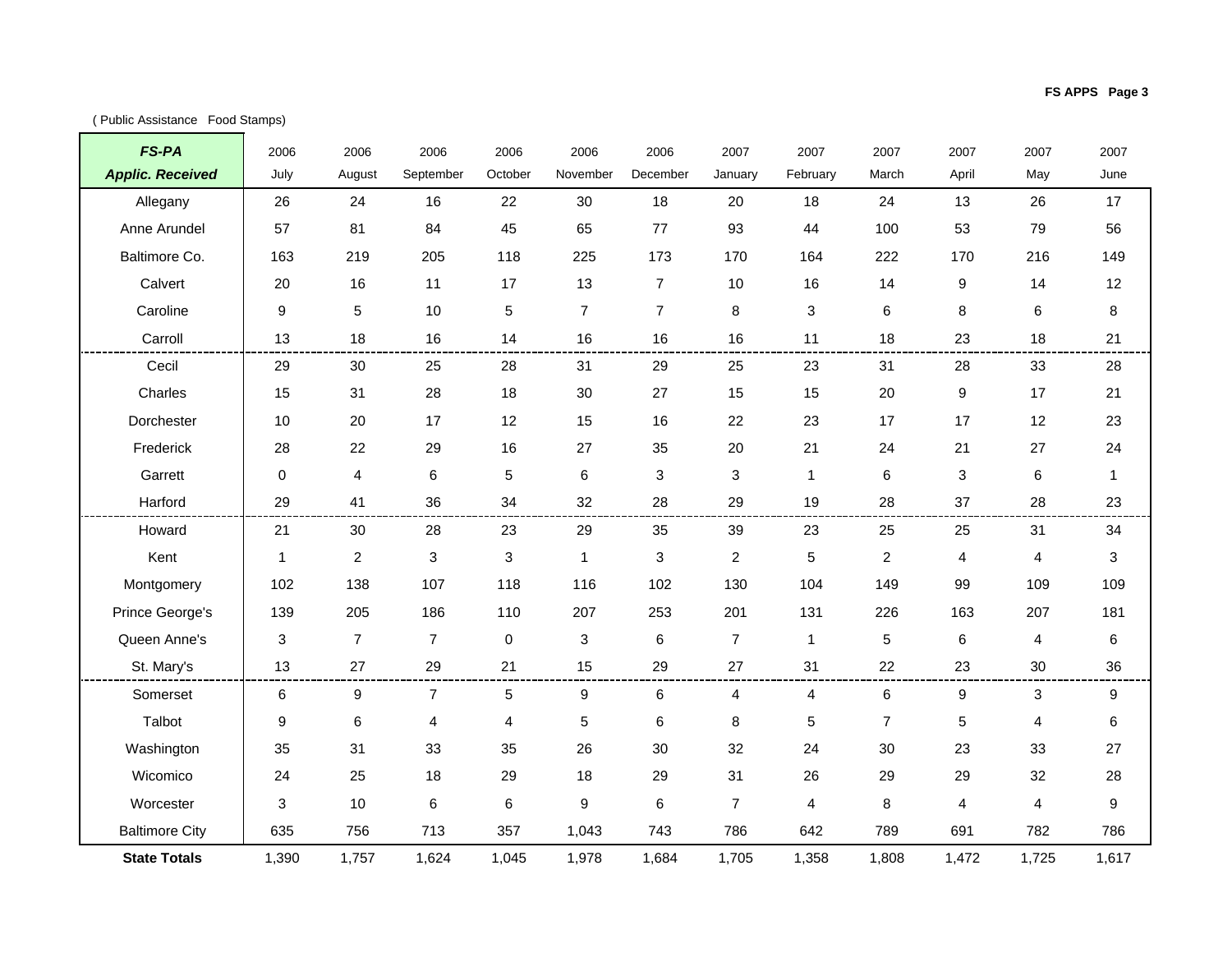$\mathcal{L}^{\text{max}}$ 

| <b>FS-PA</b>            | 2006                      | 2006             | 2006           | 2006    | 2006             | 2006                      | 2007           | 2007           | 2007           | 2007           | 2007  | 2007         |
|-------------------------|---------------------------|------------------|----------------|---------|------------------|---------------------------|----------------|----------------|----------------|----------------|-------|--------------|
| <b>Applic. Received</b> | July                      | August           | September      | October | November         | December                  | January        | February       | March          | April          | May   | June         |
| Allegany                | 26                        | 24               | 16             | 22      | 30               | 18                        | 20             | 18             | 24             | 13             | 26    | 17           |
| Anne Arundel            | 57                        | 81               | 84             | 45      | 65               | 77                        | 93             | 44             | 100            | 53             | 79    | 56           |
| Baltimore Co.           | 163                       | 219              | 205            | 118     | 225              | 173                       | 170            | 164            | 222            | 170            | 216   | 149          |
| Calvert                 | 20                        | 16               | 11             | 17      | 13               | $\overline{7}$            | 10             | 16             | 14             | 9              | 14    | 12           |
| Caroline                | $\boldsymbol{9}$          | 5                | 10             | 5       | $\overline{7}$   | $\overline{7}$            | 8              | 3              | 6              | 8              | 6     | 8            |
| Carroll                 | 13                        | 18               | 16             | 14      | 16               | 16                        | 16             | 11             | 18             | 23             | 18    | 21           |
| Cecil                   | 29                        | 30               | 25             | 28      | 31               | 29                        | 25             | 23             | 31             | 28             | 33    | 28           |
| Charles                 | 15                        | 31               | 28             | 18      | 30               | 27                        | 15             | 15             | 20             | 9              | 17    | 21           |
| Dorchester              | 10                        | 20               | 17             | 12      | 15               | 16                        | 22             | 23             | 17             | 17             | 12    | 23           |
| Frederick               | 28                        | 22               | 29             | 16      | 27               | 35                        | 20             | 21             | 24             | 21             | 27    | 24           |
| Garrett                 | $\mathbf 0$               | $\overline{4}$   | 6              | 5       | 6                | 3                         | 3              | $\mathbf{1}$   | 6              | 3              | 6     | $\mathbf{1}$ |
| Harford                 | 29                        | 41               | 36             | 34      | 32               | 28                        | 29             | 19             | 28             | 37             | 28    | 23           |
| Howard                  | 21                        | 30               | 28             | 23      | 29               | 35                        | 39             | 23             | 25             | 25             | 31    | 34           |
| Kent                    | $\mathbf{1}$              | $\boldsymbol{2}$ | 3              | 3       | $\mathbf{1}$     | $\ensuremath{\mathsf{3}}$ | $\overline{a}$ | 5              | $\overline{a}$ | 4              | 4     | 3            |
| Montgomery              | 102                       | 138              | 107            | 118     | 116              | 102                       | 130            | 104            | 149            | 99             | 109   | 109          |
| Prince George's         | 139                       | 205              | 186            | 110     | 207              | 253                       | 201            | 131            | 226            | 163            | 207   | 181          |
| Queen Anne's            | $\ensuremath{\mathsf{3}}$ | $\overline{7}$   | $\overline{7}$ | 0       | 3                | 6                         | $\overline{7}$ | $\mathbf{1}$   | 5              | 6              | 4     | 6            |
| St. Mary's              | 13                        | 27               | 29             | 21      | 15               | 29                        | 27             | 31             | 22             | 23             | 30    | 36           |
| Somerset                | $\,6\,$                   | $\boldsymbol{9}$ | $\overline{7}$ | 5       | $\boldsymbol{9}$ | 6                         | 4              | 4              | 6              | 9              | 3     | 9            |
| Talbot                  | 9                         | 6                | 4              | 4       | 5                | 6                         | 8              | 5              | $\overline{7}$ | 5              | 4     | 6            |
| Washington              | 35                        | 31               | 33             | 35      | 26               | 30                        | 32             | 24             | 30             | 23             | 33    | 27           |
| Wicomico                | 24                        | 25               | 18             | 29      | 18               | 29                        | 31             | 26             | 29             | 29             | 32    | 28           |
| Worcester               | 3                         | 10               | 6              | 6       | 9                | $\,6$                     | $\overline{7}$ | $\overline{4}$ | 8              | $\overline{4}$ | 4     | 9            |
| <b>Baltimore City</b>   | 635                       | 756              | 713            | 357     | 1,043            | 743                       | 786            | 642            | 789            | 691            | 782   | 786          |
| <b>State Totals</b>     | 1,390                     | 1,757            | 1,624          | 1,045   | 1,978            | 1.684                     | 1,705          | 1,358          | 1.808          | 1,472          | 1,725 | 1,617        |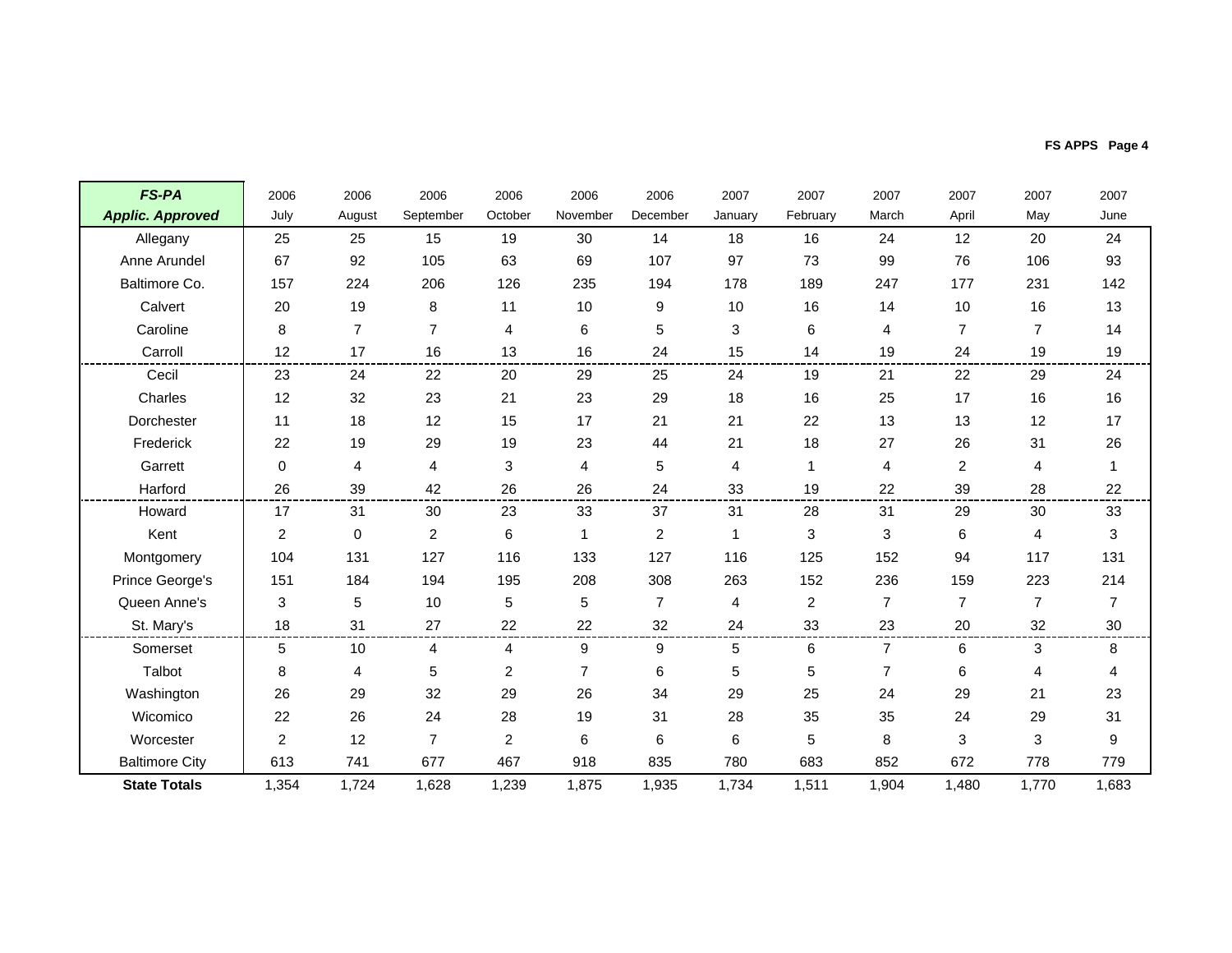| FS APPS Page 4 |  |
|----------------|--|
|----------------|--|

| <b>FS-PA</b>            | 2006           | 2006           | 2006           | 2006                    | 2006           | 2006           | 2007    | 2007         | 2007           | 2007           | 2007           | 2007           |
|-------------------------|----------------|----------------|----------------|-------------------------|----------------|----------------|---------|--------------|----------------|----------------|----------------|----------------|
| <b>Applic. Approved</b> | July           | August         | September      | October                 | November       | December       | January | February     | March          | April          | May            | June           |
| Allegany                | 25             | 25             | 15             | 19                      | 30             | 14             | 18      | 16           | 24             | 12             | 20             | 24             |
| Anne Arundel            | 67             | 92             | 105            | 63                      | 69             | 107            | 97      | 73           | 99             | 76             | 106            | 93             |
| Baltimore Co.           | 157            | 224            | 206            | 126                     | 235            | 194            | 178     | 189          | 247            | 177            | 231            | 142            |
| Calvert                 | 20             | 19             | 8              | 11                      | 10             | 9              | $10$    | 16           | 14             | 10             | 16             | 13             |
| Caroline                | 8              | $\overline{7}$ | 7              | 4                       | 6              | 5              | 3       | 6            | 4              | $\overline{7}$ | $\overline{7}$ | 14             |
| Carroll                 | 12             | 17             | 16             | 13                      | 16             | 24             | 15      | 14           | 19             | 24             | 19             | 19             |
| Cecil                   | 23             | 24             | 22             | 20                      | 29             | 25             | 24      | 19           | 21             | 22             | 29             | 24             |
| Charles                 | 12             | 32             | 23             | 21                      | 23             | 29             | 18      | 16           | 25             | 17             | 16             | 16             |
| Dorchester              | 11             | 18             | 12             | 15                      | 17             | 21             | 21      | 22           | 13             | 13             | 12             | 17             |
| Frederick               | 22             | 19             | 29             | 19                      | 23             | 44             | 21      | 18           | 27             | 26             | 31             | 26             |
| Garrett                 | 0              | 4              | 4              | 3                       | 4              | 5              | 4       | $\mathbf{1}$ | 4              | $\overline{2}$ | 4              | 1              |
| Harford                 | 26             | 39             | 42             | 26                      | 26             | 24             | 33      | 19           | 22             | 39             | 28             | 22             |
| Howard                  | 17             | 31             | 30             | 23                      | 33             | 37             | 31      | 28           | 31             | 29             | 30             | 33             |
| Kent                    | 2              | $\mathbf 0$    | 2              | 6                       | 1              | $\overline{2}$ |         | 3            | 3              | 6              | 4              | 3              |
| Montgomery              | 104            | 131            | 127            | 116                     | 133            | 127            | 116     | 125          | 152            | 94             | 117            | 131            |
| Prince George's         | 151            | 184            | 194            | 195                     | 208            | 308            | 263     | 152          | 236            | 159            | 223            | 214            |
| Queen Anne's            | 3              | 5              | 10             | 5                       | 5              | $\overline{7}$ | 4       | 2            | $\overline{7}$ | $\overline{7}$ | $\overline{7}$ | $\overline{7}$ |
| St. Mary's              | 18             | 31             | 27             | 22                      | 22             | 32             | 24      | 33           | 23             | 20             | 32             | 30             |
| Somerset                | 5              | 10             | 4              | 4                       | 9              | 9              | 5       | 6            | $\overline{7}$ | 6              | 3              | 8              |
| Talbot                  | 8              | 4              | 5              | $\overline{\mathbf{c}}$ | $\overline{7}$ | 6              | 5       | 5            | $\overline{7}$ | 6              | 4              | 4              |
| Washington              | 26             | 29             | 32             | 29                      | 26             | 34             | 29      | 25           | 24             | 29             | 21             | 23             |
| Wicomico                | 22             | 26             | 24             | 28                      | 19             | 31             | 28      | 35           | 35             | 24             | 29             | 31             |
| Worcester               | $\overline{c}$ | 12             | $\overline{7}$ | $\overline{c}$          | 6              | 6              | 6       | 5            | 8              | 3              | 3              | 9              |
| <b>Baltimore City</b>   | 613            | 741            | 677            | 467                     | 918            | 835            | 780     | 683          | 852            | 672            | 778            | 779            |
| <b>State Totals</b>     | 1,354          | 1,724          | 1,628          | 1,239                   | 1,875          | 1,935          | 1,734   | 1,511        | 1.904          | 1,480          | 1.770          | 1,683          |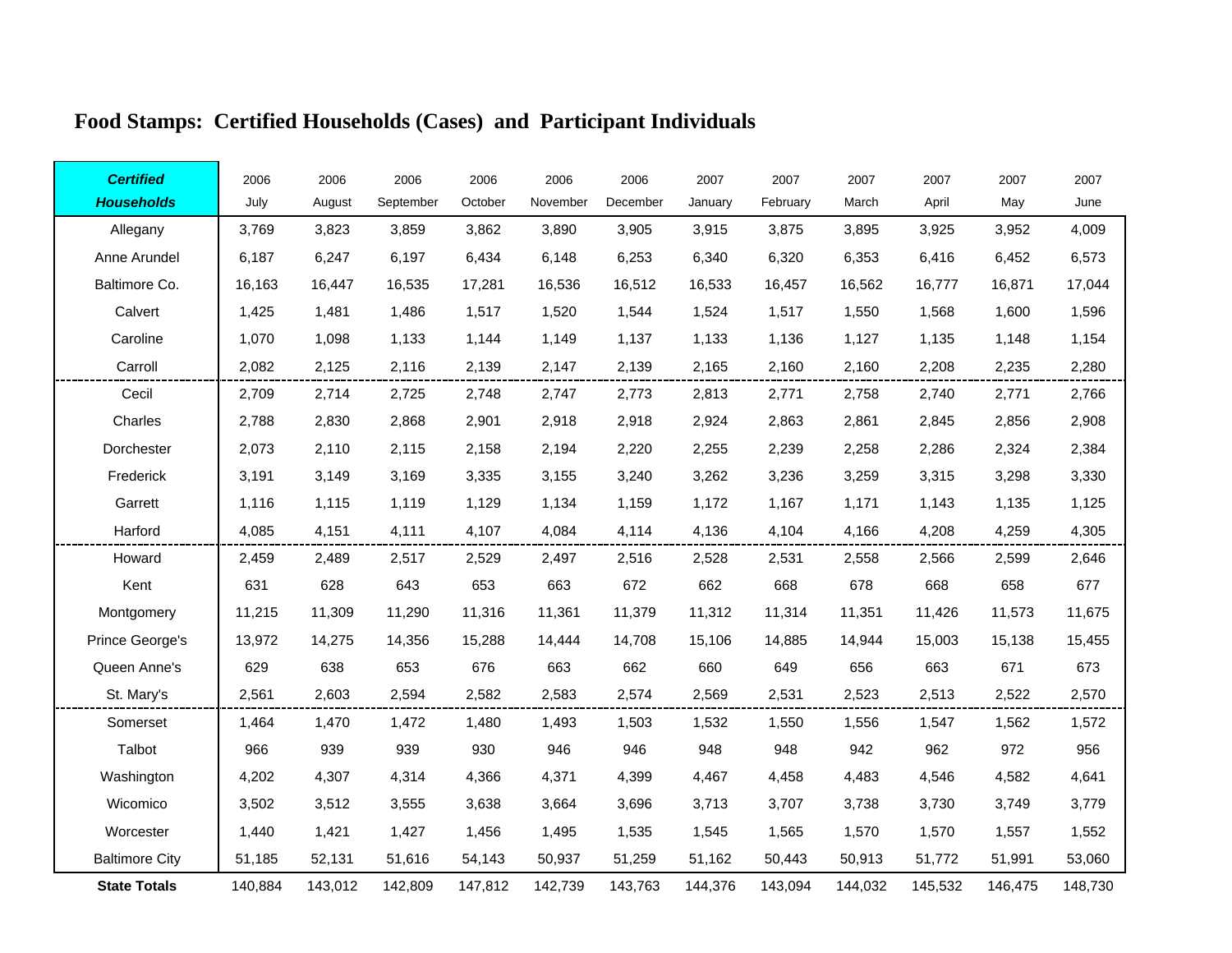| <b>Certified</b>      | 2006    | 2006    | 2006      | 2006    | 2006     | 2006     | 2007    | 2007     | 2007    | 2007    | 2007    | 2007    |
|-----------------------|---------|---------|-----------|---------|----------|----------|---------|----------|---------|---------|---------|---------|
| <b>Households</b>     | July    | August  | September | October | November | December | January | February | March   | April   | May     | June    |
| Allegany              | 3,769   | 3,823   | 3,859     | 3,862   | 3,890    | 3,905    | 3,915   | 3,875    | 3,895   | 3,925   | 3,952   | 4,009   |
| Anne Arundel          | 6,187   | 6,247   | 6,197     | 6,434   | 6,148    | 6,253    | 6,340   | 6,320    | 6,353   | 6,416   | 6,452   | 6,573   |
| Baltimore Co.         | 16,163  | 16,447  | 16,535    | 17,281  | 16,536   | 16,512   | 16,533  | 16,457   | 16,562  | 16,777  | 16,871  | 17,044  |
| Calvert               | 1,425   | 1,481   | 1,486     | 1,517   | 1,520    | 1,544    | 1,524   | 1,517    | 1,550   | 1,568   | 1,600   | 1,596   |
| Caroline              | 1,070   | 1,098   | 1,133     | 1,144   | 1,149    | 1,137    | 1,133   | 1,136    | 1,127   | 1,135   | 1,148   | 1,154   |
| Carroll               | 2,082   | 2,125   | 2,116     | 2,139   | 2,147    | 2,139    | 2,165   | 2,160    | 2,160   | 2,208   | 2,235   | 2,280   |
| Cecil                 | 2,709   | 2,714   | 2,725     | 2,748   | 2,747    | 2,773    | 2,813   | 2,771    | 2,758   | 2,740   | 2,771   | 2,766   |
| Charles               | 2,788   | 2,830   | 2,868     | 2,901   | 2,918    | 2,918    | 2,924   | 2,863    | 2,861   | 2,845   | 2,856   | 2,908   |
| Dorchester            | 2,073   | 2,110   | 2,115     | 2,158   | 2,194    | 2,220    | 2,255   | 2,239    | 2,258   | 2,286   | 2,324   | 2,384   |
| Frederick             | 3,191   | 3,149   | 3,169     | 3,335   | 3,155    | 3,240    | 3,262   | 3,236    | 3,259   | 3,315   | 3,298   | 3,330   |
| Garrett               | 1,116   | 1,115   | 1,119     | 1,129   | 1,134    | 1,159    | 1,172   | 1,167    | 1,171   | 1,143   | 1,135   | 1,125   |
| Harford               | 4,085   | 4,151   | 4,111     | 4,107   | 4,084    | 4,114    | 4,136   | 4,104    | 4,166   | 4,208   | 4,259   | 4,305   |
| Howard                | 2,459   | 2,489   | 2,517     | 2,529   | 2,497    | 2,516    | 2,528   | 2,531    | 2,558   | 2,566   | 2,599   | 2,646   |
| Kent                  | 631     | 628     | 643       | 653     | 663      | 672      | 662     | 668      | 678     | 668     | 658     | 677     |
| Montgomery            | 11,215  | 11,309  | 11,290    | 11,316  | 11,361   | 11,379   | 11,312  | 11,314   | 11,351  | 11,426  | 11,573  | 11,675  |
| Prince George's       | 13,972  | 14,275  | 14,356    | 15,288  | 14,444   | 14,708   | 15,106  | 14,885   | 14,944  | 15,003  | 15,138  | 15,455  |
| Queen Anne's          | 629     | 638     | 653       | 676     | 663      | 662      | 660     | 649      | 656     | 663     | 671     | 673     |
| St. Mary's            | 2,561   | 2,603   | 2,594     | 2,582   | 2,583    | 2,574    | 2,569   | 2,531    | 2,523   | 2,513   | 2,522   | 2,570   |
| Somerset              | 1,464   | 1,470   | 1,472     | 1,480   | 1,493    | 1,503    | 1,532   | 1,550    | 1,556   | 1,547   | 1,562   | 1,572   |
| Talbot                | 966     | 939     | 939       | 930     | 946      | 946      | 948     | 948      | 942     | 962     | 972     | 956     |
| Washington            | 4,202   | 4,307   | 4,314     | 4,366   | 4,371    | 4,399    | 4,467   | 4,458    | 4,483   | 4,546   | 4,582   | 4,641   |
| Wicomico              | 3,502   | 3,512   | 3,555     | 3,638   | 3,664    | 3,696    | 3,713   | 3,707    | 3,738   | 3,730   | 3,749   | 3,779   |
| Worcester             | 1,440   | 1,421   | 1,427     | 1,456   | 1,495    | 1,535    | 1,545   | 1,565    | 1,570   | 1,570   | 1,557   | 1,552   |
| <b>Baltimore City</b> | 51,185  | 52,131  | 51,616    | 54,143  | 50,937   | 51,259   | 51,162  | 50,443   | 50,913  | 51,772  | 51,991  | 53,060  |
| <b>State Totals</b>   | 140,884 | 143,012 | 142,809   | 147,812 | 142,739  | 143,763  | 144,376 | 143,094  | 144,032 | 145,532 | 146,475 | 148,730 |

## **Food Stamps: Certified Households (Cases) and Participant Individuals**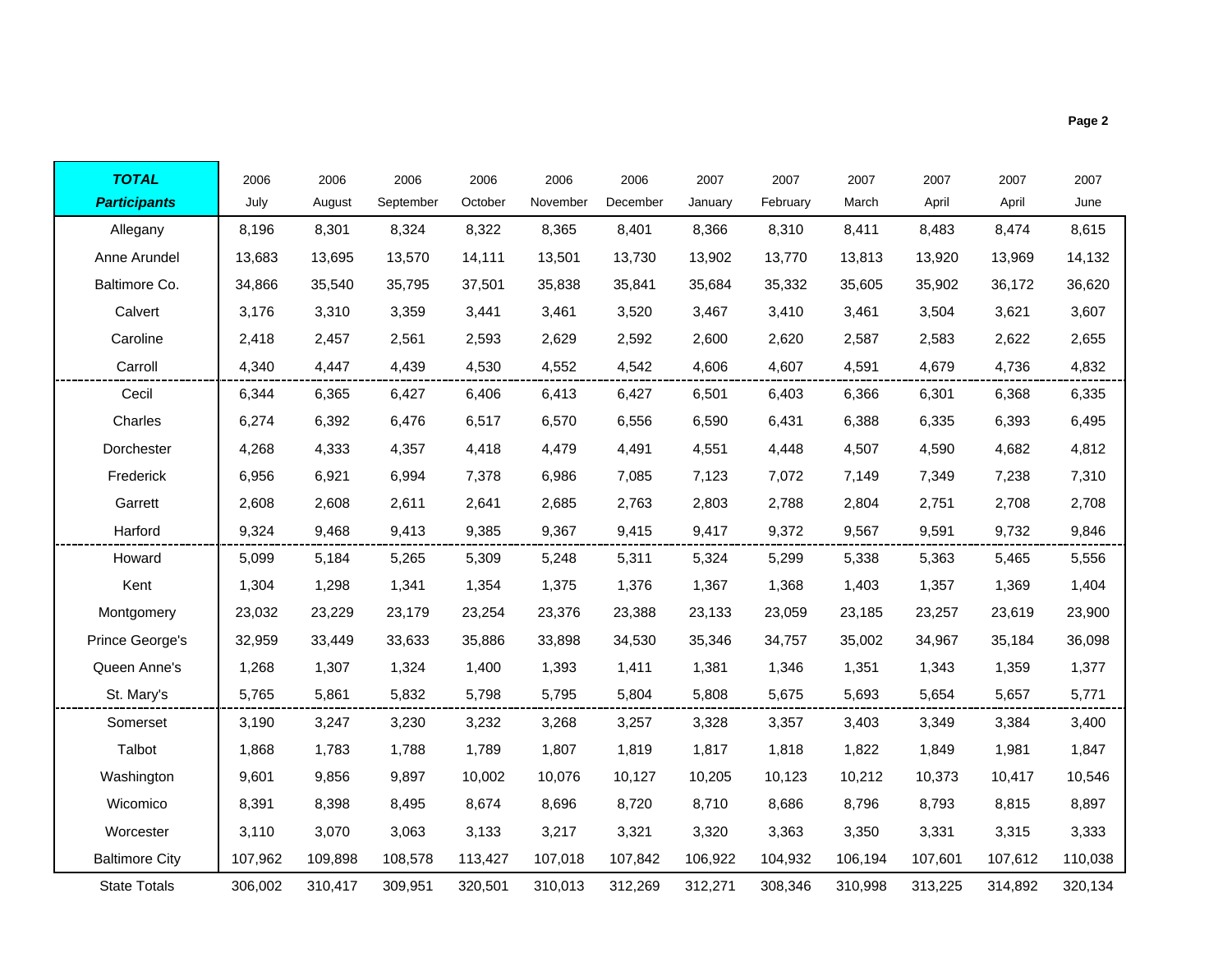| <b>TOTAL</b>        | 2006   | 2006   | 2006      | 2006    | 2006     | 2006     | 2007    | 2007     | 2007   | 2007   | 2007   | 2007   |
|---------------------|--------|--------|-----------|---------|----------|----------|---------|----------|--------|--------|--------|--------|
| <b>Participants</b> | July   | August | September | October | November | December | January | February | March  | April  | April  | June   |
| Allegany            | 8,196  | 8,301  | 8,324     | 8,322   | 8,365    | 8,401    | 8,366   | 8,310    | 8,411  | 8,483  | 8,474  | 8,615  |
| Anne Arundel        | 13,683 | 13,695 | 13,570    | 14,111  | 13,501   | 13,730   | 13,902  | 13,770   | 13,813 | 13,920 | 13,969 | 14,132 |
| Baltimore Co.       | 34,866 | 35,540 | 35,795    | 37,501  | 35,838   | 35,841   | 35,684  | 35,332   | 35,605 | 35,902 | 36,172 | 36,620 |
| Calvert             | 3,176  | 3,310  | 3,359     | 3,441   | 3,461    | 3,520    | 3,467   | 3,410    | 3,461  | 3,504  | 3,621  | 3,607  |
| Caroline            | 2,418  | 2,457  | 2,561     | 2,593   | 2,629    | 2,592    | 2,600   | 2,620    | 2,587  | 2,583  | 2,622  | 2,655  |
| Carroll             | 4,340  | 4,447  | 4,439     | 4,530   | 4,552    | 4,542    | 4,606   | 4,607    | 4,591  | 4,679  | 4,736  | 4,832  |
| Cecil               | 6,344  | 6,365  | 6,427     | 6,406   | 6,413    | 6,427    | 6,501   | 6,403    | 6,366  | 6,301  | 6,368  | 6,335  |
| Charles             | 6,274  | 6,392  | 6,476     | 6,517   | 6,570    | 6,556    | 6,590   | 6,431    | 6,388  | 6,335  | 6,393  | 6,495  |
| Dorchester          | 4,268  | 4,333  | 4,357     | 4,418   | 4,479    | 4,491    | 4,551   | 4,448    | 4,507  | 4,590  | 4,682  | 4,812  |
| Frederick           | 6,956  | 6,921  | 6,994     | 7,378   | 6,986    | 7,085    | 7,123   | 7,072    | 7,149  | 7,349  | 7,238  | 7,310  |
| Garrett             | 2,608  | 2,608  | 2,611     | 2,641   | 2,685    | 2,763    | 2,803   | 2,788    | 2,804  | 2,751  | 2,708  | 2,708  |
| Harford             | 9,324  | 9,468  | 9,413     | 9,385   | 9,367    | 9,415    | 9,417   | 9,372    | 9,567  | 9,591  | 9,732  | 9,846  |
| Howard              | 5,099  | 5,184  | 5,265     | 5,309   | 5,248    | 5,311    | 5,324   | 5,299    | 5,338  | 5,363  | 5,465  | 5,556  |
| Kent                | 1,304  | 1,298  | 1,341     | 1,354   | 1,375    | 1,376    | 1,367   | 1,368    | 1,403  | 1,357  | 1,369  | 1,404  |
| Montgomery          | 23,032 | 23,229 | 23,179    | 23,254  | 23,376   | 23,388   | 23,133  | 23,059   | 23,185 | 23,257 | 23,619 | 23,900 |
| Prince George's     | 32,959 | 33,449 | 33,633    | 35,886  | 33,898   | 34,530   | 35,346  | 34,757   | 35,002 | 34,967 | 35,184 | 36,098 |
| Queen Anne's        | 1,268  | 1,307  | 1,324     | 1,400   | 1,393    | 1,411    | 1,381   | 1,346    | 1,351  | 1,343  | 1,359  | 1,377  |
| St. Mary's          | 5,765  | 5,861  | 5,832     | 5,798   | 5,795    | 5,804    | 5,808   | 5,675    | 5,693  | 5,654  | 5,657  | 5,771  |
| Somerset            | 3,190  | 3,247  | 3,230     | 3,232   | 3,268    | 3,257    | 3,328   | 3,357    | 3,403  | 3,349  | 3,384  | 3,400  |
|                     |        |        |           |         |          |          |         |          |        |        |        |        |

Talbot 1,868 1,783 1,788 1,789 1,807 1,819 1,817 1,818 1,822 1,849 1,981 1,847 Washington 9,601 9,856 9,897 10,002 10,076 10,127 10,205 10,123 10,212 10,373 10,417 10,546 Wicomico 8,391 8,398 8,495 8,674 8,696 8,720 8,710 8,686 8,796 8,793 8,815 8,897 Worcester 3,110 3,070 3,063 3,133 3,217 3,321 3,320 3,363 3,350 3,331 3,315 3,333 Baltimore City 107,962 109,898 108,578 113,427 107,018 107,842 106,922 104,932 106,194 107,601 107,612 110,038 State Totals 306,002 310,417 309,951 320,501 310,013 312,269 312,271 308,346 310,998 313,225 314,892 320,134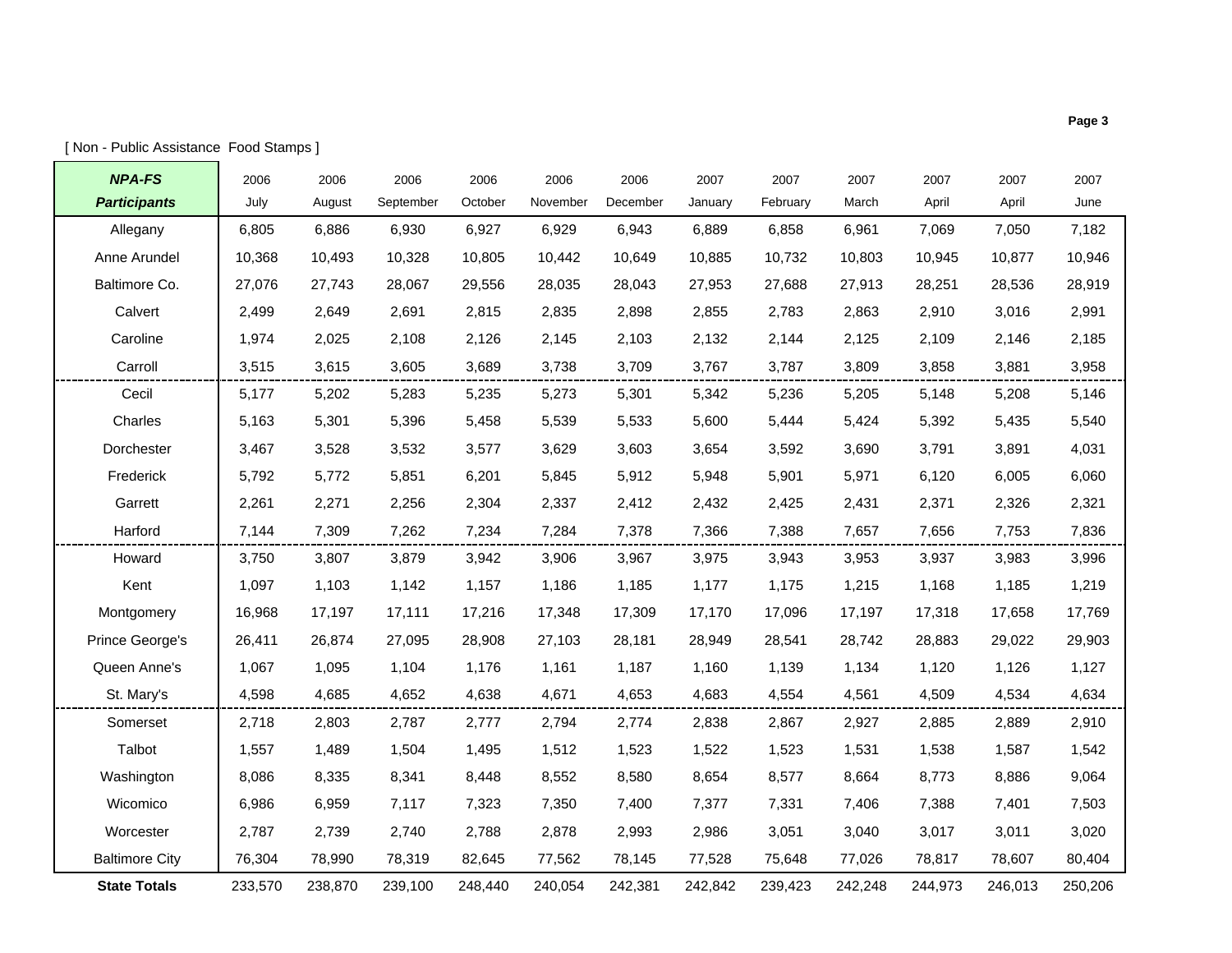| <b>NPA-FS</b>         | 2006    | 2006    | 2006      | 2006    | 2006     | 2006     | 2007    | 2007     | 2007    | 2007    | 2007    | 2007    |
|-----------------------|---------|---------|-----------|---------|----------|----------|---------|----------|---------|---------|---------|---------|
| <b>Participants</b>   | July    | August  | September | October | November | December | January | February | March   | April   | April   | June    |
| Allegany              | 6,805   | 6,886   | 6,930     | 6,927   | 6,929    | 6,943    | 6,889   | 6,858    | 6,961   | 7,069   | 7,050   | 7,182   |
| Anne Arundel          | 10,368  | 10,493  | 10,328    | 10,805  | 10,442   | 10,649   | 10,885  | 10,732   | 10,803  | 10,945  | 10,877  | 10,946  |
| Baltimore Co.         | 27,076  | 27,743  | 28,067    | 29,556  | 28,035   | 28,043   | 27,953  | 27,688   | 27,913  | 28,251  | 28,536  | 28,919  |
| Calvert               | 2,499   | 2,649   | 2,691     | 2,815   | 2,835    | 2,898    | 2,855   | 2,783    | 2,863   | 2,910   | 3,016   | 2,991   |
| Caroline              | 1,974   | 2,025   | 2,108     | 2,126   | 2,145    | 2,103    | 2,132   | 2,144    | 2,125   | 2,109   | 2,146   | 2,185   |
| Carroll               | 3,515   | 3,615   | 3,605     | 3,689   | 3,738    | 3,709    | 3,767   | 3,787    | 3,809   | 3,858   | 3,881   | 3,958   |
| Cecil                 | 5,177   | 5,202   | 5,283     | 5,235   | 5,273    | 5,301    | 5,342   | 5,236    | 5,205   | 5,148   | 5,208   | 5,146   |
| Charles               | 5,163   | 5,301   | 5,396     | 5,458   | 5,539    | 5,533    | 5,600   | 5,444    | 5,424   | 5,392   | 5,435   | 5,540   |
| Dorchester            | 3,467   | 3,528   | 3,532     | 3,577   | 3,629    | 3,603    | 3,654   | 3,592    | 3,690   | 3,791   | 3,891   | 4,031   |
| Frederick             | 5,792   | 5,772   | 5,851     | 6,201   | 5,845    | 5,912    | 5,948   | 5,901    | 5,971   | 6,120   | 6,005   | 6,060   |
| Garrett               | 2,261   | 2,271   | 2,256     | 2,304   | 2,337    | 2,412    | 2,432   | 2,425    | 2,431   | 2,371   | 2,326   | 2,321   |
| Harford               | 7,144   | 7,309   | 7,262     | 7,234   | 7,284    | 7,378    | 7,366   | 7,388    | 7,657   | 7,656   | 7,753   | 7,836   |
| Howard                | 3,750   | 3,807   | 3,879     | 3,942   | 3,906    | 3,967    | 3,975   | 3,943    | 3,953   | 3,937   | 3,983   | 3,996   |
| Kent                  | 1,097   | 1,103   | 1,142     | 1,157   | 1,186    | 1,185    | 1,177   | 1,175    | 1,215   | 1,168   | 1,185   | 1,219   |
| Montgomery            | 16,968  | 17,197  | 17,111    | 17,216  | 17,348   | 17,309   | 17,170  | 17,096   | 17,197  | 17,318  | 17,658  | 17,769  |
| Prince George's       | 26,411  | 26,874  | 27,095    | 28,908  | 27,103   | 28,181   | 28,949  | 28,541   | 28,742  | 28,883  | 29,022  | 29,903  |
| Queen Anne's          | 1,067   | 1,095   | 1,104     | 1,176   | 1,161    | 1,187    | 1,160   | 1,139    | 1,134   | 1,120   | 1,126   | 1,127   |
| St. Mary's            | 4,598   | 4,685   | 4,652     | 4,638   | 4,671    | 4,653    | 4,683   | 4,554    | 4,561   | 4,509   | 4,534   | 4,634   |
| Somerset              | 2,718   | 2,803   | 2,787     | 2,777   | 2,794    | 2,774    | 2,838   | 2,867    | 2,927   | 2,885   | 2,889   | 2,910   |
| Talbot                | 1,557   | 1,489   | 1,504     | 1,495   | 1,512    | 1,523    | 1,522   | 1,523    | 1,531   | 1,538   | 1,587   | 1,542   |
| Washington            | 8,086   | 8,335   | 8,341     | 8,448   | 8,552    | 8,580    | 8,654   | 8,577    | 8,664   | 8,773   | 8,886   | 9,064   |
| Wicomico              | 6,986   | 6,959   | 7,117     | 7,323   | 7,350    | 7,400    | 7,377   | 7,331    | 7,406   | 7,388   | 7,401   | 7,503   |
| Worcester             | 2,787   | 2,739   | 2,740     | 2,788   | 2,878    | 2,993    | 2,986   | 3,051    | 3,040   | 3,017   | 3,011   | 3,020   |
| <b>Baltimore City</b> | 76,304  | 78,990  | 78,319    | 82,645  | 77,562   | 78,145   | 77,528  | 75,648   | 77,026  | 78,817  | 78,607  | 80,404  |
| <b>State Totals</b>   | 233,570 | 238,870 | 239,100   | 248,440 | 240,054  | 242,381  | 242,842 | 239,423  | 242,248 | 244,973 | 246,013 | 250,206 |

r.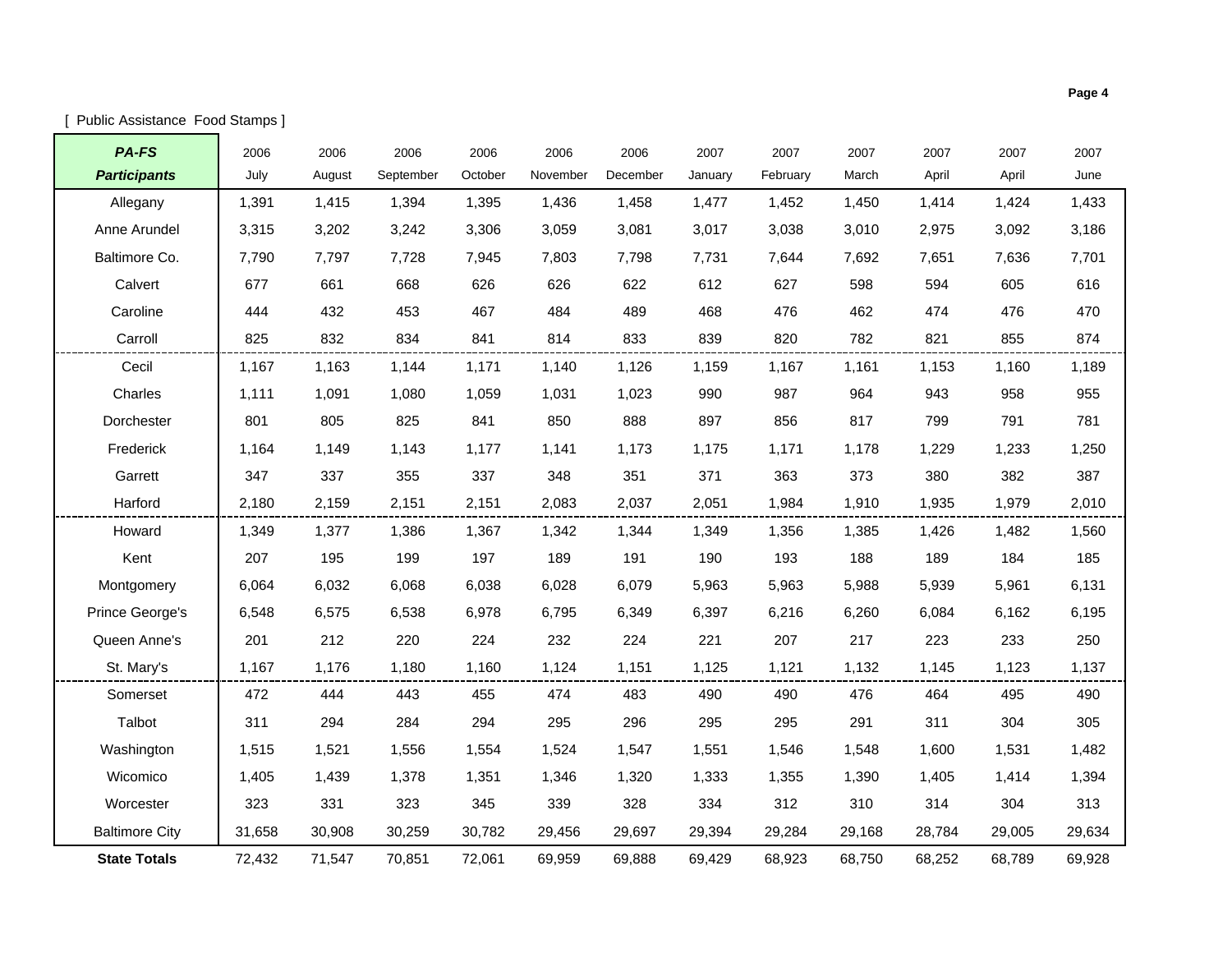| [ Public Assistance Food Stamps ] |  |
|-----------------------------------|--|
|-----------------------------------|--|

| PA-FS                 | 2006   | 2006   | 2006      | 2006    | 2006     | 2006     | 2007    | 2007     | 2007   | 2007   | 2007   | 2007   |
|-----------------------|--------|--------|-----------|---------|----------|----------|---------|----------|--------|--------|--------|--------|
| <b>Participants</b>   | July   | August | September | October | November | December | January | February | March  | April  | April  | June   |
| Allegany              | 1,391  | 1,415  | 1,394     | 1,395   | 1,436    | 1,458    | 1,477   | 1,452    | 1,450  | 1,414  | 1,424  | 1,433  |
| Anne Arundel          | 3,315  | 3,202  | 3,242     | 3,306   | 3,059    | 3,081    | 3,017   | 3,038    | 3,010  | 2,975  | 3,092  | 3,186  |
| Baltimore Co.         | 7.790  | 7.797  | 7,728     | 7.945   | 7.803    | 7,798    | 7.731   | 7.644    | 7.692  | 7,651  | 7,636  | 7,701  |
| Calvert               | 677    | 661    | 668       | 626     | 626      | 622      | 612     | 627      | 598    | 594    | 605    | 616    |
| Caroline              | 444    | 432    | 453       | 467     | 484      | 489      | 468     | 476      | 462    | 474    | 476    | 470    |
| Carroll               | 825    | 832    | 834       | 841     | 814      | 833      | 839     | 820      | 782    | 821    | 855    | 874    |
| Cecil                 | 1,167  | 1,163  | 1,144     | 1,171   | 1,140    | 1,126    | 1,159   | 1,167    | 1,161  | 1,153  | 1,160  | 1,189  |
| Charles               | 1,111  | 1,091  | 1,080     | 1,059   | 1,031    | 1,023    | 990     | 987      | 964    | 943    | 958    | 955    |
| Dorchester            | 801    | 805    | 825       | 841     | 850      | 888      | 897     | 856      | 817    | 799    | 791    | 781    |
| Frederick             | 1.164  | 1,149  | 1,143     | 1.177   | 1,141    | 1,173    | 1,175   | 1,171    | 1,178  | 1,229  | 1,233  | 1,250  |
| Garrett               | 347    | 337    | 355       | 337     | 348      | 351      | 371     | 363      | 373    | 380    | 382    | 387    |
| Harford               | 2,180  | 2,159  | 2,151     | 2,151   | 2,083    | 2,037    | 2,051   | 1,984    | 1,910  | 1,935  | 1,979  | 2,010  |
| Howard                | 1,349  | 1,377  | 1,386     | 1,367   | 1,342    | 1,344    | 1,349   | 1,356    | 1,385  | 1,426  | 1,482  | 1,560  |
| Kent                  | 207    | 195    | 199       | 197     | 189      | 191      | 190     | 193      | 188    | 189    | 184    | 185    |
| Montgomery            | 6,064  | 6,032  | 6,068     | 6,038   | 6,028    | 6,079    | 5,963   | 5,963    | 5,988  | 5,939  | 5,961  | 6,131  |
| Prince George's       | 6,548  | 6,575  | 6,538     | 6,978   | 6,795    | 6,349    | 6,397   | 6,216    | 6,260  | 6,084  | 6,162  | 6,195  |
| Queen Anne's          | 201    | 212    | 220       | 224     | 232      | 224      | 221     | 207      | 217    | 223    | 233    | 250    |
| St. Mary's            | 1,167  | 1,176  | 1,180     | 1,160   | 1,124    | 1,151    | 1,125   | 1,121    | 1,132  | 1,145  | 1,123  | 1,137  |
| Somerset              | 472    | 444    | 443       | 455     | 474      | 483      | 490     | 490      | 476    | 464    | 495    | 490    |
| Talbot                | 311    | 294    | 284       | 294     | 295      | 296      | 295     | 295      | 291    | 311    | 304    | 305    |
| Washington            | 1,515  | 1,521  | 1,556     | 1,554   | 1,524    | 1,547    | 1,551   | 1,546    | 1,548  | 1,600  | 1,531  | 1,482  |
| Wicomico              | 1,405  | 1,439  | 1,378     | 1,351   | 1,346    | 1,320    | 1,333   | 1,355    | 1,390  | 1,405  | 1,414  | 1,394  |
| Worcester             | 323    | 331    | 323       | 345     | 339      | 328      | 334     | 312      | 310    | 314    | 304    | 313    |
| <b>Baltimore City</b> | 31,658 | 30,908 | 30,259    | 30,782  | 29,456   | 29,697   | 29,394  | 29,284   | 29,168 | 28,784 | 29,005 | 29,634 |
| <b>State Totals</b>   | 72,432 | 71,547 | 70,851    | 72,061  | 69,959   | 69,888   | 69,429  | 68,923   | 68,750 | 68,252 | 68,789 | 69,928 |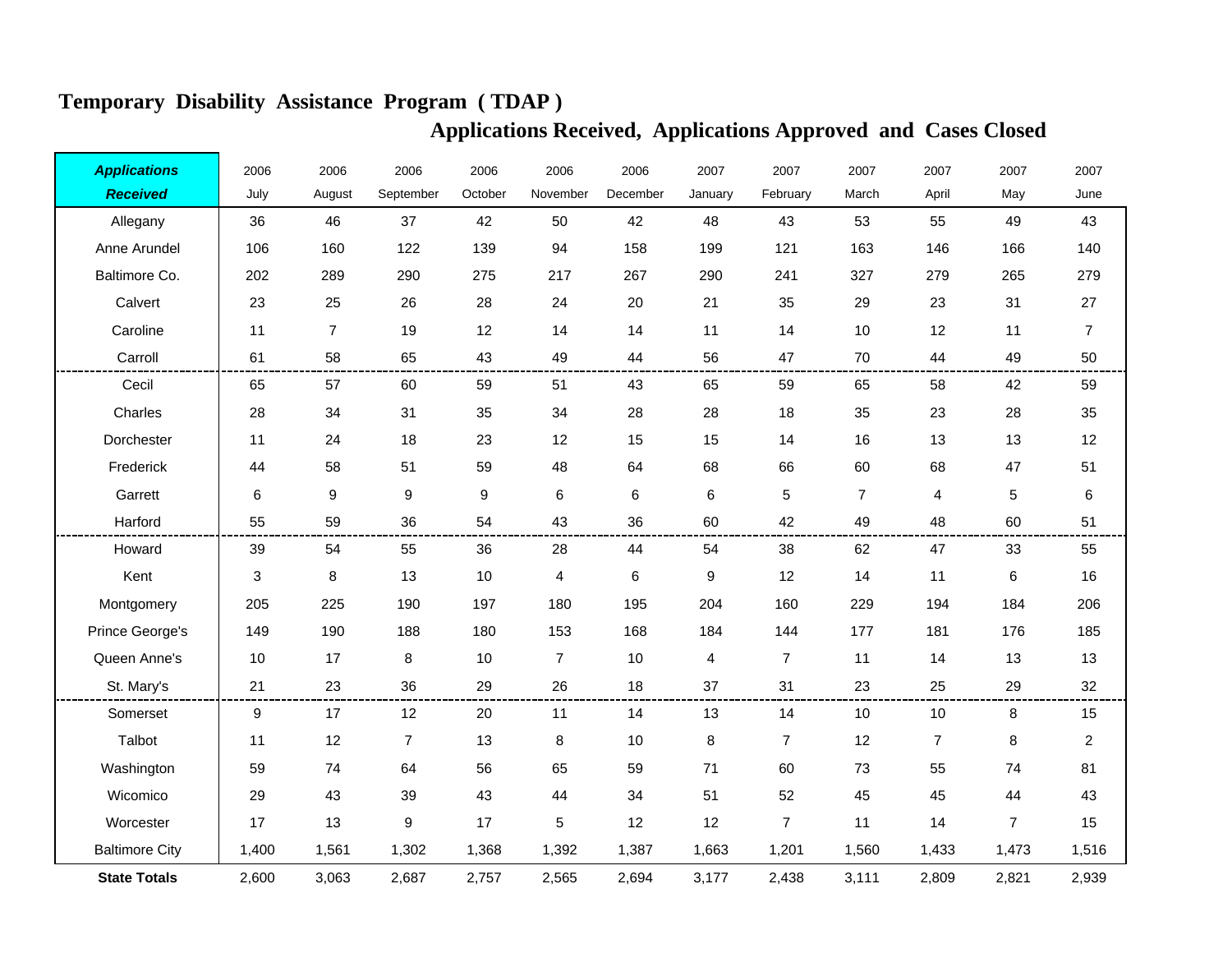| <b>Applications</b>   | 2006                      | 2006             | 2006             | 2006             | 2006                    | 2006     | 2007           | 2007           | 2007           | 2007           | 2007           | 2007           |
|-----------------------|---------------------------|------------------|------------------|------------------|-------------------------|----------|----------------|----------------|----------------|----------------|----------------|----------------|
| <b>Received</b>       | July                      | August           | September        | October          | November                | December | January        | February       | March          | April          | May            | June           |
| Allegany              | 36                        | 46               | 37               | 42               | 50                      | 42       | 48             | 43             | 53             | 55             | 49             | 43             |
| Anne Arundel          | 106                       | 160              | 122              | 139              | 94                      | 158      | 199            | 121            | 163            | 146            | 166            | 140            |
| Baltimore Co.         | 202                       | 289              | 290              | 275              | 217                     | 267      | 290            | 241            | 327            | 279            | 265            | 279            |
| Calvert               | 23                        | 25               | 26               | 28               | 24                      | 20       | 21             | 35             | 29             | 23             | 31             | 27             |
| Caroline              | 11                        | $\overline{7}$   | 19               | 12               | 14                      | 14       | 11             | 14             | 10             | 12             | 11             | $\overline{7}$ |
| Carroll               | 61                        | 58               | 65               | 43               | 49                      | 44       | 56             | 47             | 70             | 44             | 49             | 50             |
| Cecil                 | 65                        | 57               | 60               | 59               | 51                      | 43       | 65             | 59             | 65             | 58             | 42             | 59             |
| Charles               | 28                        | 34               | 31               | 35               | 34                      | 28       | 28             | 18             | 35             | 23             | 28             | 35             |
| Dorchester            | 11                        | 24               | 18               | 23               | 12                      | 15       | 15             | 14             | 16             | 13             | 13             | 12             |
| Frederick             | 44                        | 58               | 51               | 59               | 48                      | 64       | 68             | 66             | 60             | 68             | 47             | 51             |
| Garrett               | 6                         | $\boldsymbol{9}$ | $\boldsymbol{9}$ | $\boldsymbol{9}$ | 6                       | 6        | 6              | 5              | $\overline{7}$ | 4              | 5              | $\,6$          |
| Harford               | 55                        | 59               | 36               | 54               | 43                      | 36       | 60             | 42             | 49             | 48             | 60             | 51             |
| Howard                | 39                        | 54               | 55               | 36               | 28                      | 44       | 54             | 38             | 62             | 47             | 33             | 55             |
| Kent                  | $\ensuremath{\mathsf{3}}$ | 8                | 13               | 10               | $\overline{\mathbf{4}}$ | 6        | 9              | 12             | 14             | 11             | 6              | 16             |
| Montgomery            | 205                       | 225              | 190              | 197              | 180                     | 195      | 204            | 160            | 229            | 194            | 184            | 206            |
| Prince George's       | 149                       | 190              | 188              | 180              | 153                     | 168      | 184            | 144            | 177            | 181            | 176            | 185            |
| Queen Anne's          | 10                        | 17               | 8                | 10               | $\overline{7}$          | 10       | $\overline{4}$ | $\overline{7}$ | 11             | 14             | 13             | 13             |
| St. Mary's            | 21                        | 23               | 36               | 29               | 26                      | 18       | 37             | 31             | 23             | 25             | 29             | 32             |
| Somerset              | 9                         | 17               | 12               | 20               | 11                      | 14       | 13             | 14             | 10             | $10$           | 8              | 15             |
| Talbot                | 11                        | 12               | $\overline{7}$   | 13               | 8                       | 10       | 8              | $\overline{7}$ | 12             | $\overline{7}$ | 8              | $\overline{a}$ |
| Washington            | 59                        | 74               | 64               | 56               | 65                      | 59       | 71             | 60             | 73             | 55             | 74             | 81             |
| Wicomico              | 29                        | 43               | 39               | 43               | 44                      | 34       | 51             | 52             | 45             | 45             | 44             | 43             |
| Worcester             | 17                        | 13               | 9                | 17               | $\sqrt{5}$              | 12       | 12             | $\overline{7}$ | 11             | 14             | $\overline{7}$ | 15             |
| <b>Baltimore City</b> | 1,400                     | 1,561            | 1,302            | 1,368            | 1,392                   | 1,387    | 1,663          | 1,201          | 1,560          | 1,433          | 1,473          | 1,516          |
| <b>State Totals</b>   | 2,600                     | 3,063            | 2,687            | 2,757            | 2,565                   | 2,694    | 3,177          | 2,438          | 3,111          | 2,809          | 2,821          | 2,939          |

## **Temporary Disability Assistance Program ( TDAP )**

## **Applications Received, Applications Approved and Cases Closed**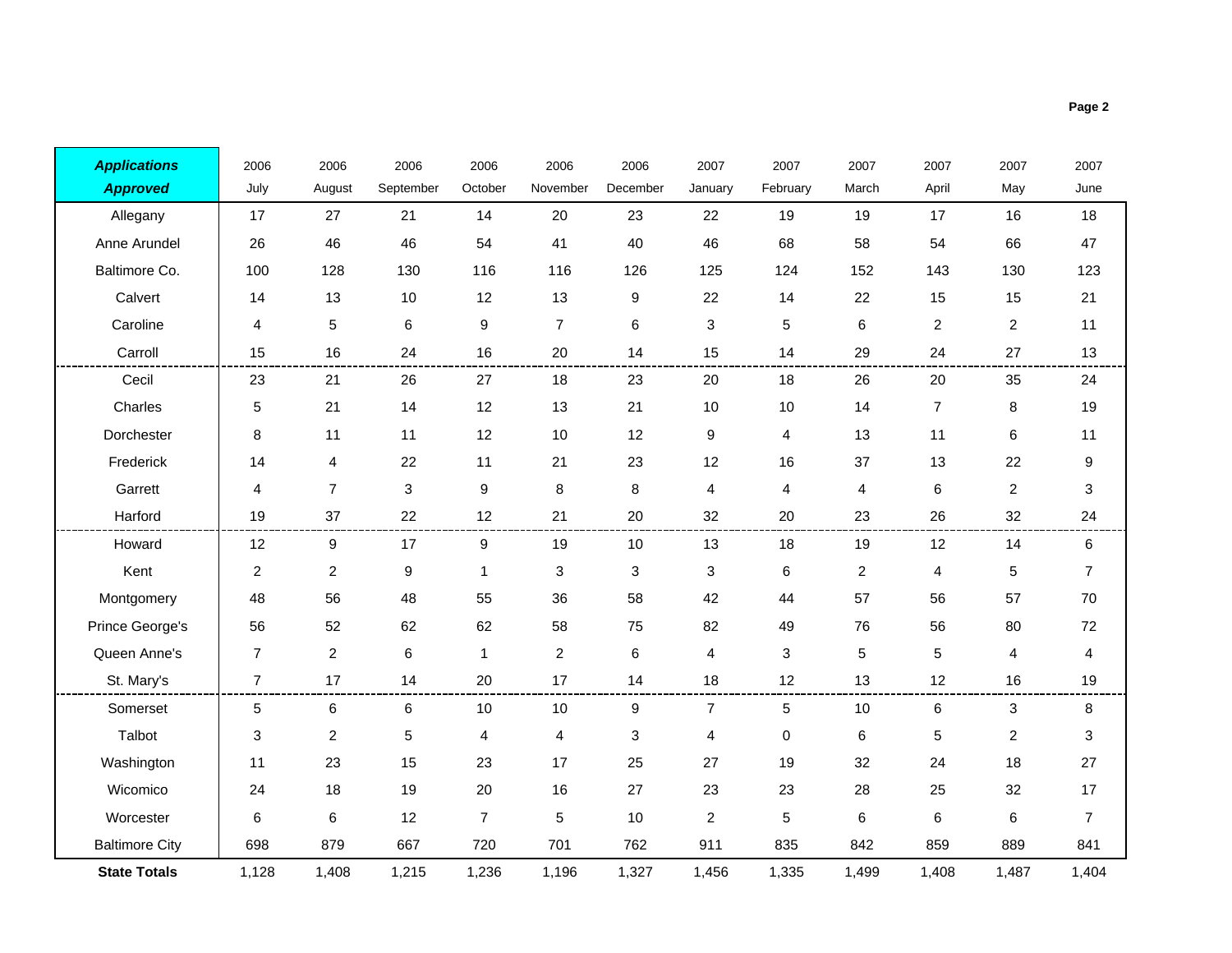| <b>Applications</b>   | 2006           | 2006           | 2006      | 2006             | 2006                    | 2006     | 2007           | 2007      | 2007           | 2007           | 2007           | 2007                      |
|-----------------------|----------------|----------------|-----------|------------------|-------------------------|----------|----------------|-----------|----------------|----------------|----------------|---------------------------|
| <b>Approved</b>       | July           | August         | September | October          | November                | December | January        | February  | March          | April          | May            | June                      |
| Allegany              | 17             | 27             | 21        | 14               | 20                      | 23       | 22             | 19        | 19             | 17             | 16             | 18                        |
| Anne Arundel          | 26             | 46             | 46        | 54               | 41                      | 40       | 46             | 68        | 58             | 54             | 66             | 47                        |
| Baltimore Co.         | 100            | 128            | 130       | 116              | 116                     | 126      | 125            | 124       | 152            | 143            | 130            | 123                       |
| Calvert               | 14             | 13             | 10        | 12               | 13                      | 9        | 22             | 14        | 22             | 15             | 15             | 21                        |
| Caroline              | 4              | 5              | 6         | 9                | $\overline{7}$          | 6        | 3              | 5         | 6              | $\overline{c}$ | $\overline{c}$ | 11                        |
| Carroll               | 15             | 16             | 24        | 16               | 20                      | 14       | 15             | 14        | 29             | 24             | 27             | 13                        |
| Cecil                 | 23             | 21             | 26        | 27               | 18                      | 23       | 20             | 18        | 26             | 20             | 35             | 24                        |
| Charles               | 5              | 21             | 14        | 12               | 13                      | 21       | $10$           | 10        | 14             | $\overline{7}$ | 8              | 19                        |
| Dorchester            | 8              | 11             | 11        | 12               | 10                      | 12       | 9              | 4         | 13             | 11             | 6              | 11                        |
| Frederick             | 14             | 4              | 22        | 11               | 21                      | 23       | 12             | 16        | 37             | 13             | 22             | 9                         |
| Garrett               | 4              | $\overline{7}$ | 3         | $\boldsymbol{9}$ | 8                       | 8        | 4              | 4         | 4              | 6              | $\overline{c}$ | 3                         |
| Harford               | 19             | 37             | 22        | 12               | 21                      | 20       | 32             | 20        | 23             | 26             | 32             | 24                        |
| Howard                | 12             | 9              | 17        | 9                | 19                      | 10       | 13             | 18        | 19             | 12             | 14             | 6                         |
| Kent                  | $\overline{c}$ | $\overline{2}$ | 9         | $\mathbf{1}$     | 3                       | 3        | 3              | $\,6\,$   | $\overline{c}$ | 4              | 5              | $\overline{7}$            |
| Montgomery            | 48             | 56             | 48        | 55               | 36                      | 58       | 42             | 44        | 57             | 56             | 57             | 70                        |
| Prince George's       | 56             | 52             | 62        | 62               | 58                      | 75       | 82             | 49        | 76             | 56             | 80             | 72                        |
| Queen Anne's          | $\overline{7}$ | $\overline{c}$ | 6         | $\mathbf{1}$     | $\overline{a}$          | 6        | 4              | 3         | 5              | 5              | 4              | 4                         |
| St. Mary's            | $\overline{7}$ | 17             | 14        | 20               | 17                      | 14       | 18             | 12        | 13             | 12             | 16             | 19                        |
| Somerset              | 5              | 6              | 6         | 10               | 10                      | 9        | $\overline{7}$ | 5         | 10             | 6              | 3              | 8                         |
| Talbot                | 3              | $\overline{2}$ | 5         | 4                | $\overline{\mathbf{4}}$ | 3        | 4              | $\pmb{0}$ | $\,6$          | 5              | $\overline{c}$ | $\ensuremath{\mathsf{3}}$ |
| Washington            | 11             | 23             | 15        | 23               | 17                      | 25       | 27             | 19        | 32             | 24             | 18             | 27                        |
| Wicomico              | 24             | 18             | 19        | 20               | 16                      | 27       | 23             | 23        | 28             | 25             | 32             | 17                        |
| Worcester             | 6              | 6              | 12        | $\overline{7}$   | $\sqrt{5}$              | 10       | $\overline{c}$ | 5         | $\,6$          | 6              | 6              | $\overline{7}$            |
| <b>Baltimore City</b> | 698            | 879            | 667       | 720              | 701                     | 762      | 911            | 835       | 842            | 859            | 889            | 841                       |
| <b>State Totals</b>   | 1,128          | 1,408          | 1,215     | 1,236            | 1,196                   | 1,327    | 1,456          | 1,335     | 1,499          | 1,408          | 1,487          | 1,404                     |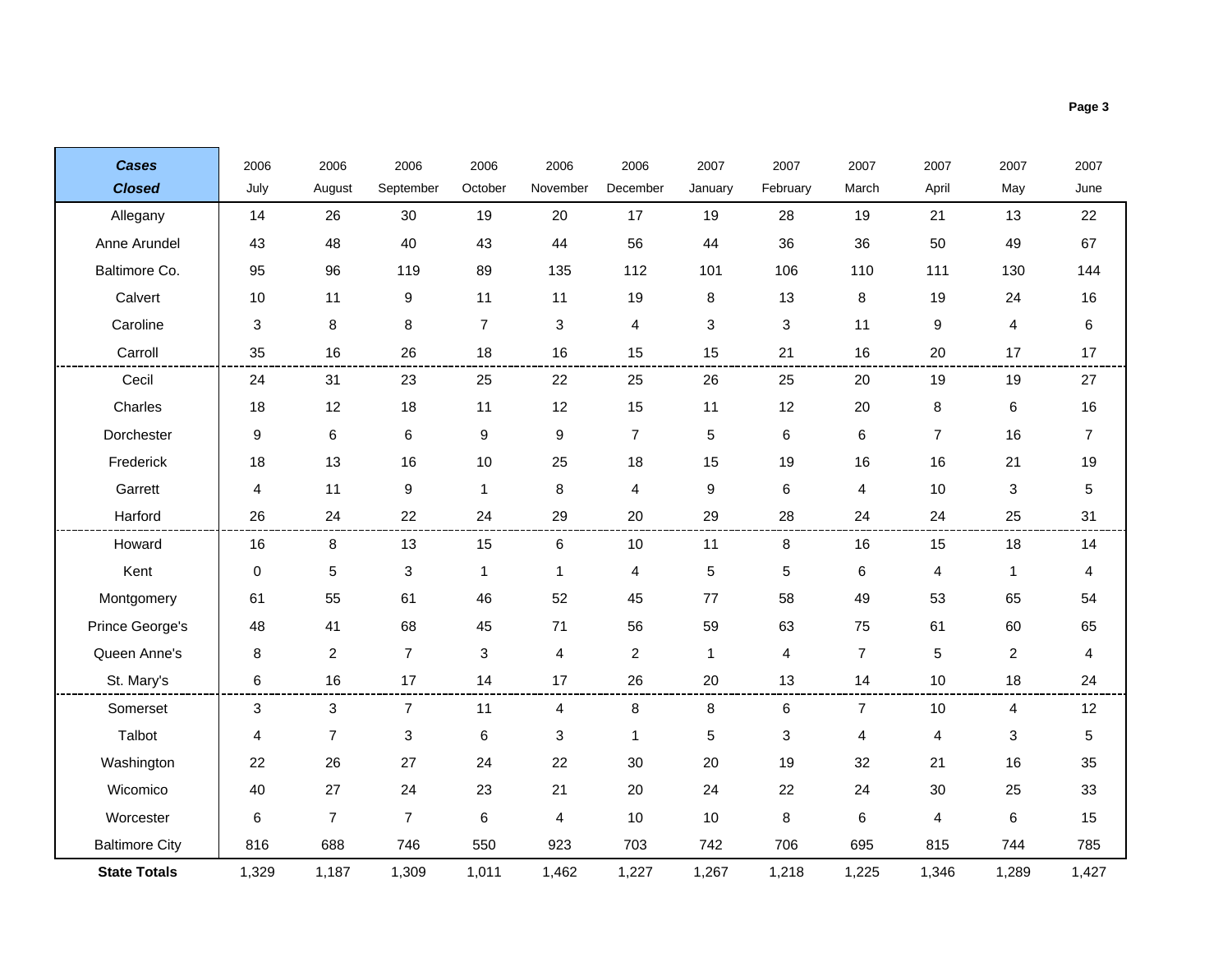| <b>Cases</b>          | 2006        | 2006           | 2006             | 2006           | 2006           | 2006                    | 2007             | 2007     | 2007                    | 2007           | 2007 | 2007           |
|-----------------------|-------------|----------------|------------------|----------------|----------------|-------------------------|------------------|----------|-------------------------|----------------|------|----------------|
| <b>Closed</b>         | July        | August         | September        | October        | November       | December                | January          | February | March                   | April          | May  | June           |
| Allegany              | 14          | 26             | 30               | 19             | 20             | 17                      | 19               | 28       | 19                      | 21             | 13   | 22             |
| Anne Arundel          | 43          | 48             | 40               | 43             | 44             | 56                      | 44               | 36       | 36                      | 50             | 49   | 67             |
| Baltimore Co.         | 95          | 96             | 119              | 89             | 135            | 112                     | 101              | 106      | 110                     | 111            | 130  | 144            |
| Calvert               | 10          | 11             | 9                | 11             | 11             | 19                      | 8                | 13       | 8                       | 19             | 24   | 16             |
| Caroline              | 3           | 8              | 8                | $\overline{7}$ | 3              | 4                       | 3                | 3        | 11                      | 9              | 4    | 6              |
| Carroll               | 35          | 16             | 26               | 18             | 16             | 15                      | 15               | 21       | 16                      | 20             | 17   | 17             |
| Cecil                 | 24          | 31             | 23               | 25             | 22             | 25                      | 26               | 25       | 20                      | 19             | 19   | 27             |
| Charles               | 18          | 12             | 18               | 11             | 12             | 15                      | 11               | 12       | 20                      | $\,8\,$        | 6    | 16             |
| Dorchester            | 9           | 6              | 6                | 9              | 9              | $\overline{7}$          | 5                | 6        | 6                       | $\overline{7}$ | 16   | $\overline{7}$ |
| Frederick             | 18          | 13             | 16               | 10             | 25             | 18                      | 15               | 19       | 16                      | 16             | 21   | 19             |
| Garrett               | 4           | 11             | $\boldsymbol{9}$ | $\mathbf{1}$   | 8              | 4                       | $\boldsymbol{9}$ | 6        | $\overline{\mathbf{4}}$ | 10             | 3    | 5              |
| Harford               | 26          | 24             | 22               | 24             | 29             | 20                      | 29               | 28       | 24                      | 24             | 25   | 31             |
| Howard                | 16          | 8              | 13               | 15             | 6              | 10                      | 11               | 8        | 16                      | 15             | 18   | 14             |
| Kent                  | $\mathbf 0$ | 5              | $\sqrt{3}$       | 1              | 1              | 4                       | $\mathbf 5$      | 5        | 6                       | 4              | 1    | 4              |
| Montgomery            | 61          | 55             | 61               | 46             | 52             | 45                      | 77               | 58       | 49                      | 53             | 65   | 54             |
| Prince George's       | 48          | 41             | 68               | 45             | 71             | 56                      | 59               | 63       | 75                      | 61             | 60   | 65             |
| Queen Anne's          | 8           | $\overline{c}$ | $\overline{7}$   | 3              | 4              | $\overline{\mathbf{c}}$ | 1                | 4        | $\overline{7}$          | 5              | 2    | 4              |
| St. Mary's            | 6           | 16             | 17               | 14             | 17             | 26                      | 20               | 13       | 14                      | 10             | 18   | 24             |
| Somerset              | 3           | 3              | 7                | 11             | 4              | 8                       | 8                | 6        | 7                       | 10             | 4    | 12             |
| Talbot                | 4           | $\overline{7}$ | 3                | 6              | 3              | $\mathbf{1}$            | $\sqrt{5}$       | 3        | 4                       | 4              | 3    | 5              |
| Washington            | 22          | 26             | 27               | 24             | 22             | 30                      | 20               | 19       | 32                      | 21             | 16   | 35             |
| Wicomico              | 40          | 27             | 24               | 23             | 21             | 20                      | 24               | 22       | 24                      | 30             | 25   | 33             |
| Worcester             | 6           | $\overline{7}$ | $\overline{7}$   | 6              | $\overline{4}$ | 10                      | 10               | 8        | 6                       | 4              | 6    | 15             |
| <b>Baltimore City</b> | 816         | 688            | 746              | 550            | 923            | 703                     | 742              | 706      | 695                     | 815            | 744  | 785            |

1,329 1,187 1,309 1,011 1,462 1,227 1,267 1,218 1,225 1,346 1,289 1,427

**State Totals**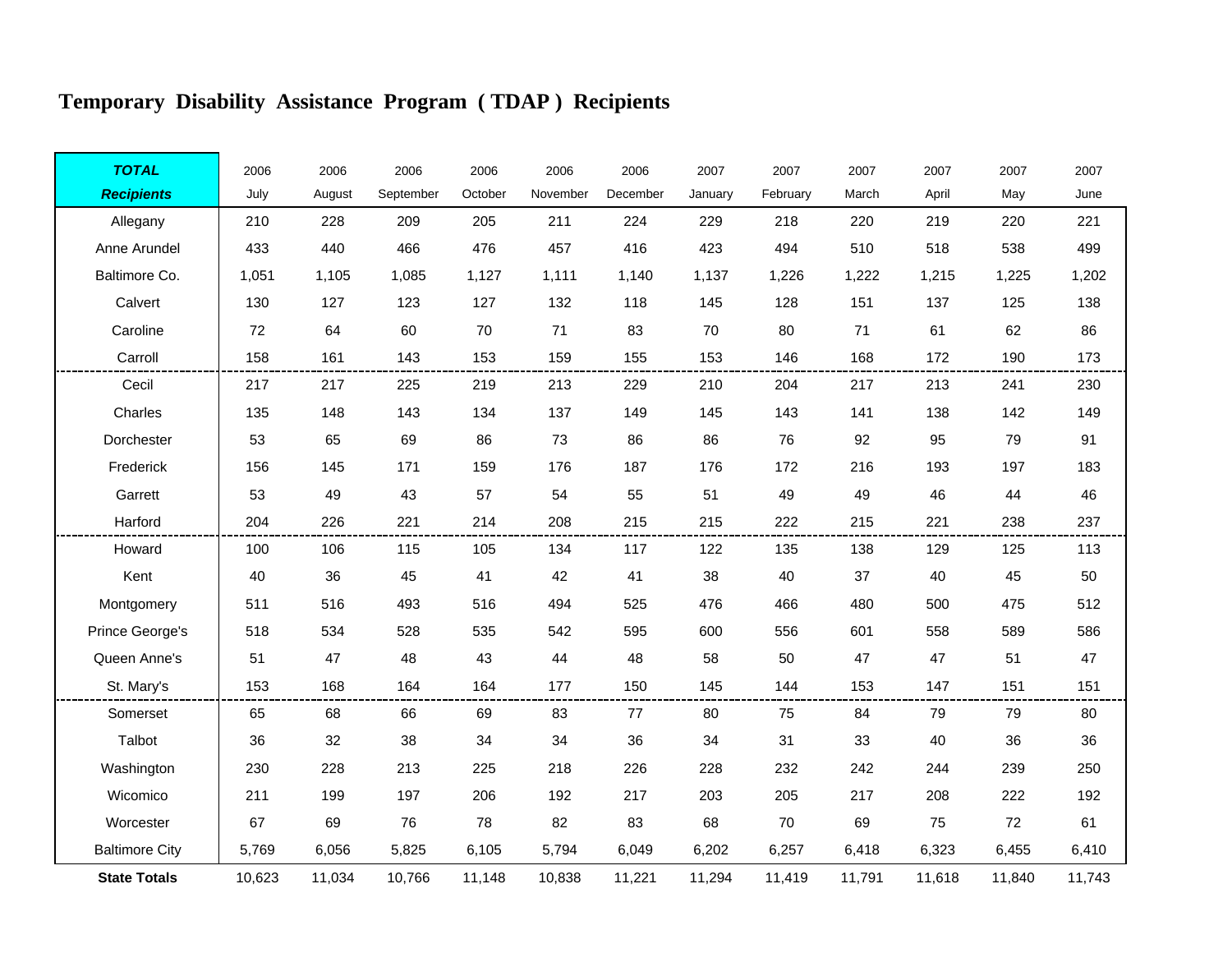# **Temporary Disability Assistance Program ( TDAP ) Recipients**

Ħ.

F

| <b>TOTAL</b>          | 2006   | 2006   | 2006      | 2006    | 2006     | 2006     | 2007    | 2007     | 2007   | 2007   | 2007   | 2007   |
|-----------------------|--------|--------|-----------|---------|----------|----------|---------|----------|--------|--------|--------|--------|
| <b>Recipients</b>     | July   | August | September | October | November | December | January | February | March  | April  | May    | June   |
| Allegany              | 210    | 228    | 209       | 205     | 211      | 224      | 229     | 218      | 220    | 219    | 220    | 221    |
| Anne Arundel          | 433    | 440    | 466       | 476     | 457      | 416      | 423     | 494      | 510    | 518    | 538    | 499    |
| Baltimore Co.         | 1,051  | 1,105  | 1,085     | 1,127   | 1,111    | 1,140    | 1,137   | 1,226    | 1,222  | 1,215  | 1,225  | 1,202  |
| Calvert               | 130    | 127    | 123       | 127     | 132      | 118      | 145     | 128      | 151    | 137    | 125    | 138    |
| Caroline              | 72     | 64     | 60        | 70      | 71       | 83       | 70      | 80       | 71     | 61     | 62     | 86     |
| Carroll               | 158    | 161    | 143       | 153     | 159      | 155      | 153     | 146      | 168    | 172    | 190    | 173    |
| Cecil                 | 217    | 217    | 225       | 219     | 213      | 229      | 210     | 204      | 217    | 213    | 241    | 230    |
| Charles               | 135    | 148    | 143       | 134     | 137      | 149      | 145     | 143      | 141    | 138    | 142    | 149    |
| Dorchester            | 53     | 65     | 69        | 86      | 73       | 86       | 86      | 76       | 92     | 95     | 79     | 91     |
| Frederick             | 156    | 145    | 171       | 159     | 176      | 187      | 176     | 172      | 216    | 193    | 197    | 183    |
| Garrett               | 53     | 49     | 43        | 57      | 54       | 55       | 51      | 49       | 49     | 46     | 44     | 46     |
| Harford               | 204    | 226    | 221       | 214     | 208      | 215      | 215     | 222      | 215    | 221    | 238    | 237    |
| Howard                | 100    | 106    | 115       | 105     | 134      | 117      | 122     | 135      | 138    | 129    | 125    | 113    |
| Kent                  | 40     | 36     | 45        | 41      | 42       | 41       | 38      | 40       | 37     | 40     | 45     | 50     |
| Montgomery            | 511    | 516    | 493       | 516     | 494      | 525      | 476     | 466      | 480    | 500    | 475    | 512    |
| Prince George's       | 518    | 534    | 528       | 535     | 542      | 595      | 600     | 556      | 601    | 558    | 589    | 586    |
| Queen Anne's          | 51     | 47     | 48        | 43      | 44       | 48       | 58      | 50       | 47     | 47     | 51     | 47     |
| St. Mary's            | 153    | 168    | 164       | 164     | 177      | 150      | 145     | 144      | 153    | 147    | 151    | 151    |
| Somerset              | 65     | 68     | 66        | 69      | 83       | 77       | 80      | 75       | 84     | 79     | 79     | 80     |
| Talbot                | 36     | 32     | 38        | 34      | 34       | 36       | 34      | 31       | 33     | 40     | 36     | 36     |
| Washington            | 230    | 228    | 213       | 225     | 218      | 226      | 228     | 232      | 242    | 244    | 239    | 250    |
| Wicomico              | 211    | 199    | 197       | 206     | 192      | 217      | 203     | 205      | 217    | 208    | 222    | 192    |
| Worcester             | 67     | 69     | 76        | 78      | 82       | 83       | 68      | 70       | 69     | 75     | 72     | 61     |
| <b>Baltimore City</b> | 5,769  | 6,056  | 5,825     | 6,105   | 5,794    | 6,049    | 6,202   | 6,257    | 6,418  | 6,323  | 6,455  | 6,410  |
| <b>State Totals</b>   | 10,623 | 11,034 | 10,766    | 11,148  | 10,838   | 11,221   | 11,294  | 11,419   | 11,791 | 11,618 | 11,840 | 11,743 |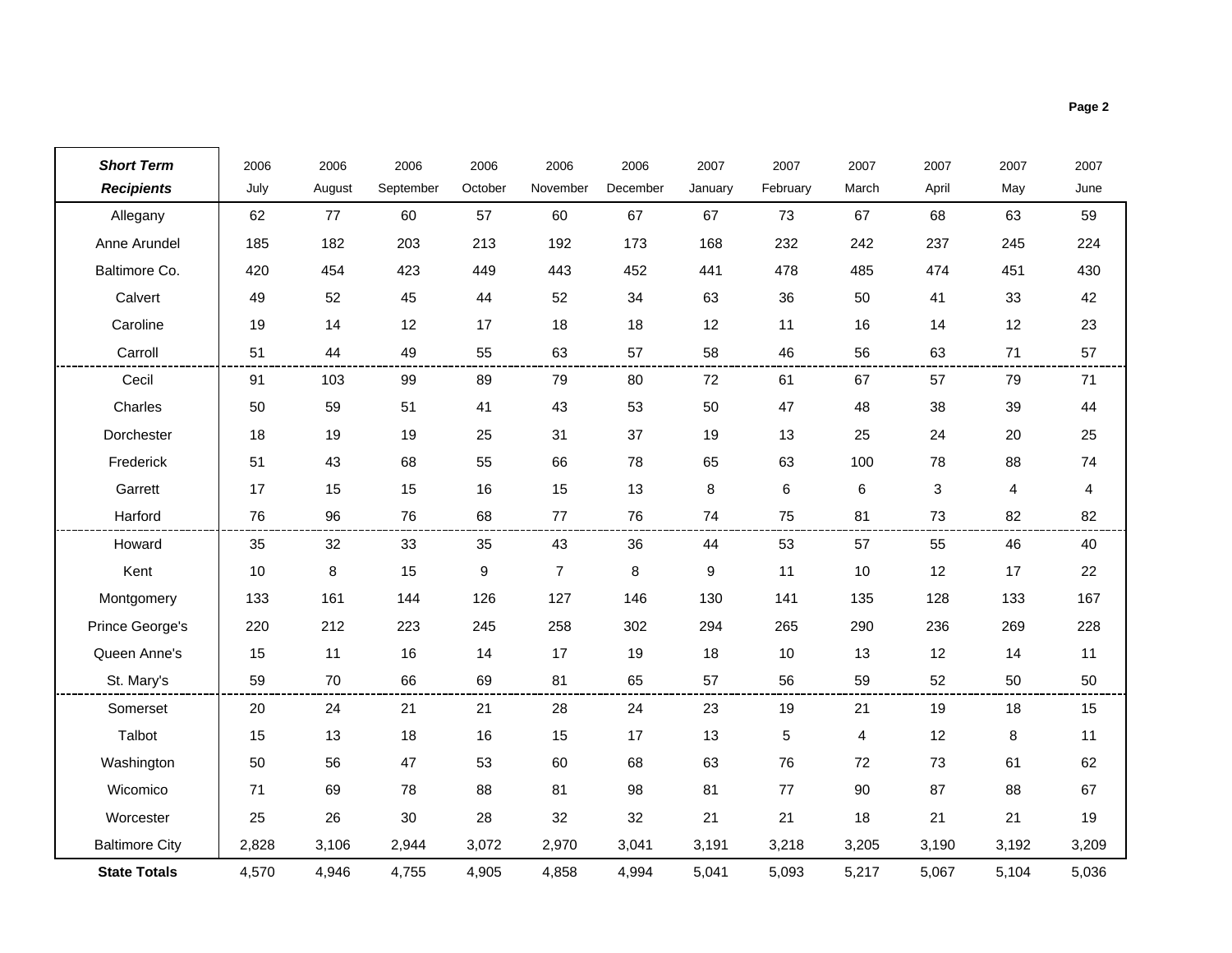| <b>Short Term</b>     | 2006  | 2006   | 2006      | 2006             | 2006           | 2006     | 2007    | 2007       | 2007  | 2007  | 2007                    | 2007  |
|-----------------------|-------|--------|-----------|------------------|----------------|----------|---------|------------|-------|-------|-------------------------|-------|
| <b>Recipients</b>     | July  | August | September | October          | November       | December | January | February   | March | April | May                     | June  |
| Allegany              | 62    | 77     | 60        | 57               | 60             | 67       | 67      | 73         | 67    | 68    | 63                      | 59    |
| Anne Arundel          | 185   | 182    | 203       | 213              | 192            | 173      | 168     | 232        | 242   | 237   | 245                     | 224   |
| Baltimore Co.         | 420   | 454    | 423       | 449              | 443            | 452      | 441     | 478        | 485   | 474   | 451                     | 430   |
| Calvert               | 49    | 52     | 45        | 44               | 52             | 34       | 63      | 36         | 50    | 41    | 33                      | 42    |
| Caroline              | 19    | 14     | 12        | 17               | 18             | 18       | 12      | 11         | 16    | 14    | 12                      | 23    |
| Carroll               | 51    | 44     | 49        | 55               | 63             | 57       | 58      | 46         | 56    | 63    | 71                      | 57    |
| Cecil                 | 91    | 103    | 99        | 89               | 79             | 80       | 72      | 61         | 67    | 57    | 79                      | 71    |
| Charles               | 50    | 59     | 51        | 41               | 43             | 53       | 50      | 47         | 48    | 38    | 39                      | 44    |
| Dorchester            | 18    | 19     | 19        | 25               | 31             | 37       | 19      | 13         | 25    | 24    | 20                      | 25    |
| Frederick             | 51    | 43     | 68        | 55               | 66             | 78       | 65      | 63         | 100   | 78    | 88                      | 74    |
| Garrett               | 17    | 15     | 15        | 16               | 15             | 13       | 8       | 6          | 6     | 3     | $\overline{\mathbf{4}}$ | 4     |
| Harford               | 76    | 96     | 76        | 68               | 77             | 76       | 74      | 75         | 81    | 73    | 82                      | 82    |
| Howard                | 35    | 32     | 33        | 35               | 43             | 36       | 44      | 53         | 57    | 55    | 46                      | 40    |
| Kent                  | 10    | 8      | 15        | $\boldsymbol{9}$ | $\overline{7}$ | 8        | 9       | 11         | 10    | 12    | 17                      | 22    |
| Montgomery            | 133   | 161    | 144       | 126              | 127            | 146      | 130     | 141        | 135   | 128   | 133                     | 167   |
| Prince George's       | 220   | 212    | 223       | 245              | 258            | 302      | 294     | 265        | 290   | 236   | 269                     | 228   |
| Queen Anne's          | 15    | 11     | 16        | 14               | 17             | 19       | 18      | 10         | 13    | 12    | 14                      | 11    |
| St. Mary's            | 59    | 70     | 66        | 69               | 81             | 65       | 57      | 56         | 59    | 52    | 50                      | 50    |
| Somerset              | 20    | 24     | 21        | 21               | 28             | 24       | 23      | 19         | 21    | 19    | 18                      | 15    |
| Talbot                | 15    | 13     | 18        | 16               | 15             | 17       | 13      | $\sqrt{5}$ | 4     | 12    | 8                       | 11    |
| Washington            | 50    | 56     | 47        | 53               | 60             | 68       | 63      | 76         | 72    | 73    | 61                      | 62    |
| Wicomico              | 71    | 69     | 78        | 88               | 81             | 98       | 81      | 77         | 90    | 87    | 88                      | 67    |
| Worcester             | 25    | 26     | 30        | 28               | 32             | 32       | 21      | 21         | 18    | 21    | 21                      | 19    |
| <b>Baltimore City</b> | 2,828 | 3,106  | 2,944     | 3,072            | 2,970          | 3,041    | 3,191   | 3,218      | 3,205 | 3,190 | 3,192                   | 3,209 |
| <b>State Totals</b>   | 4,570 | 4,946  | 4,755     | 4,905            | 4,858          | 4,994    | 5,041   | 5,093      | 5,217 | 5,067 | 5,104                   | 5,036 |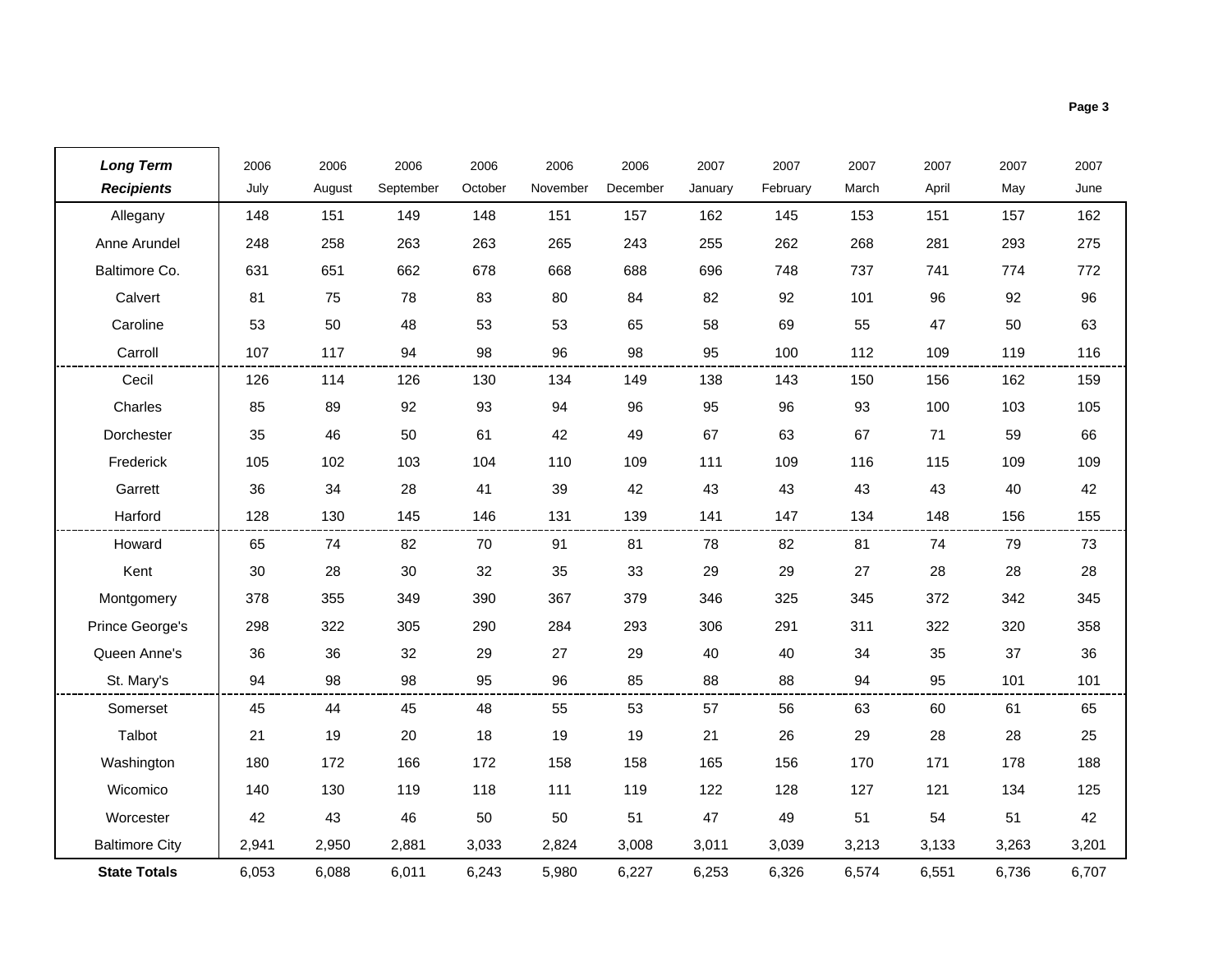| <b>Long Term</b>      | 2006  | 2006   | 2006      | 2006    | 2006     | 2006     | 2007    | 2007     | 2007  | 2007  | 2007  | 2007  |
|-----------------------|-------|--------|-----------|---------|----------|----------|---------|----------|-------|-------|-------|-------|
| <b>Recipients</b>     | July  | August | September | October | November | December | January | February | March | April | May   | June  |
| Allegany              | 148   | 151    | 149       | 148     | 151      | 157      | 162     | 145      | 153   | 151   | 157   | 162   |
| Anne Arundel          | 248   | 258    | 263       | 263     | 265      | 243      | 255     | 262      | 268   | 281   | 293   | 275   |
| Baltimore Co.         | 631   | 651    | 662       | 678     | 668      | 688      | 696     | 748      | 737   | 741   | 774   | 772   |
| Calvert               | 81    | 75     | 78        | 83      | 80       | 84       | 82      | 92       | 101   | 96    | 92    | 96    |
| Caroline              | 53    | 50     | 48        | 53      | 53       | 65       | 58      | 69       | 55    | 47    | 50    | 63    |
| Carroll               | 107   | 117    | 94        | 98      | 96       | 98       | 95      | 100      | 112   | 109   | 119   | 116   |
| Cecil                 | 126   | 114    | 126       | 130     | 134      | 149      | 138     | 143      | 150   | 156   | 162   | 159   |
| Charles               | 85    | 89     | 92        | 93      | 94       | 96       | 95      | 96       | 93    | 100   | 103   | 105   |
| Dorchester            | 35    | 46     | 50        | 61      | 42       | 49       | 67      | 63       | 67    | 71    | 59    | 66    |
| Frederick             | 105   | 102    | 103       | 104     | 110      | 109      | 111     | 109      | 116   | 115   | 109   | 109   |
| Garrett               | 36    | 34     | 28        | 41      | 39       | 42       | 43      | 43       | 43    | 43    | 40    | 42    |
| Harford               | 128   | 130    | 145       | 146     | 131      | 139      | 141     | 147      | 134   | 148   | 156   | 155   |
| Howard                | 65    | 74     | 82        | 70      | 91       | 81       | 78      | 82       | 81    | 74    | 79    | 73    |
| Kent                  | 30    | 28     | $30\,$    | 32      | 35       | 33       | 29      | 29       | 27    | 28    | 28    | 28    |
| Montgomery            | 378   | 355    | 349       | 390     | 367      | 379      | 346     | 325      | 345   | 372   | 342   | 345   |
| Prince George's       | 298   | 322    | 305       | 290     | 284      | 293      | 306     | 291      | 311   | 322   | 320   | 358   |
| Queen Anne's          | 36    | 36     | 32        | 29      | 27       | 29       | 40      | 40       | 34    | 35    | 37    | 36    |
| St. Mary's            | 94    | 98     | 98        | 95      | 96       | 85       | 88      | 88       | 94    | 95    | 101   | 101   |
| Somerset              | 45    | 44     | 45        | 48      | 55       | 53       | 57      | 56       | 63    | 60    | 61    | 65    |
| Talbot                | 21    | 19     | 20        | 18      | 19       | 19       | 21      | 26       | 29    | 28    | 28    | 25    |
| Washington            | 180   | 172    | 166       | 172     | 158      | 158      | 165     | 156      | 170   | 171   | 178   | 188   |
| Wicomico              | 140   | 130    | 119       | 118     | 111      | 119      | 122     | 128      | 127   | 121   | 134   | 125   |
| Worcester             | 42    | 43     | 46        | 50      | 50       | 51       | 47      | 49       | 51    | 54    | 51    | 42    |
| <b>Baltimore City</b> | 2,941 | 2,950  | 2,881     | 3,033   | 2,824    | 3,008    | 3,011   | 3,039    | 3,213 | 3,133 | 3,263 | 3,201 |
| <b>State Totals</b>   | 6,053 | 6,088  | 6,011     | 6,243   | 5,980    | 6,227    | 6,253   | 6,326    | 6,574 | 6,551 | 6,736 | 6,707 |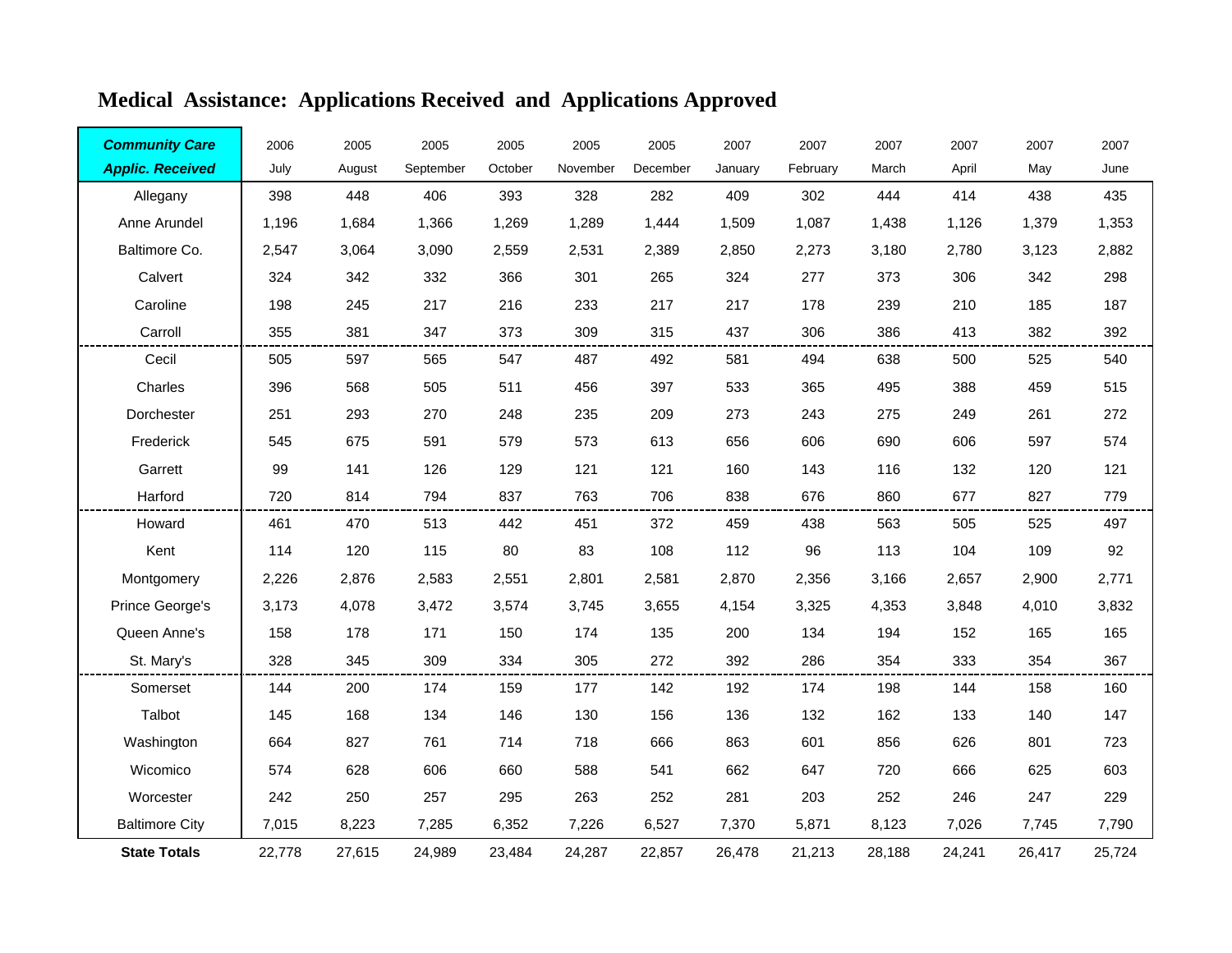| <b>Community Care</b>   | 2006   | 2005   | 2005      | 2005    | 2005     | 2005     | 2007    | 2007     | 2007   | 2007   | 2007   | 2007   |
|-------------------------|--------|--------|-----------|---------|----------|----------|---------|----------|--------|--------|--------|--------|
| <b>Applic. Received</b> | July   | August | September | October | November | December | January | February | March  | April  | May    | June   |
| Allegany                | 398    | 448    | 406       | 393     | 328      | 282      | 409     | 302      | 444    | 414    | 438    | 435    |
| Anne Arundel            | 1,196  | 1,684  | 1,366     | 1,269   | 1,289    | 1,444    | 1,509   | 1,087    | 1,438  | 1,126  | 1,379  | 1,353  |
| Baltimore Co.           | 2,547  | 3,064  | 3,090     | 2,559   | 2,531    | 2,389    | 2,850   | 2,273    | 3,180  | 2,780  | 3,123  | 2,882  |
| Calvert                 | 324    | 342    | 332       | 366     | 301      | 265      | 324     | 277      | 373    | 306    | 342    | 298    |
| Caroline                | 198    | 245    | 217       | 216     | 233      | 217      | 217     | 178      | 239    | 210    | 185    | 187    |
| Carroll                 | 355    | 381    | 347       | 373     | 309      | 315      | 437     | 306      | 386    | 413    | 382    | 392    |
| Cecil                   | 505    | 597    | 565       | 547     | 487      | 492      | 581     | 494      | 638    | 500    | 525    | 540    |
| Charles                 | 396    | 568    | 505       | 511     | 456      | 397      | 533     | 365      | 495    | 388    | 459    | 515    |
| Dorchester              | 251    | 293    | 270       | 248     | 235      | 209      | 273     | 243      | 275    | 249    | 261    | 272    |
| Frederick               | 545    | 675    | 591       | 579     | 573      | 613      | 656     | 606      | 690    | 606    | 597    | 574    |
| Garrett                 | 99     | 141    | 126       | 129     | 121      | 121      | 160     | 143      | 116    | 132    | 120    | 121    |
| Harford                 | 720    | 814    | 794       | 837     | 763      | 706      | 838     | 676      | 860    | 677    | 827    | 779    |
| Howard                  | 461    | 470    | 513       | 442     | 451      | 372      | 459     | 438      | 563    | 505    | 525    | 497    |
| Kent                    | 114    | 120    | 115       | 80      | 83       | 108      | 112     | 96       | 113    | 104    | 109    | 92     |
| Montgomery              | 2,226  | 2,876  | 2,583     | 2,551   | 2,801    | 2,581    | 2,870   | 2,356    | 3,166  | 2,657  | 2,900  | 2,771  |
| Prince George's         | 3,173  | 4,078  | 3,472     | 3,574   | 3,745    | 3,655    | 4,154   | 3,325    | 4,353  | 3,848  | 4,010  | 3,832  |
| Queen Anne's            | 158    | 178    | 171       | 150     | 174      | 135      | 200     | 134      | 194    | 152    | 165    | 165    |
| St. Mary's              | 328    | 345    | 309       | 334     | 305      | 272      | 392     | 286      | 354    | 333    | 354    | 367    |
| Somerset                | 144    | 200    | 174       | 159     | 177      | 142      | 192     | 174      | 198    | 144    | 158    | 160    |
| Talbot                  | 145    | 168    | 134       | 146     | 130      | 156      | 136     | 132      | 162    | 133    | 140    | 147    |
| Washington              | 664    | 827    | 761       | 714     | 718      | 666      | 863     | 601      | 856    | 626    | 801    | 723    |
| Wicomico                | 574    | 628    | 606       | 660     | 588      | 541      | 662     | 647      | 720    | 666    | 625    | 603    |
| Worcester               | 242    | 250    | 257       | 295     | 263      | 252      | 281     | 203      | 252    | 246    | 247    | 229    |
| <b>Baltimore City</b>   | 7,015  | 8,223  | 7,285     | 6,352   | 7,226    | 6,527    | 7,370   | 5,871    | 8,123  | 7,026  | 7,745  | 7,790  |
| <b>State Totals</b>     | 22,778 | 27,615 | 24.989    | 23.484  | 24,287   | 22,857   | 26,478  | 21,213   | 28,188 | 24.241 | 26,417 | 25,724 |

# **Medical Assistance: Applications Received and Applications Approved**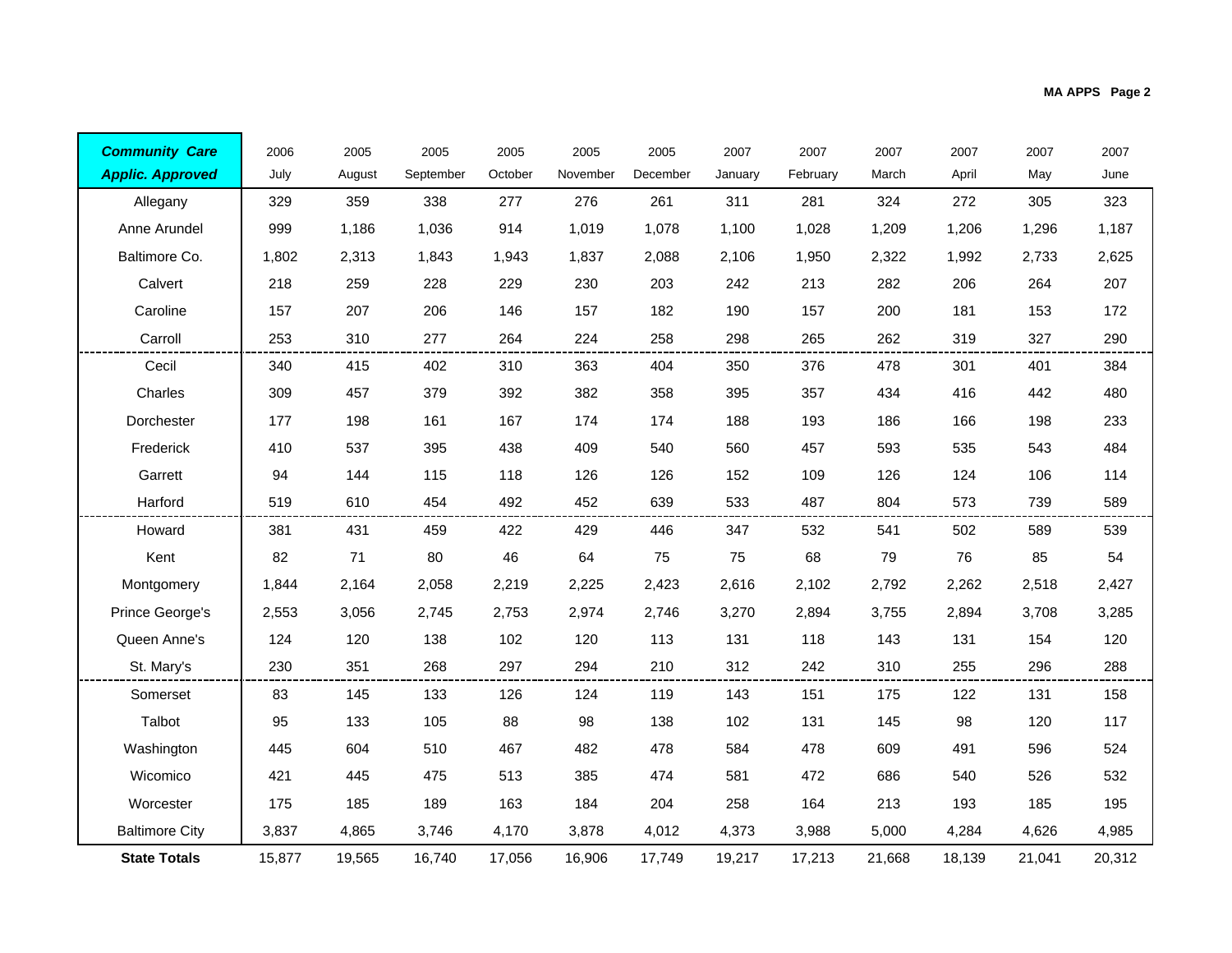| <b>Community Care</b>   | 2006   | 2005   | 2005      | 2005    | 2005     | 2005     | 2007    | 2007     | 2007   | 2007   | 2007   | 2007   |
|-------------------------|--------|--------|-----------|---------|----------|----------|---------|----------|--------|--------|--------|--------|
| <b>Applic. Approved</b> | July   | August | September | October | November | December | January | February | March  | April  | May    | June   |
| Allegany                | 329    | 359    | 338       | 277     | 276      | 261      | 311     | 281      | 324    | 272    | 305    | 323    |
| Anne Arundel            | 999    | 1,186  | 1,036     | 914     | 1,019    | 1,078    | 1,100   | 1,028    | 1,209  | 1,206  | 1,296  | 1,187  |
| Baltimore Co.           | 1,802  | 2,313  | 1,843     | 1,943   | 1,837    | 2,088    | 2,106   | 1,950    | 2,322  | 1,992  | 2,733  | 2,625  |
| Calvert                 | 218    | 259    | 228       | 229     | 230      | 203      | 242     | 213      | 282    | 206    | 264    | 207    |
| Caroline                | 157    | 207    | 206       | 146     | 157      | 182      | 190     | 157      | 200    | 181    | 153    | 172    |
| Carroll                 | 253    | 310    | 277       | 264     | 224      | 258      | 298     | 265      | 262    | 319    | 327    | 290    |
| Cecil                   | 340    | 415    | 402       | 310     | 363      | 404      | 350     | 376      | 478    | 301    | 401    | 384    |
| Charles                 | 309    | 457    | 379       | 392     | 382      | 358      | 395     | 357      | 434    | 416    | 442    | 480    |
| Dorchester              | 177    | 198    | 161       | 167     | 174      | 174      | 188     | 193      | 186    | 166    | 198    | 233    |
| Frederick               | 410    | 537    | 395       | 438     | 409      | 540      | 560     | 457      | 593    | 535    | 543    | 484    |
| Garrett                 | 94     | 144    | 115       | 118     | 126      | 126      | 152     | 109      | 126    | 124    | 106    | 114    |
| Harford                 | 519    | 610    | 454       | 492     | 452      | 639      | 533     | 487      | 804    | 573    | 739    | 589    |
| Howard                  | 381    | 431    | 459       | 422     | 429      | 446      | 347     | 532      | 541    | 502    | 589    | 539    |
| Kent                    | 82     | 71     | 80        | 46      | 64       | 75       | 75      | 68       | 79     | 76     | 85     | 54     |
| Montgomery              | 1,844  | 2,164  | 2,058     | 2,219   | 2,225    | 2,423    | 2,616   | 2,102    | 2,792  | 2,262  | 2,518  | 2,427  |
| Prince George's         | 2,553  | 3,056  | 2,745     | 2,753   | 2,974    | 2,746    | 3,270   | 2,894    | 3,755  | 2,894  | 3,708  | 3,285  |
| Queen Anne's            | 124    | 120    | 138       | 102     | 120      | 113      | 131     | 118      | 143    | 131    | 154    | 120    |
| St. Mary's              | 230    | 351    | 268       | 297     | 294      | 210      | 312     | 242      | 310    | 255    | 296    | 288    |
| Somerset                | 83     | 145    | 133       | 126     | 124      | 119      | 143     | 151      | 175    | 122    | 131    | 158    |
| Talbot                  | 95     | 133    | 105       | 88      | 98       | 138      | 102     | 131      | 145    | 98     | 120    | 117    |
| Washington              | 445    | 604    | 510       | 467     | 482      | 478      | 584     | 478      | 609    | 491    | 596    | 524    |
| Wicomico                | 421    | 445    | 475       | 513     | 385      | 474      | 581     | 472      | 686    | 540    | 526    | 532    |
| Worcester               | 175    | 185    | 189       | 163     | 184      | 204      | 258     | 164      | 213    | 193    | 185    | 195    |
| <b>Baltimore City</b>   | 3,837  | 4,865  | 3,746     | 4.170   | 3,878    | 4,012    | 4,373   | 3,988    | 5,000  | 4.284  | 4,626  | 4,985  |
| <b>State Totals</b>     | 15,877 | 19,565 | 16,740    | 17,056  | 16,906   | 17,749   | 19,217  | 17,213   | 21,668 | 18,139 | 21,041 | 20,312 |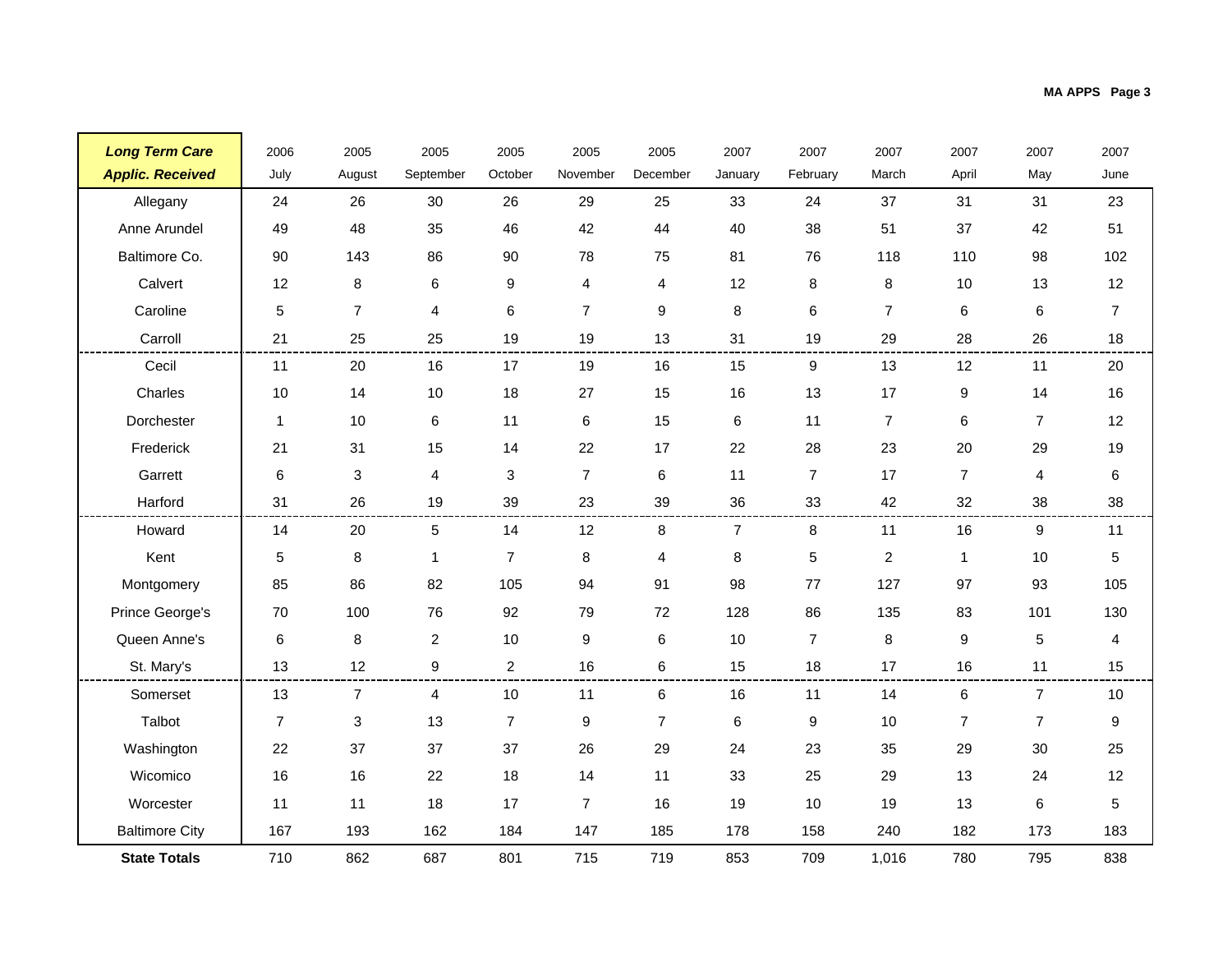| <b>Long Term Care</b>   | 2006           | 2005                      | 2005           | 2005             | 2005             | 2005           | 2007    | 2007           | 2007           | 2007           | 2007           | 2007                    |
|-------------------------|----------------|---------------------------|----------------|------------------|------------------|----------------|---------|----------------|----------------|----------------|----------------|-------------------------|
| <b>Applic. Received</b> | July           | August                    | September      | October          | November         | December       | January | February       | March          | April          | May            | June                    |
| Allegany                | 24             | 26                        | 30             | 26               | 29               | 25             | 33      | 24             | 37             | 31             | 31             | 23                      |
| Anne Arundel            | 49             | 48                        | 35             | 46               | 42               | 44             | 40      | 38             | 51             | 37             | 42             | 51                      |
| Baltimore Co.           | 90             | 143                       | 86             | 90               | 78               | 75             | 81      | 76             | 118            | 110            | 98             | 102                     |
| Calvert                 | 12             | 8                         | 6              | 9                | $\overline{4}$   | 4              | 12      | 8              | 8              | 10             | 13             | 12                      |
| Caroline                | $\sqrt{5}$     | $\overline{7}$            | $\overline{4}$ | $\,6$            | $\overline{7}$   | 9              | $\bf 8$ | $\,6$          | $\overline{7}$ | 6              | 6              | $\overline{7}$          |
| Carroll                 | 21             | 25                        | 25             | 19               | 19               | 13             | 31      | 19             | 29             | 28             | 26             | 18                      |
| Cecil                   | 11             | 20                        | 16             | 17               | 19               | 16             | 15      | 9              | 13             | 12             | 11             | 20                      |
| Charles                 | 10             | 14                        | 10             | 18               | 27               | 15             | 16      | 13             | 17             | 9              | 14             | 16                      |
| Dorchester              | $\mathbf{1}$   | 10                        | 6              | 11               | 6                | 15             | $\,6$   | 11             | $\overline{7}$ | 6              | $\overline{7}$ | 12                      |
| Frederick               | 21             | 31                        | 15             | 14               | 22               | 17             | 22      | 28             | 23             | 20             | 29             | 19                      |
| Garrett                 | $\,6$          | 3                         | 4              | 3                | $\overline{7}$   | 6              | 11      | $\overline{7}$ | 17             | $\overline{7}$ | 4              | 6                       |
| Harford                 | 31             | 26                        | 19             | 39               | 23               | 39             | 36      | 33             | 42             | 32             | 38             | 38                      |
| Howard                  | 14             | 20                        | 5              | 14               | 12               | 8              | 7       | 8              | 11             | 16             | 9              | 11                      |
| Kent                    | 5              | 8                         | $\mathbf{1}$   | $\overline{7}$   | 8                | 4              | $\bf 8$ | $\overline{5}$ | $\overline{c}$ | $\mathbf{1}$   | 10             | 5                       |
| Montgomery              | 85             | 86                        | 82             | 105              | 94               | 91             | 98      | 77             | 127            | 97             | 93             | 105                     |
| Prince George's         | 70             | 100                       | 76             | 92               | 79               | 72             | 128     | 86             | 135            | 83             | 101            | 130                     |
| Queen Anne's            | 6              | 8                         | $\overline{2}$ | 10               | 9                | 6              | 10      | $\overline{7}$ | $\,8\,$        | 9              | 5              | $\overline{\mathbf{4}}$ |
| St. Mary's              | 13             | 12                        | 9              | $\overline{2}$   | 16               | 6              | 15      | 18             | 17             | 16             | 11             | 15                      |
| Somerset                | 13             | 7                         | 4              | 10               | 11               | 6              | 16      | 11             | 14             | 6              | $\overline{7}$ | 10                      |
| Talbot                  | $\overline{7}$ | $\ensuremath{\mathsf{3}}$ | 13             | $\boldsymbol{7}$ | $\boldsymbol{9}$ | $\overline{7}$ | 6       | $9\,$          | 10             | $\overline{7}$ | $\overline{7}$ | $\boldsymbol{9}$        |
| Washington              | 22             | 37                        | 37             | 37               | 26               | 29             | 24      | 23             | 35             | 29             | 30             | 25                      |
| Wicomico                | 16             | 16                        | 22             | 18               | 14               | 11             | 33      | 25             | 29             | 13             | 24             | 12                      |
| Worcester               | 11             | 11                        | 18             | 17               | $\overline{7}$   | 16             | 19      | 10             | 19             | 13             | 6              | $\sqrt{5}$              |
| <b>Baltimore City</b>   | 167            | 193                       | 162            | 184              | 147              | 185            | 178     | 158            | 240            | 182            | 173            | 183                     |
| <b>State Totals</b>     | 710            | 862                       | 687            | 801              | 715              | 719            | 853     | 709            | 1,016          | 780            | 795            | 838                     |

÷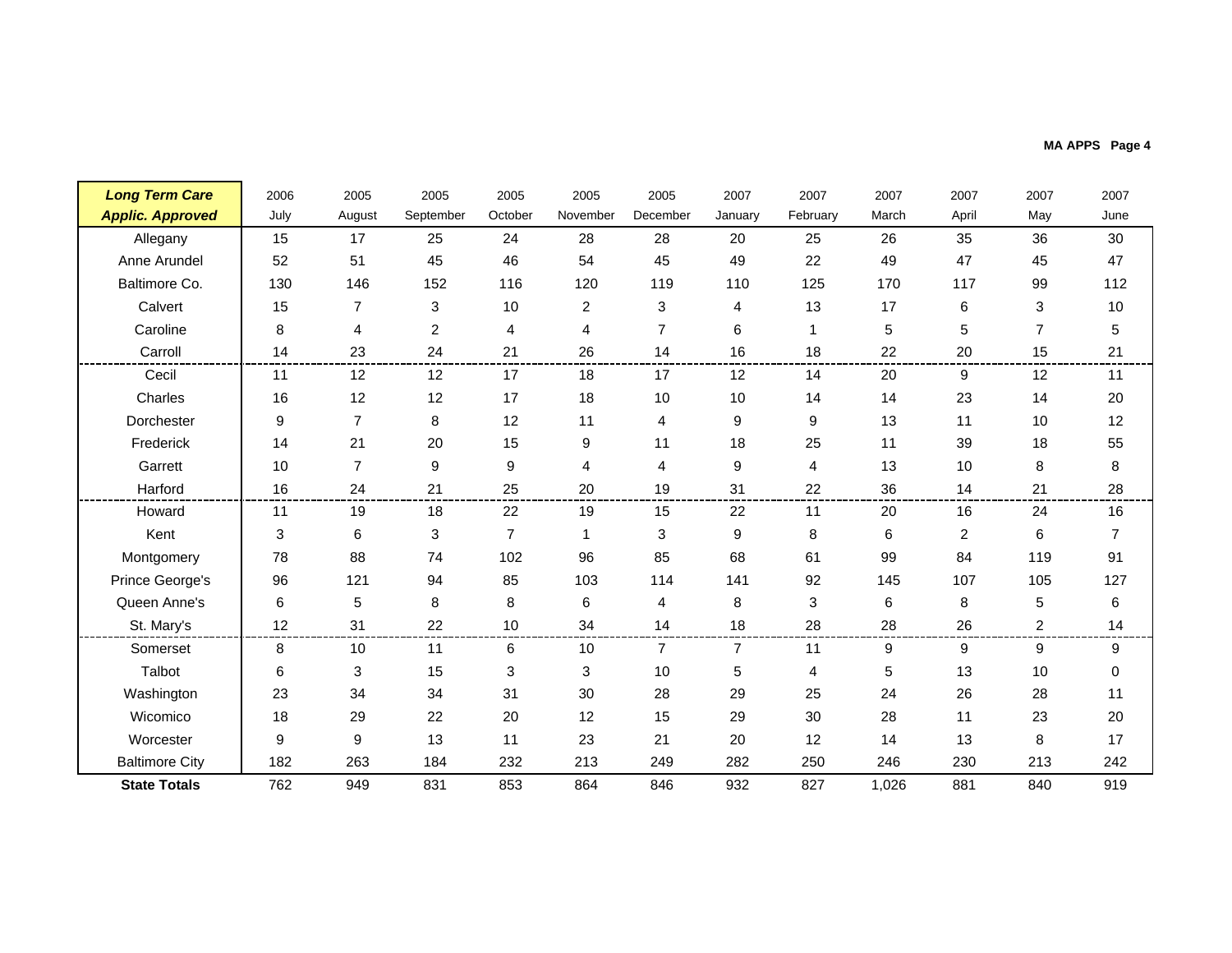|  |  |  |  |  | MA APPS Page 4 |  |  |
|--|--|--|--|--|----------------|--|--|
|--|--|--|--|--|----------------|--|--|

| <b>Long Term Care</b>   | 2006             | 2005           | 2005           | 2005             | 2005           | 2005           | 2007           | 2007           | 2007  | 2007           | 2007              | 2007           |
|-------------------------|------------------|----------------|----------------|------------------|----------------|----------------|----------------|----------------|-------|----------------|-------------------|----------------|
| <b>Applic. Approved</b> | July             | August         | September      | October          | November       | December       | January        | February       | March | April          | May               | June           |
| Allegany                | 15               | 17             | 25             | 24               | 28             | 28             | 20             | 25             | 26    | 35             | 36                | 30             |
| Anne Arundel            | 52               | 51             | 45             | 46               | 54             | 45             | 49             | 22             | 49    | 47             | 45                | 47             |
| Baltimore Co.           | 130              | 146            | 152            | 116              | 120            | 119            | 110            | 125            | 170   | 117            | 99                | 112            |
| Calvert                 | 15               | $\overline{7}$ | 3              | 10               | $\overline{c}$ | 3              | 4              | 13             | 17    | 6              | 3                 | 10             |
| Caroline                | 8                | 4              | $\overline{c}$ | 4                | 4              | $\overline{7}$ | 6              | $\mathbf{1}$   | 5     | 5              | $\overline{7}$    | 5              |
| Carroll                 | 14               | 23             | 24             | 21               | 26             | 14             | 16             | 18             | 22    | 20             | 15                | 21             |
| Cecil                   | 11               | 12             | 12             | 17               | 18             | 17             | 12             | 14             | 20    | 9              | $12 \overline{ }$ | 11             |
| Charles                 | 16               | 12             | 12             | 17               | 18             | 10             | 10             | 14             | 14    | 23             | 14                | 20             |
| Dorchester              | $\boldsymbol{9}$ | $\overline{7}$ | 8              | 12               | 11             | 4              | 9              | 9              | 13    | 11             | 10                | 12             |
| Frederick               | 14               | 21             | 20             | 15               | 9              | 11             | 18             | 25             | 11    | 39             | 18                | 55             |
| Garrett                 | 10               | $\overline{7}$ | 9              | $\boldsymbol{9}$ | 4              | 4              | 9              | $\overline{4}$ | 13    | 10             | 8                 | 8              |
| Harford                 | 16               | 24             | 21             | 25               | 20             | 19             | 31             | 22             | 36    | 14             | 21                | 28             |
| Howard                  | 11               | 19             | 18             | 22               | 19             | 15             | 22             | 11             | 20    | 16             | 24                | 16             |
| Kent                    | 3                | 6              | 3              | $\overline{7}$   | 1              | 3              | 9              | 8              | 6     | $\overline{2}$ | 6                 | $\overline{7}$ |
| Montgomery              | 78               | 88             | 74             | 102              | 96             | 85             | 68             | 61             | 99    | 84             | 119               | 91             |
| Prince George's         | 96               | 121            | 94             | 85               | 103            | 114            | 141            | 92             | 145   | 107            | 105               | 127            |
| Queen Anne's            | 6                | 5              | 8              | 8                | 6              | 4              | 8              | 3              | 6     | 8              | 5                 | 6              |
| St. Mary's              | 12               | 31             | 22             | 10               | 34             | 14             | 18             | 28             | 28    | 26             | 2                 | 14             |
| Somerset                | 8                | 10             | 11             | 6                | 10             | 7              | $\overline{7}$ | 11             | 9     | 9              | 9                 | 9              |
| Talbot                  | 6                | 3              | 15             | 3                | 3              | 10             | 5              | 4              | 5     | 13             | 10                | 0              |
| Washington              | 23               | 34             | 34             | 31               | 30             | 28             | 29             | 25             | 24    | 26             | 28                | 11             |
| Wicomico                | 18               | 29             | 22             | 20               | 12             | 15             | 29             | 30             | 28    | 11             | 23                | 20             |
| Worcester               | 9                | 9              | 13             | 11               | 23             | 21             | 20             | 12             | 14    | 13             | 8                 | 17             |
| <b>Baltimore City</b>   | 182              | 263            | 184            | 232              | 213            | 249            | 282            | 250            | 246   | 230            | 213               | 242            |
| <b>State Totals</b>     | 762              | 949            | 831            | 853              | 864            | 846            | 932            | 827            | 1,026 | 881            | 840               | 919            |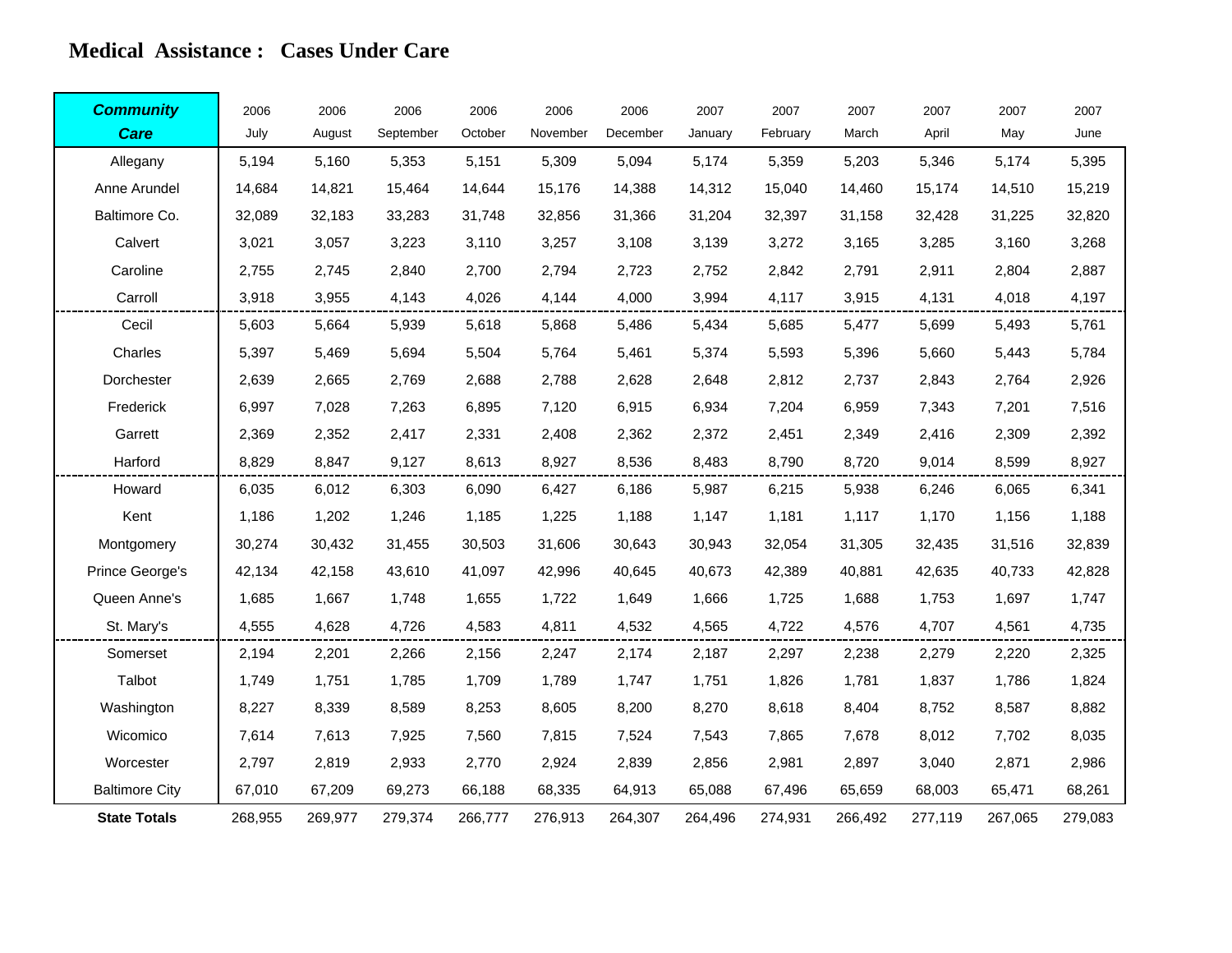#### **Medical Assistance : Cases Under Care**

| <b>Community</b>      | 2006    | 2006    | 2006      | 2006    | 2006     | 2006     | 2007    | 2007     | 2007    | 2007    | 2007    | 2007    |
|-----------------------|---------|---------|-----------|---------|----------|----------|---------|----------|---------|---------|---------|---------|
| <b>Care</b>           | July    | August  | September | October | November | December | January | February | March   | April   | May     | June    |
| Allegany              | 5,194   | 5,160   | 5,353     | 5,151   | 5,309    | 5,094    | 5,174   | 5,359    | 5,203   | 5,346   | 5,174   | 5,395   |
| Anne Arundel          | 14,684  | 14,821  | 15,464    | 14,644  | 15,176   | 14,388   | 14,312  | 15,040   | 14,460  | 15,174  | 14,510  | 15,219  |
| Baltimore Co.         | 32,089  | 32,183  | 33,283    | 31,748  | 32,856   | 31,366   | 31,204  | 32,397   | 31,158  | 32,428  | 31,225  | 32,820  |
| Calvert               | 3,021   | 3,057   | 3,223     | 3,110   | 3,257    | 3,108    | 3,139   | 3,272    | 3,165   | 3,285   | 3,160   | 3,268   |
| Caroline              | 2,755   | 2,745   | 2,840     | 2,700   | 2,794    | 2,723    | 2,752   | 2,842    | 2,791   | 2,911   | 2,804   | 2,887   |
| Carroll               | 3,918   | 3,955   | 4,143     | 4,026   | 4,144    | 4,000    | 3,994   | 4,117    | 3,915   | 4,131   | 4,018   | 4,197   |
| Cecil                 | 5,603   | 5,664   | 5,939     | 5,618   | 5,868    | 5,486    | 5,434   | 5,685    | 5,477   | 5,699   | 5,493   | 5,761   |
| Charles               | 5,397   | 5,469   | 5,694     | 5,504   | 5,764    | 5,461    | 5,374   | 5,593    | 5,396   | 5,660   | 5,443   | 5,784   |
| Dorchester            | 2,639   | 2,665   | 2,769     | 2,688   | 2,788    | 2,628    | 2,648   | 2,812    | 2,737   | 2,843   | 2,764   | 2,926   |
| Frederick             | 6,997   | 7.028   | 7,263     | 6,895   | 7.120    | 6,915    | 6.934   | 7,204    | 6,959   | 7,343   | 7,201   | 7,516   |
| Garrett               | 2,369   | 2,352   | 2,417     | 2,331   | 2,408    | 2,362    | 2,372   | 2,451    | 2,349   | 2,416   | 2,309   | 2,392   |
| Harford               | 8,829   | 8,847   | 9,127     | 8,613   | 8,927    | 8,536    | 8,483   | 8,790    | 8,720   | 9,014   | 8,599   | 8,927   |
| Howard                | 6,035   | 6,012   | 6,303     | 6,090   | 6,427    | 6,186    | 5,987   | 6,215    | 5,938   | 6,246   | 6,065   | 6,341   |
| Kent                  | 1,186   | 1,202   | 1,246     | 1,185   | 1,225    | 1,188    | 1,147   | 1,181    | 1,117   | 1,170   | 1,156   | 1,188   |
| Montgomery            | 30,274  | 30,432  | 31,455    | 30,503  | 31,606   | 30,643   | 30,943  | 32,054   | 31,305  | 32,435  | 31,516  | 32,839  |
| Prince George's       | 42,134  | 42,158  | 43,610    | 41,097  | 42,996   | 40,645   | 40,673  | 42,389   | 40,881  | 42,635  | 40,733  | 42,828  |
| Queen Anne's          | 1,685   | 1,667   | 1,748     | 1,655   | 1,722    | 1,649    | 1,666   | 1,725    | 1,688   | 1,753   | 1,697   | 1,747   |
| St. Mary's            | 4,555   | 4,628   | 4,726     | 4,583   | 4,811    | 4,532    | 4,565   | 4,722    | 4,576   | 4,707   | 4,561   | 4,735   |
| Somerset              | 2,194   | 2,201   | 2,266     | 2,156   | 2,247    | 2,174    | 2,187   | 2,297    | 2,238   | 2,279   | 2,220   | 2,325   |
| Talbot                | 1,749   | 1,751   | 1,785     | 1,709   | 1,789    | 1,747    | 1,751   | 1,826    | 1,781   | 1,837   | 1,786   | 1,824   |
| Washington            | 8,227   | 8,339   | 8,589     | 8,253   | 8,605    | 8,200    | 8,270   | 8,618    | 8,404   | 8,752   | 8,587   | 8,882   |
| Wicomico              | 7,614   | 7,613   | 7,925     | 7,560   | 7,815    | 7,524    | 7,543   | 7,865    | 7,678   | 8,012   | 7,702   | 8,035   |
| Worcester             | 2,797   | 2,819   | 2,933     | 2,770   | 2,924    | 2,839    | 2,856   | 2,981    | 2,897   | 3,040   | 2,871   | 2,986   |
| <b>Baltimore City</b> | 67,010  | 67,209  | 69,273    | 66,188  | 68,335   | 64,913   | 65,088  | 67,496   | 65,659  | 68,003  | 65,471  | 68,261  |
| <b>State Totals</b>   | 268,955 | 269,977 | 279,374   | 266,777 | 276,913  | 264,307  | 264,496 | 274,931  | 266,492 | 277,119 | 267,065 | 279,083 |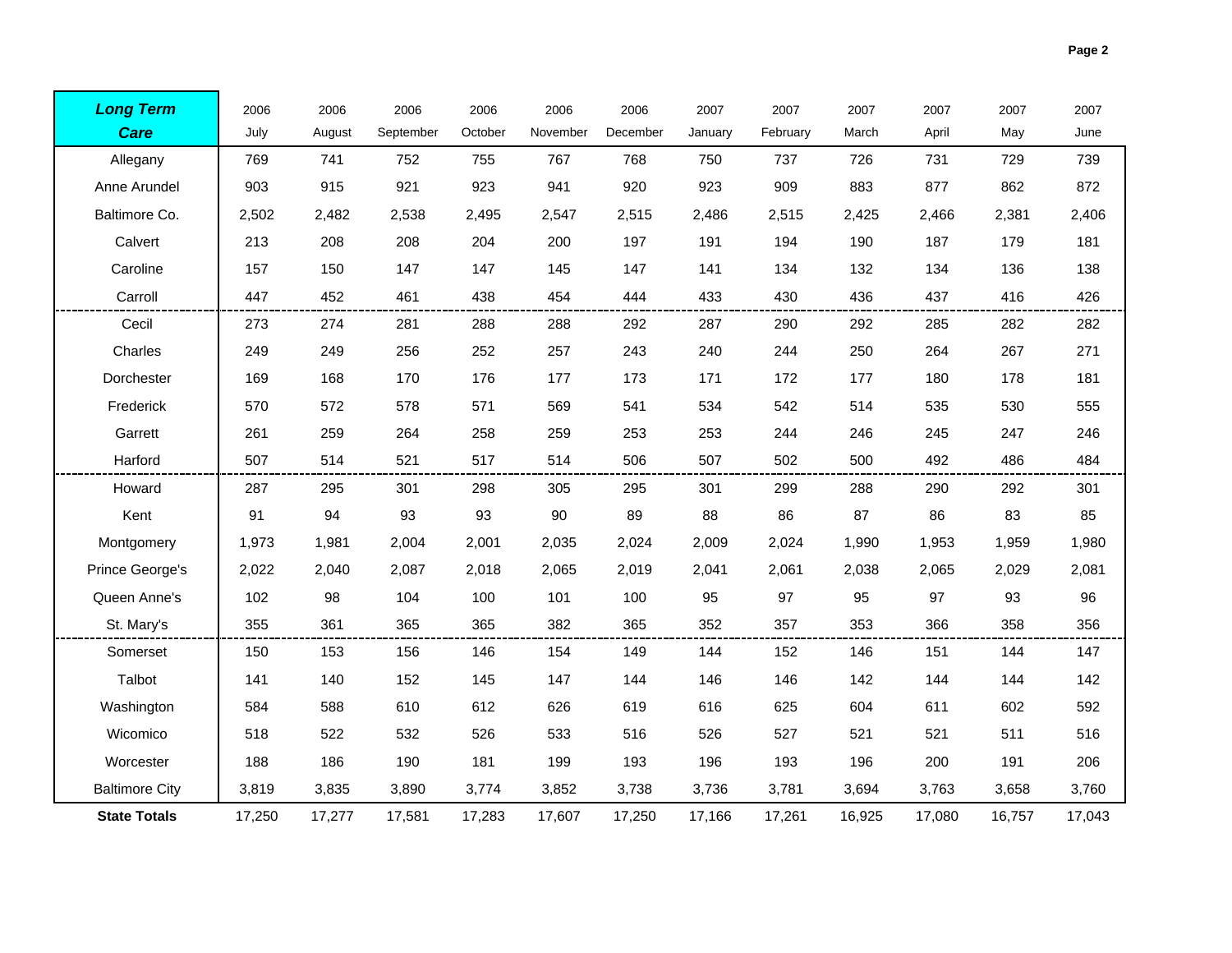|  | Page 2 |
|--|--------|
|  |        |

| <b>Long Term</b>      | 2006   | 2006   | 2006      | 2006    | 2006     | 2006     | 2007    | 2007     | 2007   | 2007   | 2007   | 2007   |
|-----------------------|--------|--------|-----------|---------|----------|----------|---------|----------|--------|--------|--------|--------|
| <b>Care</b>           | July   | August | September | October | November | December | January | February | March  | April  | May    | June   |
| Allegany              | 769    | 741    | 752       | 755     | 767      | 768      | 750     | 737      | 726    | 731    | 729    | 739    |
| Anne Arundel          | 903    | 915    | 921       | 923     | 941      | 920      | 923     | 909      | 883    | 877    | 862    | 872    |
| Baltimore Co.         | 2,502  | 2,482  | 2,538     | 2,495   | 2,547    | 2,515    | 2,486   | 2,515    | 2,425  | 2,466  | 2,381  | 2,406  |
| Calvert               | 213    | 208    | 208       | 204     | 200      | 197      | 191     | 194      | 190    | 187    | 179    | 181    |
| Caroline              | 157    | 150    | 147       | 147     | 145      | 147      | 141     | 134      | 132    | 134    | 136    | 138    |
| Carroll               | 447    | 452    | 461       | 438     | 454      | 444      | 433     | 430      | 436    | 437    | 416    | 426    |
| Cecil                 | 273    | 274    | 281       | 288     | 288      | 292      | 287     | 290      | 292    | 285    | 282    | 282    |
| Charles               | 249    | 249    | 256       | 252     | 257      | 243      | 240     | 244      | 250    | 264    | 267    | 271    |
| Dorchester            | 169    | 168    | 170       | 176     | 177      | 173      | 171     | 172      | 177    | 180    | 178    | 181    |
| Frederick             | 570    | 572    | 578       | 571     | 569      | 541      | 534     | 542      | 514    | 535    | 530    | 555    |
| Garrett               | 261    | 259    | 264       | 258     | 259      | 253      | 253     | 244      | 246    | 245    | 247    | 246    |
| Harford               | 507    | 514    | 521       | 517     | 514      | 506      | 507     | 502      | 500    | 492    | 486    | 484    |
| Howard                | 287    | 295    | 301       | 298     | 305      | 295      | 301     | 299      | 288    | 290    | 292    | 301    |
| Kent                  | 91     | 94     | 93        | 93      | 90       | 89       | 88      | 86       | 87     | 86     | 83     | 85     |
| Montgomery            | 1,973  | 1,981  | 2,004     | 2,001   | 2,035    | 2,024    | 2,009   | 2,024    | 1,990  | 1,953  | 1,959  | 1,980  |
| Prince George's       | 2,022  | 2,040  | 2,087     | 2,018   | 2,065    | 2,019    | 2,041   | 2,061    | 2,038  | 2,065  | 2,029  | 2,081  |
| Queen Anne's          | 102    | 98     | 104       | 100     | 101      | 100      | 95      | 97       | 95     | 97     | 93     | 96     |
| St. Mary's            | 355    | 361    | 365       | 365     | 382      | 365      | 352     | 357      | 353    | 366    | 358    | 356    |
| Somerset              | 150    | 153    | 156       | 146     | 154      | 149      | 144     | 152      | 146    | 151    | 144    | 147    |
| Talbot                | 141    | 140    | 152       | 145     | 147      | 144      | 146     | 146      | 142    | 144    | 144    | 142    |
| Washington            | 584    | 588    | 610       | 612     | 626      | 619      | 616     | 625      | 604    | 611    | 602    | 592    |
| Wicomico              | 518    | 522    | 532       | 526     | 533      | 516      | 526     | 527      | 521    | 521    | 511    | 516    |
| Worcester             | 188    | 186    | 190       | 181     | 199      | 193      | 196     | 193      | 196    | 200    | 191    | 206    |
| <b>Baltimore City</b> | 3.819  | 3,835  | 3,890     | 3.774   | 3,852    | 3,738    | 3.736   | 3,781    | 3,694  | 3,763  | 3,658  | 3,760  |
| <b>State Totals</b>   | 17,250 | 17,277 | 17,581    | 17,283  | 17,607   | 17,250   | 17,166  | 17,261   | 16,925 | 17,080 | 16,757 | 17,043 |